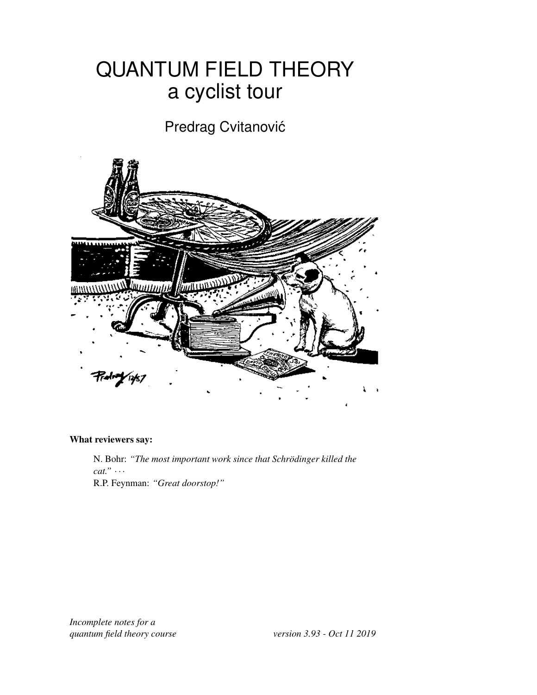# <span id="page-0-0"></span>QUANTUM FIELD THEORY a cyclist tour

# Predrag Cvitanović



### What reviewers say:

N. Bohr: *"The most important work since that Schrödinger killed the cat."* · · · R.P. Feynman: *"Great doorstop!"*

*Incomplete notes for a quantum field theory course version 3.93 - Oct 11 2019*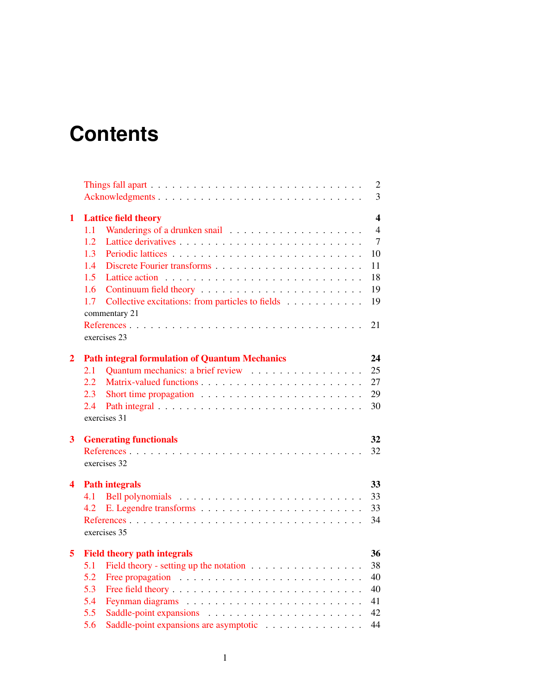# <span id="page-1-0"></span>**Contents**

|                |                                                                                         | 2                        |
|----------------|-----------------------------------------------------------------------------------------|--------------------------|
|                |                                                                                         | 3                        |
| $\mathbf{1}$   | <b>Lattice field theory</b>                                                             | $\overline{\mathbf{4}}$  |
|                | 1.1                                                                                     | $\overline{\mathcal{A}}$ |
|                | 1.2                                                                                     | $\tau$                   |
|                | 1.3                                                                                     | 10                       |
|                | 1.4                                                                                     | 11                       |
|                | 1.5                                                                                     | 18                       |
|                | 1.6                                                                                     | 19                       |
|                | Collective excitations: from particles to fields<br>1.7                                 | 19                       |
|                | commentary 21                                                                           |                          |
|                |                                                                                         | 21                       |
|                | exercises 23                                                                            |                          |
| $\overline{2}$ | <b>Path integral formulation of Quantum Mechanics</b>                                   | 24                       |
|                | Quantum mechanics: a brief review<br>2.1                                                | 25                       |
|                | 2.2                                                                                     | 27                       |
|                | 2.3<br>Short time propagation $\ldots \ldots \ldots \ldots \ldots \ldots \ldots \ldots$ | 29                       |
|                | 2.4                                                                                     | 30                       |
|                | exercises 31                                                                            |                          |
| 3              | <b>Generating functionals</b>                                                           | 32                       |
|                |                                                                                         | 32                       |
|                | exercises 32                                                                            |                          |
| 4              | <b>Path integrals</b>                                                                   | 33                       |
|                | 4.1                                                                                     | 33                       |
|                | 4.2                                                                                     | 33                       |
|                |                                                                                         | 34                       |
|                | exercises 35                                                                            |                          |
| 5              | <b>Field theory path integrals</b>                                                      | 36                       |
|                | 5.1                                                                                     | 38                       |
|                | 5.2                                                                                     | 40                       |
|                | 5.3                                                                                     | 40                       |
|                | 5.4                                                                                     | 41                       |
|                | 5.5                                                                                     | 42                       |
|                | Saddle-point expansions are asymptotic<br>5.6                                           | 44                       |
|                |                                                                                         |                          |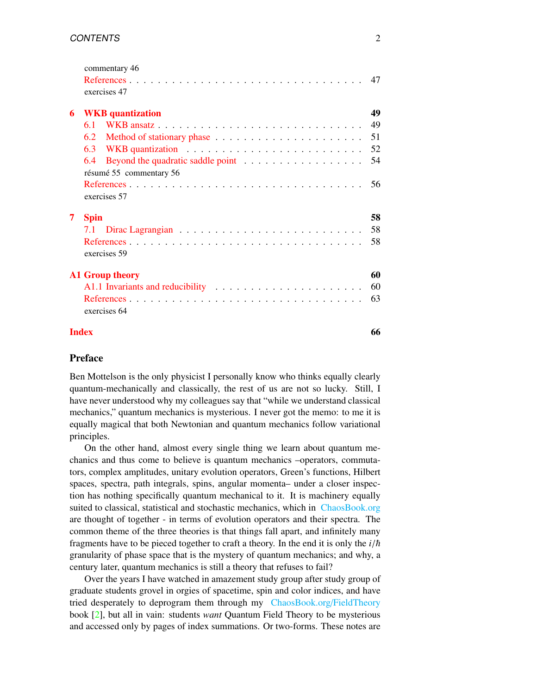|              | commentary 46          |                         |  |  |  |  |  |  |    |
|--------------|------------------------|-------------------------|--|--|--|--|--|--|----|
|              | exercises 47           |                         |  |  |  |  |  |  |    |
| 6            |                        | <b>WKB</b> quantization |  |  |  |  |  |  | 49 |
|              | 61                     |                         |  |  |  |  |  |  | 49 |
|              | 6.2                    |                         |  |  |  |  |  |  | 51 |
|              |                        |                         |  |  |  |  |  |  | 52 |
|              | 6.4                    | résumé 55 commentary 56 |  |  |  |  |  |  | 54 |
|              | exercises 57           |                         |  |  |  |  |  |  |    |
| 7            | <b>Spin</b>            |                         |  |  |  |  |  |  | 58 |
|              |                        |                         |  |  |  |  |  |  | 58 |
|              | exercises 59           |                         |  |  |  |  |  |  | 58 |
|              | <b>A1 Group theory</b> |                         |  |  |  |  |  |  | 60 |
|              |                        |                         |  |  |  |  |  |  |    |
|              | exercises 64           |                         |  |  |  |  |  |  | 63 |
| <b>Index</b> |                        |                         |  |  |  |  |  |  | 66 |

#### <span id="page-2-0"></span>Preface

Ben Mottelson is the only physicist I personally know who thinks equally clearly quantum-mechanically and classically, the rest of us are not so lucky. Still, I have never understood why my colleagues say that "while we understand classical mechanics," quantum mechanics is mysterious. I never got the memo: to me it is equally magical that both Newtonian and quantum mechanics follow variational principles.

On the other hand, almost every single thing we learn about quantum mechanics and thus come to believe is quantum mechanics –operators, commutators, complex amplitudes, unitary evolution operators, Green's functions, Hilbert spaces, spectra, path integrals, spins, angular momenta– under a closer inspection has nothing specifically quantum mechanical to it. It is machinery equally suited to classical, statistical and stochastic mechanics, which in [ChaosBook.org](http://ChaosBook.org) are thought of together - in terms of evolution operators and their spectra. The common theme of the three theories is that things fall apart, and infinitely many fragments have to be pieced together to craft a theory. In the end it is only the  $i/\hbar$ granularity of phase space that is the mystery of quantum mechanics; and why, a century later, quantum mechanics is still a theory that refuses to fail?

Over the years I have watched in amazement study group after study group of graduate students grovel in orgies of spacetime, spin and color indices, and have tried desperately to deprogram them through my [ChaosBook.org](http://ChaosBook.org/FieldTheory)/FieldTheory book [\[2\]](#page-0-0), but all in vain: students *want* Quantum Field Theory to be mysterious and accessed only by pages of index summations. Or two-forms. These notes are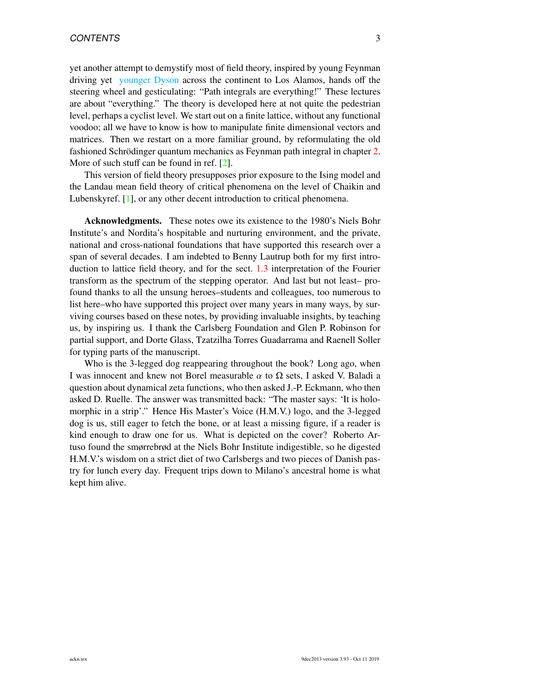yet another attempt to demystify most of field theory, inspired by young Feynman driving yet [younger Dyson](http://chaosbook.org/FieldTheory/quefithe.html) across the continent to Los Alamos, hands off the steering wheel and gesticulating: "Path integrals are everything!" These lectures are about "everything." The theory is developed here at not quite the pedestrian level, perhaps a cyclist level. We start out on a finite lattice, without any functional voodoo; all we have to know is how to manipulate finite dimensional vectors and matrices. Then we restart on a more familiar ground, by reformulating the old fashioned Schrödinger quantum mechanics as Feynman path integral in chapter [2.](#page-24-0) More of such stuff can be found in ref. [\[2\]](#page-0-0).

This version of field theory presupposes prior exposure to the Ising model and the Landau mean field theory of critical phenomena on the level of Chaikin and Lubenskyref. [\[1\]](#page-0-0), or any other decent introduction to critical phenomena.

Acknowledgments. These notes owe its existence to the 1980's Niels Bohr Institute's and Nordita's hospitable and nurturing environment, and the private, national and cross-national foundations that have supported this research over a span of several decades. I am indebted to Benny Lautrup both for my first introduction to lattice field theory, and for the sect. [1.3](#page-10-0) interpretation of the Fourier transform as the spectrum of the stepping operator. And last but not least– profound thanks to all the unsung heroes–students and colleagues, too numerous to list here–who have supported this project over many years in many ways, by surviving courses based on these notes, by providing invaluable insights, by teaching us, by inspiring us. I thank the Carlsberg Foundation and Glen P. Robinson for partial support, and Dorte Glass, Tzatzilha Torres Guadarrama and Raenell Soller for typing parts of the manuscript.

Who is the 3-legged dog reappearing throughout the book? Long ago, when I was innocent and knew not Borel measurable  $\alpha$  to  $\Omega$  sets, I asked V. Baladi a question about dynamical zeta functions, who then asked J.-P. Eckmann, who then asked D. Ruelle. The answer was transmitted back: "The master says: 'It is holomorphic in a strip'." Hence His Master's Voice (H.M.V.) logo, and the 3-legged dog is us, still eager to fetch the bone, or at least a missing figure, if a reader is kind enough to draw one for us. What is depicted on the cover? Roberto Artuso found the smørrebrød at the Niels Bohr Institute indigestible, so he digested H.M.V.'s wisdom on a strict diet of two Carlsbergs and two pieces of Danish pastry for lunch every day. Frequent trips down to Milano's ancestral home is what kept him alive.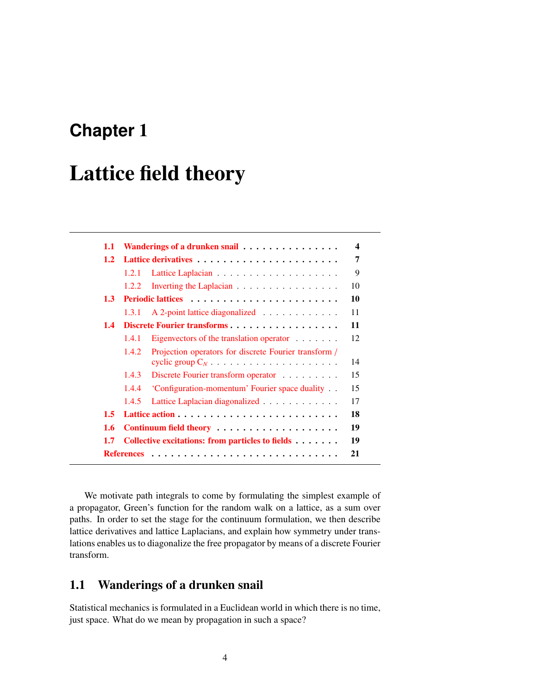# <span id="page-4-0"></span>**Chapter** 1

# Lattice field theory

| 1.1              |       | Wanderings of a drunken snail                          | 4  |
|------------------|-------|--------------------------------------------------------|----|
| 1.2              |       |                                                        | 7  |
|                  | 1.2.1 |                                                        | 9  |
|                  | 1.2.2 | Inverting the Laplacian                                | 10 |
| 1.3 <sup>1</sup> |       |                                                        | 10 |
|                  | 1.3.1 | A 2-point lattice diagonalized                         | 11 |
| 1.4              |       | Discrete Fourier transforms                            | 11 |
|                  | 1.4.1 | Eigenvectors of the translation operator $\dots \dots$ | 12 |
|                  | 1.4.2 | Projection operators for discrete Fourier transform /  |    |
|                  |       |                                                        | 14 |
|                  | 1.4.3 | Discrete Fourier transform operator                    | 15 |
|                  | 1.4.4 | 'Configuration-momentum' Fourier space duality         | 15 |
|                  | 1.4.5 | Lattice Laplacian diagonalized                         | 17 |
| 1.5              |       |                                                        | 18 |
| 1.6              |       | Continuum field theory                                 | 19 |
| 1.7              |       | Collective excitations: from particles to fields       | 19 |
|                  |       |                                                        | 21 |

We motivate path integrals to come by formulating the simplest example of a propagator, Green's function for the random walk on a lattice, as a sum over paths. In order to set the stage for the continuum formulation, we then describe lattice derivatives and lattice Laplacians, and explain how symmetry under translations enables us to diagonalize the free propagator by means of a discrete Fourier transform.

## <span id="page-4-1"></span>1.1 Wanderings of a drunken snail

Statistical mechanics is formulated in a Euclidean world in which there is no time, just space. What do we mean by propagation in such a space?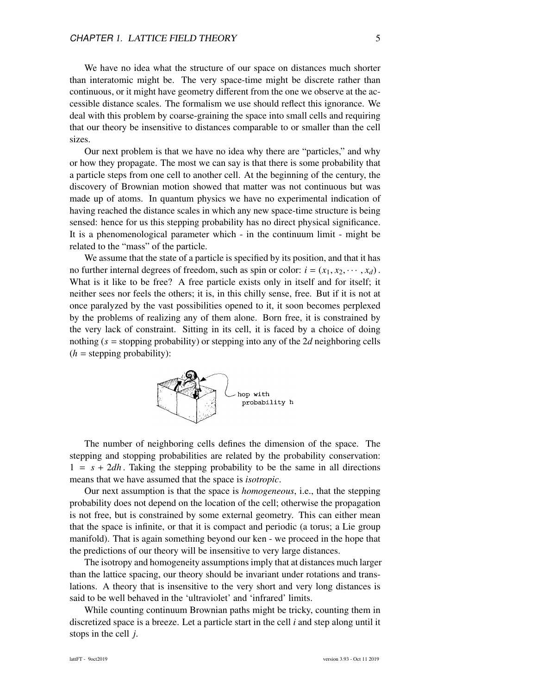We have no idea what the structure of our space on distances much shorter than interatomic might be. The very space-time might be discrete rather than continuous, or it might have geometry different from the one we observe at the accessible distance scales. The formalism we use should reflect this ignorance. We deal with this problem by coarse-graining the space into small cells and requiring that our theory be insensitive to distances comparable to or smaller than the cell sizes.

Our next problem is that we have no idea why there are "particles," and why or how they propagate. The most we can say is that there is some probability that a particle steps from one cell to another cell. At the beginning of the century, the discovery of Brownian motion showed that matter was not continuous but was made up of atoms. In quantum physics we have no experimental indication of having reached the distance scales in which any new space-time structure is being sensed: hence for us this stepping probability has no direct physical significance. It is a phenomenological parameter which - in the continuum limit - might be related to the "mass" of the particle.

We assume that the state of a particle is specified by its position, and that it has no further internal degrees of freedom, such as spin or color:  $i = (x_1, x_2, \dots, x_d)$ . What is it like to be free? A free particle exists only in itself and for itself; it neither sees nor feels the others; it is, in this chilly sense, free. But if it is not at once paralyzed by the vast possibilities opened to it, it soon becomes perplexed by the problems of realizing any of them alone. Born free, it is constrained by the very lack of constraint. Sitting in its cell, it is faced by a choice of doing nothing  $(s =$  stopping probability) or stepping into any of the 2*d* neighboring cells  $(h =$  stepping probability):



The number of neighboring cells defines the dimension of the space. The stepping and stopping probabilities are related by the probability conservation:  $1 = s + 2dh$ . Taking the stepping probability to be the same in all directions means that we have assumed that the space is *isotropic*.

Our next assumption is that the space is *homogeneous*, i.e., that the stepping probability does not depend on the location of the cell; otherwise the propagation is not free, but is constrained by some external geometry. This can either mean that the space is infinite, or that it is compact and periodic (a torus; a Lie group manifold). That is again something beyond our ken - we proceed in the hope that the predictions of our theory will be insensitive to very large distances.

The isotropy and homogeneity assumptions imply that at distances much larger than the lattice spacing, our theory should be invariant under rotations and translations. A theory that is insensitive to the very short and very long distances is said to be well behaved in the 'ultraviolet' and 'infrared' limits.

While counting continuum Brownian paths might be tricky, counting them in discretized space is a breeze. Let a particle start in the cell *i* and step along until it stops in the cell *j*.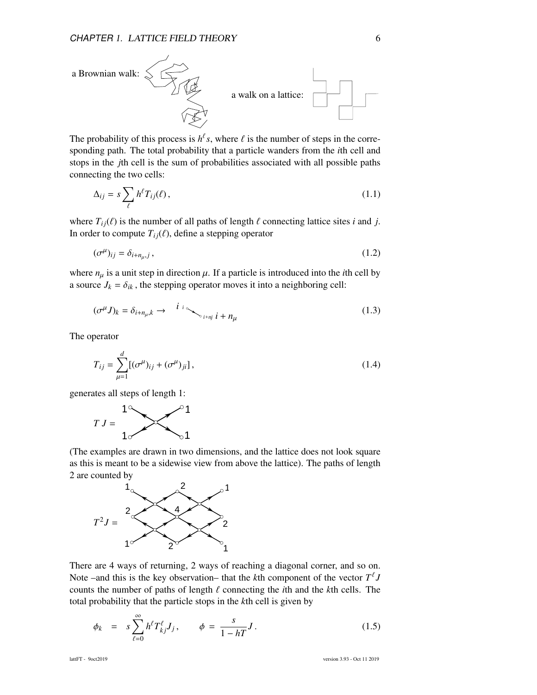

The probability of this process is  $h^{\ell} s$ , where  $\ell$  is the number of steps in the corre-<br>sponding path. The total probability that a particle wanders from the *i*th cell and sponding path. The total probability that a particle wanders from the *i*th cell and stops in the *j*th cell is the sum of probabilities associated with all possible paths connecting the two cells:

<span id="page-6-0"></span>
$$
\Delta_{ij} = s \sum_{\ell} h^{\ell} T_{ij}(\ell), \qquad (1.1)
$$

where  $T_{ij}(\ell)$  is the number of all paths of length  $\ell$  connecting lattice sites *i* and *j*. In order to compute  $T_{ij}(\ell)$ , define a stepping operator

<span id="page-6-1"></span>
$$
(\sigma^{\mu})_{ij} = \delta_{i+n_{\mu},j},\tag{1.2}
$$

where  $n_{\mu}$  is a unit step in direction  $\mu$ . If a particle is introduced into the *i*th cell by a source  $J_k = \delta_{ik}$ , the stepping operator moves it into a neighboring cell:

$$
(\sigma^{\mu}J)_{k} = \delta_{i+n_{\mu},k} \to \qquad i \longrightarrow_{i+n_{j}} i + n_{\mu}
$$
\n(1.3)

The operator

<span id="page-6-2"></span>
$$
T_{ij} = \sum_{\mu=1}^{d} [(\sigma^{\mu})_{ij} + (\sigma^{\mu})_{ji}],
$$
\n(1.4)

generates all steps of length 1:



(The examples are drawn in two dimensions, and the lattice does not look square as this is meant to be a sidewise view from above the lattice). The paths of length 2 are counted by



There are 4 ways of returning, 2 ways of reaching a diagonal corner, and so on. Note –and this is the key observation– that the *k*th component of the vector  $T^{\ell}J$ counts the number of paths of length  $\ell$  connecting the *i*th and the *k*th cells. The total probability that the particle stops in the *k*th cell is given by

$$
\phi_k = s \sum_{\ell=0}^{\infty} h^{\ell} T_{kj}^{\ell} J_j, \qquad \phi = \frac{s}{1 - hT} J.
$$
\n(1.5)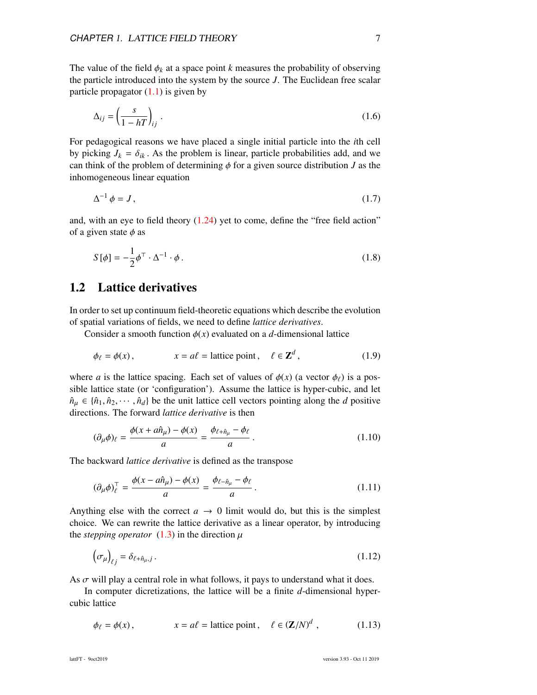The value of the field  $\phi_k$  at a space point *k* measures the probability of observing the particle introduced into the system by the source *J*. The Euclidean free scalar particle propagator  $(1.1)$  is given by

<span id="page-7-3"></span>
$$
\Delta_{ij} = \left(\frac{s}{1 - hT}\right)_{ij} \tag{1.6}
$$

For pedagogical reasons we have placed a single initial particle into the *i*th cell by picking  $J_k = \delta_{ik}$ . As the problem is linear, particle probabilities add, and we can think of the problem of determining  $\phi$  for a given source distribution *J* as the inhomogeneous linear equation

$$
\Delta^{-1} \phi = J, \tag{1.7}
$$

and, with an eye to field theory  $(1.24)$  yet to come, define the "free field action" of a given state  $\phi$  as

<span id="page-7-4"></span>
$$
S[\phi] = -\frac{1}{2}\phi^{\top} \cdot \Delta^{-1} \cdot \phi. \tag{1.8}
$$

### <span id="page-7-0"></span>1.2 Lattice derivatives

In order to set up continuum field-theoretic equations which describe the evolution of spatial variations of fields, we need to define *lattice derivatives*.

Consider a smooth function  $\phi(x)$  evaluated on a *d*-dimensional lattice

$$
\phi_{\ell} = \phi(x),
$$
\n $x = a\ell = \text{lattice point}, \quad \ell \in \mathbb{Z}^d,$ \n(1.9)

where *a* is the lattice spacing. Each set of values of  $\phi(x)$  (a vector  $\phi_\ell$ ) is a possible lattice state (or 'configuration'). Assume the lattice is hyper-cubic, and let  $\hat{n}_u \in \{\hat{n}_1, \hat{n}_2, \dots, \hat{n}_d\}$  be the unit lattice cell vectors pointing along the *d* positive directions. The forward *lattice derivative* is then

$$
(\partial_{\mu}\phi)_{\ell} = \frac{\phi(x+a\hat{n}_{\mu}) - \phi(x)}{a} = \frac{\phi_{\ell+\hat{n}_{\mu}} - \phi_{\ell}}{a}.
$$
 (1.10)

The backward *lattice derivative* is defined as the transpose

<span id="page-7-2"></span>
$$
(\partial_{\mu}\phi)^{\top}_{\ell} = \frac{\phi(x - a\hat{n}_{\mu}) - \phi(x)}{a} = \frac{\phi_{\ell - \hat{n}_{\mu}} - \phi_{\ell}}{a}.
$$
 (1.11)

Anything else with the correct  $a \rightarrow 0$  limit would do, but this is the simplest choice. We can rewrite the lattice derivative as a linear operator, by introducing the *stepping operator*  $(1.3)$  in the direction  $\mu$ 

<span id="page-7-1"></span>
$$
\left(\sigma_{\mu}\right)_{\ell j} = \delta_{\ell + \hat{n}_{\mu},j} \,. \tag{1.12}
$$

As  $\sigma$  will play a central role in what follows, it pays to understand what it does.

In computer dicretizations, the lattice will be a finite *d*-dimensional hypercubic lattice

$$
\phi_{\ell} = \phi(x)
$$
,  $x = a\ell$  = lattice point,  $\ell \in (\mathbf{Z}/N)^d$ , (1.13)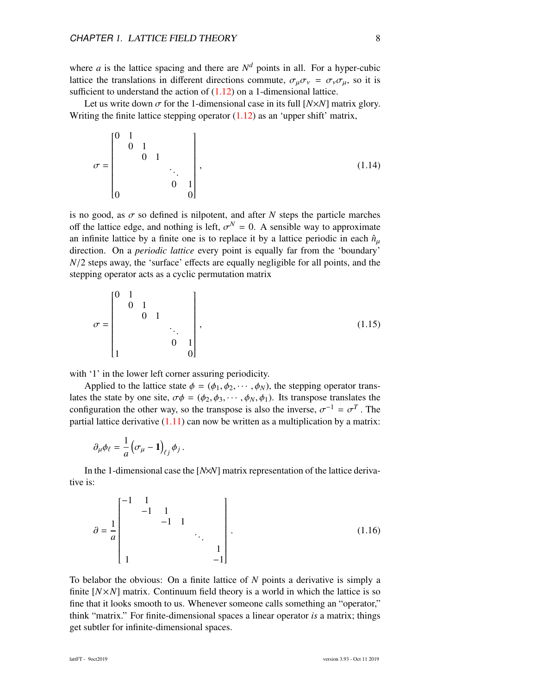where *a* is the lattice spacing and there are  $N<sup>d</sup>$  points in all. For a hyper-cubic lattice the translations in different directions commute,  $\sigma_u \sigma_v = \sigma_v \sigma_u$ , so it is sufficient to understand the action of  $(1.12)$  on a 1-dimensional lattice.

Let us write down  $\sigma$  for the 1-dimensional case in its full  $[N \times N]$  matrix glory. Writing the finite lattice stepping operator  $(1.12)$  as an 'upper shift' matrix,

$$
\sigma = \begin{bmatrix} 0 & 1 & & & \\ & 0 & 1 & & \\ & & 0 & 1 & \\ & & & & \ddots & \\ 0 & & & & 0 \end{bmatrix},
$$
 (1.14)

is no good, as  $\sigma$  so defined is nilpotent, and after N steps the particle marches off the lattice edge, and nothing is left,  $\sigma^N = 0$ . A sensible way to approximate<br>an infinite lattice by a finite one is to replace it by a lattice periodic in each  $\hat{p}$ an infinite lattice by a finite one is to replace it by a lattice periodic in each  $\hat{n}_{\mu}$ direction. On a *periodic lattice* every point is equally far from the 'boundary' *N*/2 steps away, the 'surface' effects are equally negligible for all points, and the stepping operator acts as a cyclic permutation matrix

<span id="page-8-0"></span>
$$
\sigma = \begin{bmatrix} 0 & 1 & & & \\ 0 & 1 & & & \\ & & 0 & 1 & \\ & & & & \ddots & \\ 1 & & & & 0 \end{bmatrix},
$$
(1.15)

with '1' in the lower left corner assuring periodicity.

Applied to the lattice state  $\phi = (\phi_1, \phi_2, \cdots, \phi_N)$ , the stepping operator translates the state by one site,  $\sigma\phi = (\phi_2, \phi_3, \cdots, \phi_N, \phi_1)$ . Its transpose translates the configuration the other way, so the transpose is also the inverse,  $\sigma^{-1} = \sigma^T$ . The partial lattice derivative (1.11) can now be written as a multiplication by a matrix: partial lattice derivative  $(1.11)$  can now be written as a multiplication by a matrix:

$$
\partial_{\mu}\phi_{\ell}=\frac{1}{a}\left(\sigma_{\mu}-1\right)_{\ell j}\phi_{j}.
$$

In the 1-dimensional case the [*N*×*N*] matrix representation of the lattice derivative is:

$$
\partial = \frac{1}{a} \begin{bmatrix} -1 & 1 & & & \\ & -1 & 1 & & \\ & & -1 & 1 & \\ & & & \ddots & \\ 1 & & & & -1 \end{bmatrix} . \tag{1.16}
$$

To belabor the obvious: On a finite lattice of *N* points a derivative is simply a finite  $[N \times N]$  matrix. Continuum field theory is a world in which the lattice is so fine that it looks smooth to us. Whenever someone calls something an "operator," think "matrix." For finite-dimensional spaces a linear operator *is* a matrix; things get subtler for infinite-dimensional spaces.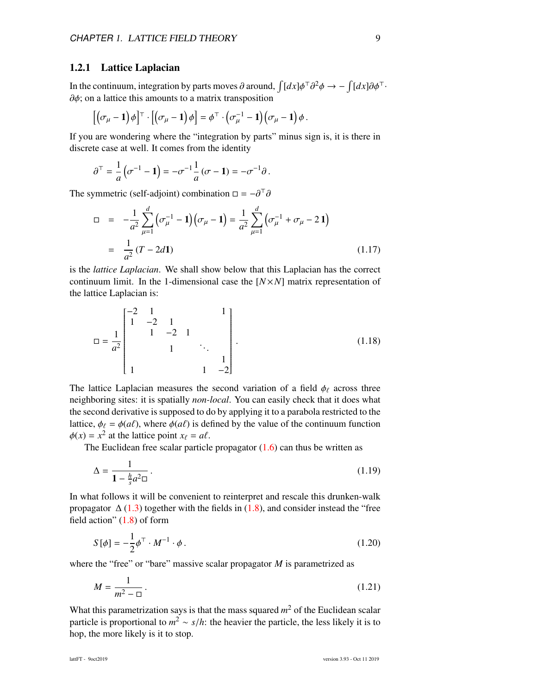#### <span id="page-9-0"></span>1.2.1 Lattice Laplacian

In the continuum, integration by parts moves  $\partial$  around,  $\int [dx] \phi^{\dagger}$ <br> $\partial \phi$ : on a lattice this amounts to a matrix transposition  $^{2}\phi \rightarrow -\int [dx] \partial \phi^{\top}$  $\partial \phi$ ; on a lattice this amounts to a matrix transposition

$$
\left[\left(\sigma_{\mu}-1\right)\phi\right]^\top \cdot \left[\left(\sigma_{\mu}-1\right)\phi\right] = \phi^\top \cdot \left(\sigma_{\mu}^{-1}-1\right)\left(\sigma_{\mu}-1\right)\phi.
$$

If you are wondering where the "integration by parts" minus sign is, it is there in discrete case at well. It comes from the identity

$$
\partial^{\top} = \frac{1}{a} \left( \sigma^{-1} - 1 \right) = -\sigma^{-1} \frac{1}{a} \left( \sigma - 1 \right) = -\sigma^{-1} \partial.
$$

The symmetric (self-adjoint) combination  $\square = -\partial^{\top}$ 

<span id="page-9-2"></span>
$$
\Box = -\frac{1}{a^2} \sum_{\mu=1}^{d} (\sigma_{\mu}^{-1} - 1) (\sigma_{\mu} - 1) = \frac{1}{a^2} \sum_{\mu=1}^{d} (\sigma_{\mu}^{-1} + \sigma_{\mu} - 2 \, 1)
$$

$$
= \frac{1}{a^2} (T - 2d1) \tag{1.17}
$$

is the *lattice Laplacian*. We shall show below that this Laplacian has the correct continuum limit. In the 1-dimensional case the  $[N \times N]$  matrix representation of the lattice Laplacian is:

<span id="page-9-1"></span>
$$
\Box = \frac{1}{a^2} \begin{bmatrix} -2 & 1 & & & & 1 \\ 1 & -2 & 1 & & & \\ & 1 & -2 & 1 & & \\ & & 1 & & \ddots & \\ & & & & 1 & \\ 1 & & & & 1 & -2 \end{bmatrix} .
$$
 (1.18)

The lattice Laplacian measures the second variation of a field  $\phi_{\ell}$  across three neighboring sites: it is spatially *non-local*. You can easily check that it does what the second derivative is supposed to do by applying it to a parabola restricted to the lattice,  $\phi_{\ell} = \phi(a\ell)$ , where  $\phi(a\ell)$  is defined by the value of the continuum function  $\phi(x) = x^2$  at the lattice point  $x_\ell = a\ell$ .<br>The Euclidean free scalar particle

The Euclidean free scalar particle propagator  $(1.6)$  can thus be written as

$$
\Delta = \frac{1}{1 - \frac{h}{s} a^2 \Box} \,. \tag{1.19}
$$

In what follows it will be convenient to reinterpret and rescale this drunken-walk propagator  $\Delta(1.3)$  $\Delta(1.3)$  together with the fields in  $(1.8)$ , and consider instead the "free field action"  $(1.8)$  of form

$$
S[\phi] = -\frac{1}{2}\phi^{\top} \cdot M^{-1} \cdot \phi \,. \tag{1.20}
$$

where the "free" or "bare" massive scalar propagator *M* is parametrized as

$$
M = \frac{1}{m^2 - \Box} \,. \tag{1.21}
$$

What this parametrization says is that the mass squared  $m<sup>2</sup>$  of the Euclidean scalar particle is proportional to  $m^2 \sim s/h$ : the heavier the particle, the less likely it is to hen the more likely is it to stop. hop, the more likely is it to stop.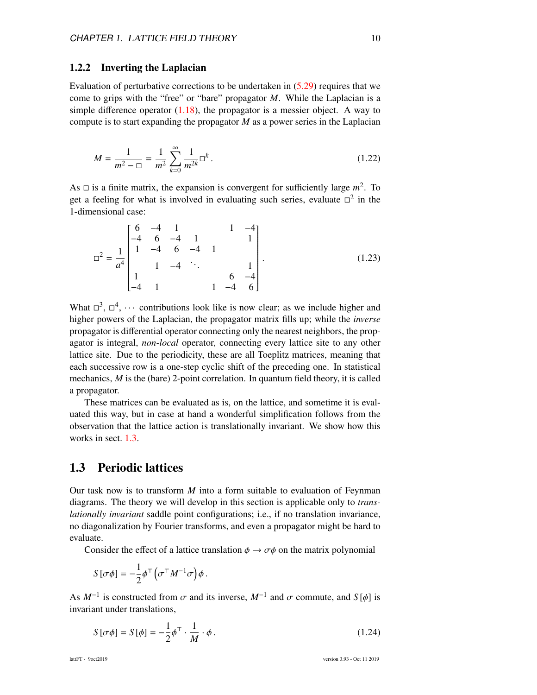#### <span id="page-10-1"></span>1.2.2 Inverting the Laplacian

Evaluation of perturbative corrections to be undertaken in [\(5.29\)](#page-44-1) requires that we come to grips with the "free" or "bare" propagator *M*. While the Laplacian is a simple difference operator  $(1.18)$ , the propagator is a messier object. A way to compute is to start expanding the propagator *M* as a power series in the Laplacian

<span id="page-10-3"></span>
$$
M = \frac{1}{m^2 - \Box} = \frac{1}{m^2} \sum_{k=0}^{\infty} \frac{1}{m^{2k}} \Box^k.
$$
 (1.22)

As  $\Box$  is a finite matrix, the expansion is convergent for sufficiently large  $m^2$ . To get a feeling for what is involved in evaluating such series, evaluate  $\Box^2$  in the 1-dimensional case:

$$
\Box^2 = \frac{1}{a^4} \begin{bmatrix} 6 & -4 & 1 & 1 & -4 \\ -4 & 6 & -4 & 1 & 1 \\ 1 & -4 & 6 & -4 & 1 \\ 1 & 1 & -4 & \ddots & 1 \\ 1 & 1 & 6 & -4 \\ -4 & 1 & 1 & -4 & 6 \end{bmatrix} .
$$
 (1.23)

What  $\Box^3$ ,  $\Box^4$ ,  $\cdots$  contributions look like is now clear; as we include higher and higher powers of the Laplacian, the propagator matrix fills up; while the *inverse* propagator is differential operator connecting only the nearest neighbors, the propagator is integral, *non-local* operator, connecting every lattice site to any other lattice site. Due to the periodicity, these are all Toeplitz matrices, meaning that each successive row is a one-step cyclic shift of the preceding one. In statistical mechanics, *M* is the (bare) 2-point correlation. In quantum field theory, it is called a propagator.

These matrices can be evaluated as is, on the lattice, and sometime it is evaluated this way, but in case at hand a wonderful simplification follows from the observation that the lattice action is translationally invariant. We show how this works in sect. [1.3.](#page-10-0)

#### <span id="page-10-0"></span>1.3 Periodic lattices

Our task now is to transform *M* into a form suitable to evaluation of Feynman diagrams. The theory we will develop in this section is applicable only to *translationally invariant* saddle point configurations; i.e., if no translation invariance, no diagonalization by Fourier transforms, and even a propagator might be hard to evaluate.

Consider the effect of a lattice translation  $\phi \to \sigma \phi$  on the matrix polynomial

$$
S[\sigma\phi] = -\frac{1}{2}\phi^{\top}(\sigma^{\top}M^{-1}\sigma)\phi.
$$

As  $M^{-1}$  is constructed from  $\sigma$  and its inverse,  $M^{-1}$  and  $\sigma$  commute, and *S*[ $\phi$ ] is invariant under translations invariant under translations,

<span id="page-10-2"></span>
$$
S[\sigma\phi] = S[\phi] = -\frac{1}{2}\phi^{\top} \cdot \frac{1}{M} \cdot \phi. \tag{1.24}
$$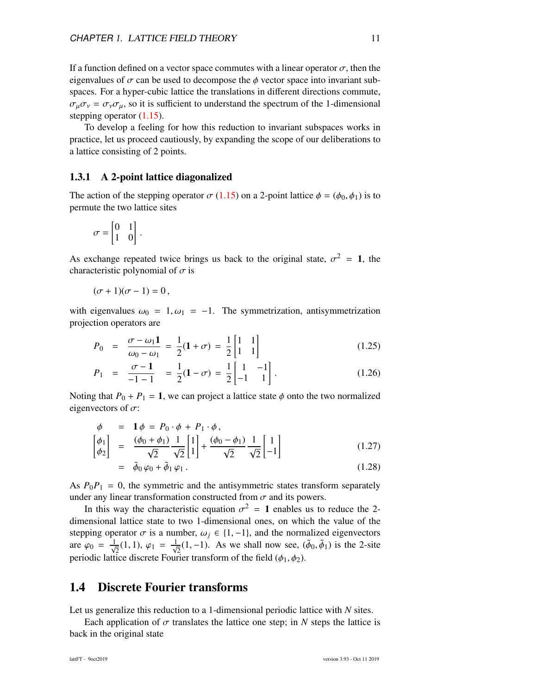If a function defined on a vector space commutes with a linear operator  $\sigma$ , then the eigenvalues of  $\sigma$  can be used to decompose the  $\phi$  vector space into invariant subspaces. For a hyper-cubic lattice the translations in different directions commute,  $\sigma_{\mu}\sigma_{\nu} = \sigma_{\nu}\sigma_{\mu}$ , so it is sufficient to understand the spectrum of the 1-dimensional stepping operator  $(1.15)$ .

To develop a feeling for how this reduction to invariant subspaces works in practice, let us proceed cautiously, by expanding the scope of our deliberations to a lattice consisting of 2 points.

#### <span id="page-11-1"></span>1.3.1 A 2-point lattice diagonalized

The action of the stepping operator  $\sigma$  [\(1.15\)](#page-8-0) on a 2-point lattice  $\phi = (\phi_0, \phi_1)$  is to permute the two lattice sites

$$
\sigma = \begin{bmatrix} 0 & 1 \\ 1 & 0 \end{bmatrix}.
$$

As exchange repeated twice brings us back to the original state,  $\sigma^2 = 1$ , the characteristic polynomial of  $\sigma$  is characteristic polynomial of  $\sigma$  is

$$
(\sigma+1)(\sigma-1)=0\,,
$$

with eigenvalues  $\omega_0 = 1, \omega_1 = -1$ . The symmetrization, antisymmetrization projection operators are

$$
P_0 = \frac{\sigma - \omega_1 \mathbf{1}}{\omega_0 - \omega_1} = \frac{1}{2} (\mathbf{1} + \sigma) = \frac{1}{2} \begin{bmatrix} 1 & 1 \\ 1 & 1 \end{bmatrix}
$$
(1.25)

$$
P_1 = \frac{\sigma - 1}{-1 - 1} = \frac{1}{2}(1 - \sigma) = \frac{1}{2} \begin{bmatrix} 1 & -1 \\ -1 & 1 \end{bmatrix}.
$$
 (1.26)

Noting that  $P_0 + P_1 = 1$ , we can project a lattice state  $\phi$  onto the two normalized eigenvectors of  $\sigma$ :

$$
\begin{array}{rcl}\n\phi & = & \mathbf{1}\,\phi = P_0 \cdot \phi + P_1 \cdot \phi \,, \\
\begin{bmatrix} \phi_1 \\ \phi_2 \end{bmatrix} & = & \frac{(\phi_0 + \phi_1)}{\sqrt{2}} \frac{1}{\sqrt{2}} \begin{bmatrix} 1 \\ 1 \end{bmatrix} + \frac{(\phi_0 - \phi_1)}{\sqrt{2}} \frac{1}{\sqrt{2}} \begin{bmatrix} 1 \\ -1 \end{bmatrix} \\
& = & \tilde{\phi}_0 \,\varphi_0 + \tilde{\phi}_1 \,\varphi_1 \,.\n\end{array} \tag{1.27}
$$

As 
$$
P_0P_1 = 0
$$
, the symmetric and the antisymmetric states transform separately  
under any linear transformation constructed from  $\sigma$  and its powers.

In this way the characteristic equation  $\sigma^2 = 1$  enables us to reduce the 2-<br>ensignal lattice state to two 1 dimensional ones, on which the value of the dimensional lattice state to two 1-dimensional ones, on which the value of the stepping operator  $\sigma$  is a number,  $\omega_j \in \{1, -1\}$ , and the normalized eigenvectors are  $\varphi_0 = \frac{1}{\sqrt{2}}(1, 1)$ ,  $\varphi_1 = \frac{1}{\sqrt{2}}(1, -1)$ . As we shall now see,  $(\tilde{\phi}_0, \tilde{\phi}_1)$  is the 2-site periodic lattice discrete Fourier transform of the field ( $\phi_1$ ,  $\phi_2$ ).

#### <span id="page-11-0"></span>1.4 Discrete Fourier transforms

Let us generalize this reduction to a 1-dimensional periodic lattice with *N* sites.

<span id="page-11-2"></span>Each application of  $\sigma$  translates the lattice one step; in *N* steps the lattice is back in the original state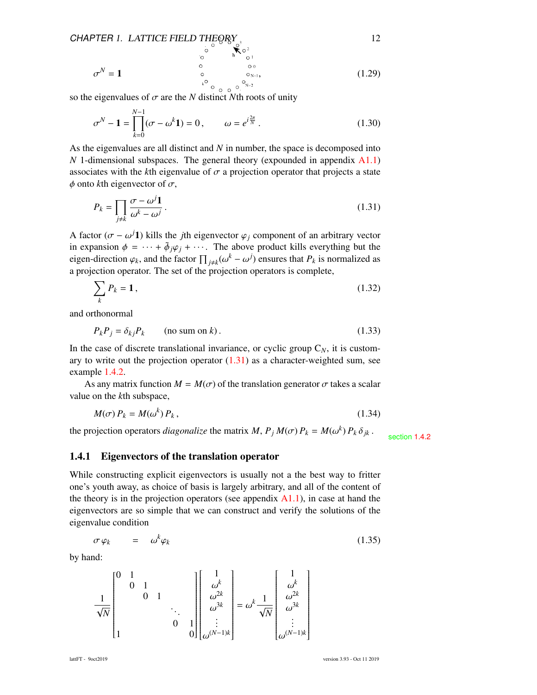CHAPTER 1. LATTICE FIELD THEORY  $_3$  12

$$
\sigma^{N} = 1
$$

so the eigenvalues of  $\sigma$  are the *N* distinct *N*th roots of unity

$$
\sigma^{N} - \mathbf{1} = \prod_{k=0}^{N-1} (\sigma - \omega^{k} \mathbf{1}) = 0, \qquad \omega = e^{i \frac{2\pi}{N}}.
$$
 (1.30)

As the eigenvalues are all distinct and *N* in number, the space is decomposed into *N* 1-dimensional subspaces. The general theory (expounded in appendix [A1.1\)](#page-60-1) associates with the *k*th eigenvalue of  $\sigma$  a projection operator that projects a state  $\phi$  onto *k*th eigenvector of  $\sigma$ ,

<span id="page-12-1"></span>
$$
P_k = \prod_{j \neq k} \frac{\sigma - \omega^j \mathbf{1}}{\omega^k - \omega^j} \,. \tag{1.31}
$$

A factor  $(\sigma - \omega^j I)$  kills the *j*th eigenvector  $\varphi_j$  component of an arbitrary vector in expansion  $\phi = \omega + \tilde{\phi}(\omega + \omega)$ . The above product kills everything but the in expansion  $\phi = \cdots + \tilde{\phi}_j \varphi_j + \cdots$ . The above product kills everything but the eigen-direction  $\varphi_j$  and the factor  $\Pi$  ( $(\psi^k - \psi^j)$ ) ensures that  $P_j$  is normalized as eigen-direction  $\varphi_k$ , and the factor  $\prod_{j\neq k} (\omega^k - \omega^j)$  ensures that  $P_k$  is normalized as a projection operator. The set of the projection operators is complete,

$$
\sum_{k} P_k = 1, \tag{1.32}
$$

and orthonormal

<span id="page-12-4"></span>
$$
P_k P_j = \delta_{kj} P_k \qquad \text{(no sum on } k\text{)}.
$$
\n(1.33)

In the case of discrete translational invariance, or cyclic group  $C_N$ , it is customary to write out the projection operator  $(1.31)$  as a character-weighted sum, see example [1.4.2.](#page-14-0)

As any matrix function  $M = M(\sigma)$  of the translation generator  $\sigma$  takes a scalar value on the *k*th subspace,

$$
M(\sigma) P_k = M(\omega^k) P_k, \qquad (1.34)
$$

the projection operators *diagonalize* the matrix *M*,  $P_j M(\sigma) P_k = M(\omega^k) P_k \delta_{jk}$ .

<span id="page-12-3"></span>section [1.4.2](#page-14-0)

#### <span id="page-12-0"></span>1.4.1 Eigenvectors of the translation operator

While constructing explicit eigenvectors is usually not a the best way to fritter one's youth away, as choice of basis is largely arbitrary, and all of the content of the theory is in the projection operators (see appendix  $A1.1$ ), in case at hand the eigenvectors are so simple that we can construct and verify the solutions of the eigenvalue condition

<span id="page-12-2"></span>
$$
\sigma \varphi_k = \omega^k \varphi_k \tag{1.35}
$$

by hand:

$$
\frac{1}{\sqrt{N}}\begin{bmatrix}0&1&&&\\&0&1&&\\&&0&1&&\\&&&\ddots&\\&&&&0&1\\1&&&&&0\end{bmatrix}\begin{bmatrix}1\\&\omega^k\\&\omega^{2k}\\&\omega^{3k}\\&&\vdots\\&\omega^{3k}\end{bmatrix}=\omega^k\frac{1}{\sqrt{N}}\begin{bmatrix}1\\&\omega^k\\&\omega^{2k}\\&\omega^{3k}\\&\vdots\\&\omega^{(N-1)k}\end{bmatrix}
$$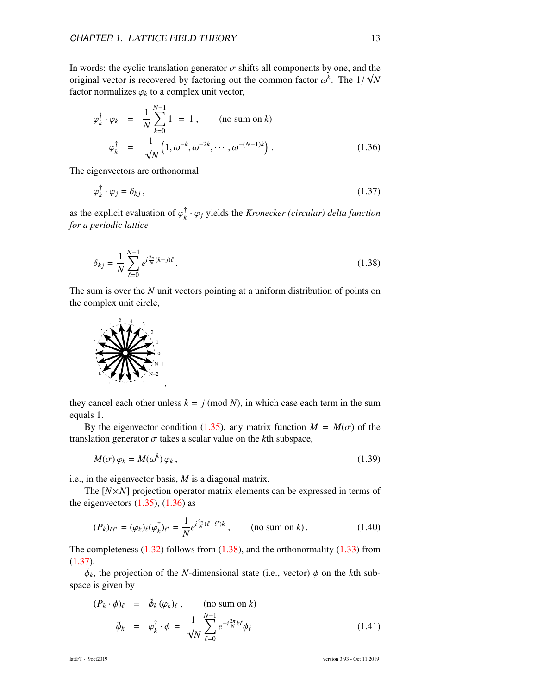In words: the cyclic translation generator  $\sigma$  shifts all components by one, and the original vector is recovered by factoring out the common factor  $\omega^k$ . The  $1/\sqrt{N}$ original vector is recovered by factoring out the common factor  $\omega^k$ . The  $1/\sqrt{N}$ <br>factor pormalizes  $\omega$ , to a complex unit vector factor normalizes  $\varphi_k$  to a complex unit vector,

<span id="page-13-0"></span>
$$
\varphi_k^{\dagger} \cdot \varphi_k = \frac{1}{N} \sum_{k=0}^{N-1} 1 = 1, \qquad \text{(no sum on } k)
$$

$$
\varphi_k^{\dagger} = \frac{1}{\sqrt{N}} \left( 1, \omega^{-k}, \omega^{-2k}, \cdots, \omega^{-(N-1)k} \right). \tag{1.36}
$$

The eigenvectors are orthonormal

<span id="page-13-2"></span><span id="page-13-1"></span>
$$
\varphi_k^{\dagger} \cdot \varphi_j = \delta_{kj}, \qquad (1.37)
$$

as the explicit evaluation of  $\varphi_k^{\dagger}$ <br>for a periodic lattice *k* · <sup>ϕ</sup>*<sup>j</sup>* yields the *Kronecker (circular) delta function for a periodic lattice*

$$
\delta_{kj} = \frac{1}{N} \sum_{\ell=0}^{N-1} e^{i\frac{2\pi}{N}(k-j)\ell}.
$$
 (1.38)

The sum is over the *N* unit vectors pointing at a uniform distribution of points on the complex unit circle,



they cancel each other unless  $k = j \pmod{N}$ , in which case each term in the sum equals 1.

By the eigenvector condition [\(1.35\)](#page-12-2), any matrix function  $M = M(\sigma)$  of the translation generator  $\sigma$  takes a scalar value on the *k*th subspace,

<span id="page-13-4"></span>
$$
M(\sigma)\varphi_k = M(\omega^k)\varphi_k, \qquad (1.39)
$$

i.e., in the eigenvector basis, *M* is a diagonal matrix.

The [*N*×*N*] projection operator matrix elements can be expressed in terms of the eigenvectors  $(1.35)$ ,  $(1.36)$  as

$$
(P_k)_{\ell\ell'} = (\varphi_k)_{\ell} (\varphi_k^{\dagger})_{\ell'} = \frac{1}{N} e^{i\frac{2\pi}{N}(\ell - \ell')k} , \qquad \text{(no sum on } k). \tag{1.40}
$$

The completeness  $(1.32)$  follows from  $(1.38)$ , and the orthonormality  $(1.33)$  from  $(1.37).$  $(1.37).$ 

 $\tilde{\phi}_k$ , the projection of the *N*-dimensional state (i.e., vector)  $\phi$  on the *k*th subspace is given by

<span id="page-13-3"></span>
$$
(P_k \cdot \phi)_{\ell} = \tilde{\phi}_k (\varphi_k)_{\ell}, \qquad \text{(no sum on } k)
$$
  

$$
\tilde{\phi}_k = \varphi_k^{\dagger} \cdot \phi = \frac{1}{\sqrt{N}} \sum_{\ell=0}^{N-1} e^{-i\frac{2\pi}{N}k\ell} \phi_{\ell} \qquad (1.41)
$$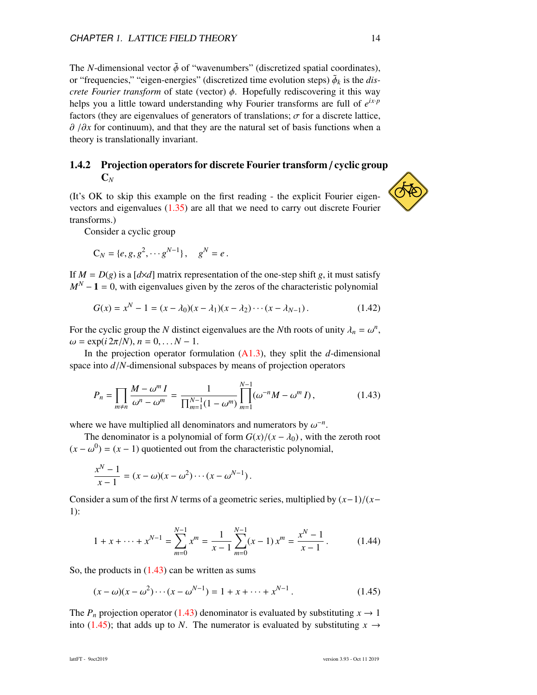The *N*-dimensional vector  $\tilde{\phi}$  of "wavenumbers" (discretized spatial coordinates), or "frequencies," "eigen-energies" (discretized time evolution steps)  $\tilde{\phi}_k$  is the *dis-*<br>crete Fourier transform of state (vector)  $\phi$ . Hopefully rediscovering it this way. *crete Fourier transform* of state (vector) φ. Hopefully rediscovering it this way helps you a little toward understanding why Fourier transforms are full of *e ix*·*p* factors (they are eigenvalues of generators of translations;  $\sigma$  for a discrete lattice, ∂ /∂*x* for continuum), and that they are the natural set of basis functions when a theory is translationally invariant.

#### <span id="page-14-0"></span>1.4.2 Projection operators for discrete Fourier transform / cyclic group  $\mathbf{C}_N$

(It's OK to skip this example on the first reading - the explicit Fourier eigenvectors and eigenvalues  $(1.35)$  are all that we need to carry out discrete Fourier transforms.)

Consider a cyclic group

$$
C_N = \{e, g, g^2, \cdots g^{N-1}\}, \quad g^N = e.
$$

If  $M = D(g)$  is a  $\left[\frac{d}{d}\right]$  matrix representation of the one-step shift *g*, it must satisfy  $M^N - 1 = 0$ , with eigenvalues given by the zeros of the characteristic polynomial

$$
G(x) = xN - 1 = (x - \lambda_0)(x - \lambda_1)(x - \lambda_2) \cdots (x - \lambda_{N-1}).
$$
 (1.42)

For the cyclic group the *N* distinct eigenvalues are the *N*th roots of unity  $\lambda_n = \omega^n$ ,  $\omega = \exp(i 2\pi / N)$ ,  $n = 0$ ,  $N = 1$  $\omega = \exp(i 2\pi/N), n = 0, \ldots N - 1.$ 

In the projection operator formulation  $(A1.3)$ , they split the *d*-dimensional space into *<sup>d</sup>*/*N*-dimensional subspaces by means of projection operators

$$
P_n = \prod_{m \neq n} \frac{M - \omega^m I}{\omega^n - \omega^m} = \frac{1}{\prod_{m=1}^{N-1} (1 - \omega^m)} \prod_{m=1}^{N-1} (\omega^{-n} M - \omega^m I), \qquad (1.43)
$$

where we have multiplied all denominators and numerators by  $\omega^{-n}$ .<br>The denominator is a polynomial of form  $G(x)/(x - \lambda_0)$ , with t

The denominator is a polynomial of form  $G(x)/(x - \lambda_0)$ , with the zeroth root  $(x - \omega^0) = (x - 1)$  quotiented out from the characteristic polynomial,

$$
\frac{x^N-1}{x-1}=(x-\omega)(x-\omega^2)\cdots(x-\omega^{N-1}).
$$

Consider a sum of the first *<sup>N</sup>* terms of a geometric series, multiplied by (*x*−1)/(*x*<sup>−</sup> 1):

$$
1 + x + \dots + x^{N-1} = \sum_{m=0}^{N-1} x^m = \frac{1}{x-1} \sum_{m=0}^{N-1} (x-1) x^m = \frac{x^N - 1}{x-1}.
$$
 (1.44)

So, the products in [\(1.43\)](#page-14-1) can be written as sums

<span id="page-14-2"></span>
$$
(x - \omega)(x - \omega^2) \cdots (x - \omega^{N-1}) = 1 + x + \cdots + x^{N-1}.
$$
 (1.45)

The  $P_n$  projection operator [\(1.43\)](#page-14-1) denominator is evaluated by substituting  $x \to 1$ into [\(1.45\)](#page-14-2); that adds up to *N*. The numerator is evaluated by substituting  $x \rightarrow$ 

<span id="page-14-1"></span>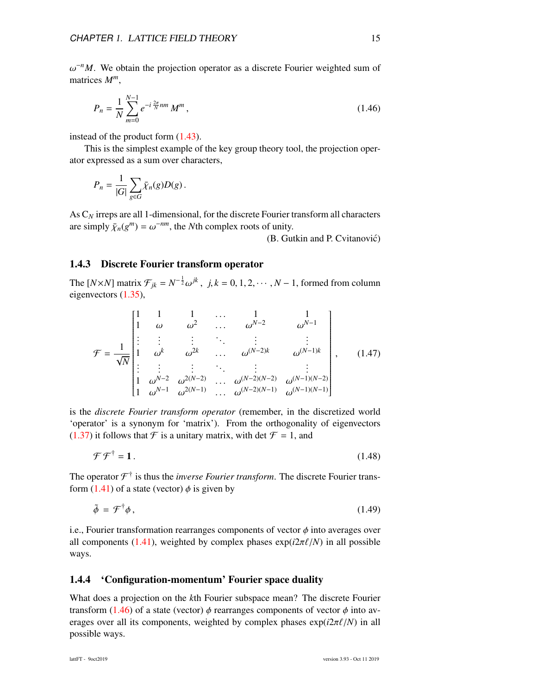matrices  $M^m$ ,  $\omega^{-n}M$ . We obtain the projection operator as a discrete Fourier weighted sum of

<span id="page-15-2"></span>
$$
P_n = \frac{1}{N} \sum_{m=0}^{N-1} e^{-i \frac{2\pi}{N} nm} M^m,
$$
\n(1.46)

instead of the product form [\(1.43\)](#page-14-1).

This is the simplest example of the key group theory tool, the projection operator expressed as a sum over characters,

$$
P_n = \frac{1}{|G|} \sum_{g \in G} \bar{\chi}_n(g) D(g) \, .
$$

As C<sub>N</sub> irreps are all 1-dimensional, for the discrete Fourier transform all characters are simply  $\bar{\chi}_n(g^m) = \omega^{-nm}$ , the *N*th complex roots of unity.

(B. Gutkin and P. Cvitanovic)´

#### <span id="page-15-0"></span>1.4.3 Discrete Fourier transform operator

The  $[N \times N]$  matrix  $\mathcal{F}_{jk} = N^{-\frac{1}{2}} \omega^{jk}$ ,  $j, k = 0, 1, 2, \dots, N - 1$ , formed from column eigenvectors [\(1.35\)](#page-12-2),

$$
\mathcal{F} = \frac{1}{\sqrt{N}} \begin{bmatrix} 1 & 1 & 1 & \cdots & 1 & 1 \\ 1 & \omega & \omega^2 & \cdots & \omega^{N-2} & \omega^{N-1} \\ \vdots & \vdots & \vdots & \ddots & \vdots & \vdots \\ 1 & \omega^k & \omega^{2k} & \cdots & \omega^{(N-2)k} & \omega^{(N-1)k} \\ \vdots & \vdots & \vdots & \ddots & \vdots & \vdots \\ 1 & \omega^{N-2} & \omega^{2(N-2)} & \cdots & \omega^{(N-2)(N-2)} & \omega^{(N-1)(N-2)} \\ 1 & \omega^{N-1} & \omega^{2(N-1)} & \cdots & \omega^{(N-2)(N-1)} & \omega^{(N-1)(N-1)} \end{bmatrix},
$$
(1.47)

is the *discrete Fourier transform operator* (remember, in the discretized world 'operator' is a synonym for 'matrix'). From the orthogonality of eigenvectors [\(1.37\)](#page-13-2) it follows that  $\mathcal F$  is a unitary matrix, with det  $\mathcal F = 1$ , and

$$
\mathcal{F}\mathcal{F}^{\dagger}=\mathbf{1}.
$$
 (1.48)

The operator  $\mathcal{F}^{\dagger}$  is thus the *inverse Fourier transform*. The discrete Fourier trans-form [\(1.41\)](#page-13-3) of a state (vector)  $\phi$  is given by

$$
\tilde{\phi} = \mathcal{F}^{\dagger} \phi, \tag{1.49}
$$

i.e., Fourier transformation rearranges components of vector  $\phi$  into averages over all components [\(1.41\)](#page-13-3), weighted by complex phases  $\exp(i2\pi\ell/N)$  in all possible ways.

#### <span id="page-15-1"></span>1.4.4 'Configuration-momentum' Fourier space duality

What does a projection on the *k*th Fourier subspace mean? The discrete Fourier transform [\(1.46\)](#page-15-2) of a state (vector)  $\phi$  rearranges components of vector  $\phi$  into averages over all its components, weighted by complex phases  $exp(i2\pi\ell/N)$  in all possible ways.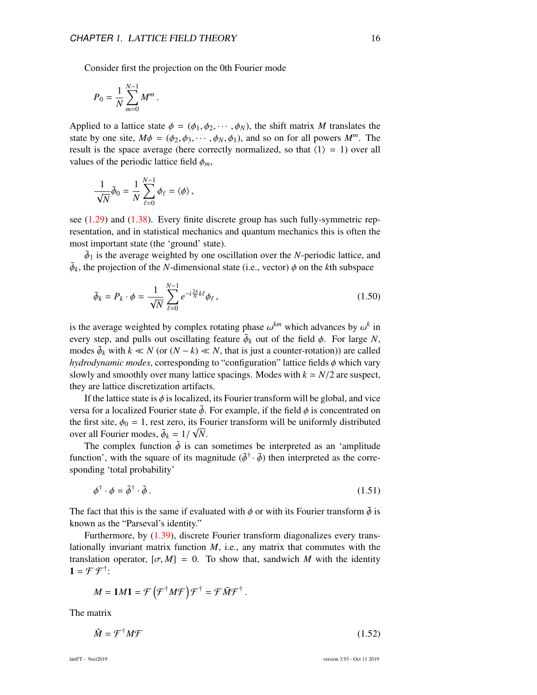Consider first the projection on the 0th Fourier mode

$$
P_0 = \frac{1}{N} \sum_{m=0}^{N-1} M^m.
$$

Applied to a lattice state  $\phi = (\phi_1, \phi_2, \cdots, \phi_N)$ , the shift matrix *M* translates the state by one site,  $M\phi = (\phi_2, \phi_3, \cdots, \phi_N, \phi_1)$ , and so on for all powers  $M^m$ . The result is the space average (here correctly normalized, so that  $\langle 1 \rangle = 1$ ) over all values of the periodic lattice field  $\phi_m$ ,

$$
\frac{1}{\sqrt{N}}\tilde{\phi}_0 = \frac{1}{N}\sum_{\ell=0}^{N-1}\phi_\ell = \langle \phi \rangle,
$$

see [\(1.29\)](#page-11-2) and [\(1.38\)](#page-13-1). Every finite discrete group has such fully-symmetric representation, and in statistical mechanics and quantum mechanics this is often the most important state (the 'ground' state).

 $\tilde{\phi}_1$  is the average weighted by one oscillation over the *N*-periodic lattice, and the projection of the *N*-dimensional state (i.e., vector)  $\phi$  on the *k*th subspace  $\tilde{\phi}_k$ , the projection of the *N*-dimensional state (i.e., vector)  $\phi$  on the *k*th subspace

$$
\tilde{\phi}_k = P_k \cdot \phi = \frac{1}{\sqrt{N}} \sum_{\ell=0}^{N-1} e^{-i\frac{2\pi}{N}k\ell} \phi_\ell , \qquad (1.50)
$$

is the average weighted by complex rotating phase  $\omega^{km}$  which advances by  $\omega^k$  in<br>every step, and pulls out oscillating feature  $\tilde{\lambda}_k$  out of the field  $\phi$ . For large N every step, and pulls out oscillating feature  $\tilde{\phi}_k$  out of the field  $\phi$ . For large *N*, modes  $\tilde{\phi}_k$  with  $k \ll N$  (or  $(N-k) \ll N$  that is just a counter-rotation)) are called modes  $\tilde{\phi}_k$  with  $k \ll N$  (or  $(N - k) \ll N$ , that is just a counter-rotation)) are called<br>*hydrodynamic modes*, corresponding to "configuration" lattice fields  $\phi$  which yary *hydrodynamic modes*, corresponding to "configuration" lattice fields φ which vary slowly and smoothly over many lattice spacings. Modes with  $k \approx N/2$  are suspect, they are lattice discretization artifacts.

If the lattice state is  $\phi$  is localized, its Fourier transform will be global, and vice versa for a localized Fourier state  $\tilde{\phi}$ . For example, if the field  $\phi$  is concentrated on the first site,  $\phi_0 = 1$ , rest zero, its Fourier transform will be uniformly distributed<br>over all Fourier modes  $\tilde{A}_1 = 1/\sqrt{N}$ over all Fourier modes,  $\tilde{\phi}_k = 1/\sqrt{N}$ .<br>The complex function  $\tilde{\phi}$  is can

The complex function  $\tilde{\phi}$  is can sometimes be interpreted as an 'amplitude function', with the square of its magnitude  $(\tilde{\phi}^{\dagger} \cdot \tilde{\phi})$  then interpreted as the corresponding 'total probability'

<span id="page-16-0"></span>
$$
\phi^{\dagger} \cdot \phi = \tilde{\phi}^{\dagger} \cdot \tilde{\phi} \,. \tag{1.51}
$$

The fact that this is the same if evaluated with  $\phi$  or with its Fourier transform  $\tilde{\phi}$  is known as the "Parseval's identity."

Furthermore, by  $(1.39)$ , discrete Fourier transform diagonalizes every translationally invariant matrix function *M*, i.e., any matrix that commutes with the translation operator,  $[\sigma, M] = 0$ . To show that, sandwich *M* with the identity  $1 = \mathcal{F} \mathcal{F}^{\dagger}$ :

<span id="page-16-1"></span>
$$
M=\mathbf{1}M\mathbf{1}=\mathcal{F}\left(\mathcal{F}^{\dagger}M\mathcal{F}\right)\mathcal{F}^{\dagger}=\mathcal{F}\tilde{M}\mathcal{F}^{\dagger}.
$$

The matrix

$$
\tilde{M} = \mathcal{F}^{\dagger} M \mathcal{F} \tag{1.52}
$$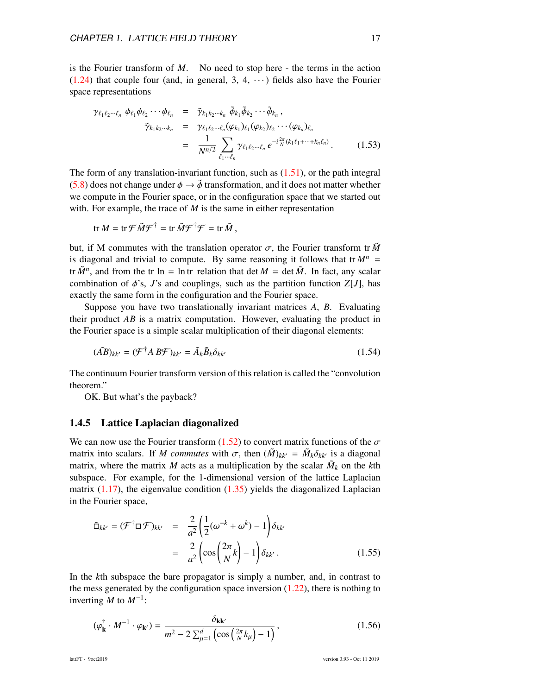is the Fourier transform of *M*. No need to stop here - the terms in the action  $(1.24)$  that couple four (and, in general, 3, 4,  $\cdots$ ) fields also have the Fourier space representations

<span id="page-17-1"></span>
$$
\gamma_{\ell_1\ell_2\cdots\ell_n} \phi_{\ell_1}\phi_{\ell_2}\cdots\phi_{\ell_n} = \tilde{\gamma}_{k_1k_2\cdots k_n} \tilde{\phi}_{k_1}\tilde{\phi}_{k_2}\cdots\tilde{\phi}_{k_n},
$$
  
\n
$$
\tilde{\gamma}_{k_1k_2\cdots k_n} = \gamma_{\ell_1\ell_2\cdots\ell_n}(\varphi_{k_1})_{\ell_1}(\varphi_{k_2})_{\ell_2}\cdots(\varphi_{k_n})_{\ell_n}
$$
  
\n
$$
= \frac{1}{N^{n/2}} \sum_{\ell_1\cdots\ell_n} \gamma_{\ell_1\ell_2\cdots\ell_n} e^{-i\frac{2\pi}{N}(k_1\ell_1+\cdots+k_n\ell_n)}.
$$
 (1.53)

The form of any translation-invariant function, such as  $(1.51)$ , or the path integral [\(5.8\)](#page-39-0) does not change under  $\phi \rightarrow \tilde{\phi}$  transformation, and it does not matter whether we compute in the Fourier space, or in the configuration space that we started out with. For example, the trace of *M* is the same in either representation

$$
\operatorname{tr} M = \operatorname{tr} \mathcal{F} \tilde{M} \mathcal{F}^{\dagger} = \operatorname{tr} \tilde{M} \mathcal{F}^{\dagger} \mathcal{F} = \operatorname{tr} \tilde{M},
$$

but, if M commutes with the translation operator  $\sigma$ , the Fourier transform tr  $\tilde{M}$ is diagonal and trivial to compute. By same reasoning it follows that tr  $M^n$  = tr  $\tilde{M}^n$ , and from the tr ln = ln tr relation that det  $M = \det \tilde{M}$ . In fact, any scalar combination of  $\phi$ 's, *J*'s and couplings, such as the partition function *Z*[*J*], has exactly the same form in the configuration and the Fourier space.

Suppose you have two translationally invariant matrices *A*, *B*. Evaluating their product *AB* is a matrix computation. However, evaluating the product in the Fourier space is a simple scalar multiplication of their diagonal elements:

$$
(\tilde{A}\tilde{B})_{kk'} = (\mathcal{F}^{\dagger} A B \mathcal{F})_{kk'} = \tilde{A}_k \tilde{B}_k \delta_{kk'} \qquad (1.54)
$$

The continuum Fourier transform version of this relation is called the "convolution theorem."

OK. But what's the payback?

#### <span id="page-17-0"></span>1.4.5 Lattice Laplacian diagonalized

We can now use the Fourier transform [\(1.52\)](#page-16-1) to convert matrix functions of the  $\sigma$ matrix into scalars. If *M commutes* with  $\sigma$ , then  $(\tilde{M})_{kk'} = \tilde{M}_k \delta_{kk'}$  is a diagonal matrix where the matrix *M* acts as a multiplication by the scalar  $\tilde{M}_k$  on the kth matrix, where the matrix *M* acts as a multiplication by the scalar  $\tilde{M}_k$  on the *k*th subspace. For example, for the 1-dimensional version of the lattice Laplacian matrix  $(1.17)$ , the eigenvalue condition  $(1.35)$  yields the diagonalized Laplacian in the Fourier space,

<span id="page-17-2"></span>
$$
\tilde{\Box}_{kk'} = (\mathcal{F}^{\dagger} \Box \mathcal{F})_{kk'} = \frac{2}{a^2} \left( \frac{1}{2} (\omega^{-k} + \omega^k) - 1 \right) \delta_{kk'}
$$

$$
= \frac{2}{a^2} \left( \cos \left( \frac{2\pi}{N} k \right) - 1 \right) \delta_{kk'}.
$$
(1.55)

In the *k*th subspace the bare propagator is simply a number, and, in contrast to the mess generated by the configuration space inversion  $(1.22)$ , there is nothing to inverting *M* to  $M^{-1}$ :

<span id="page-17-3"></span>
$$
(\varphi_{\mathbf{k}}^{\dagger} \cdot M^{-1} \cdot \varphi_{\mathbf{k'}}) = \frac{\delta_{\mathbf{k}\mathbf{k'}}}{m^2 - 2 \sum_{\mu=1}^d \left(\cos\left(\frac{2\pi}{N}k_{\mu}\right) - 1\right)},
$$
(1.56)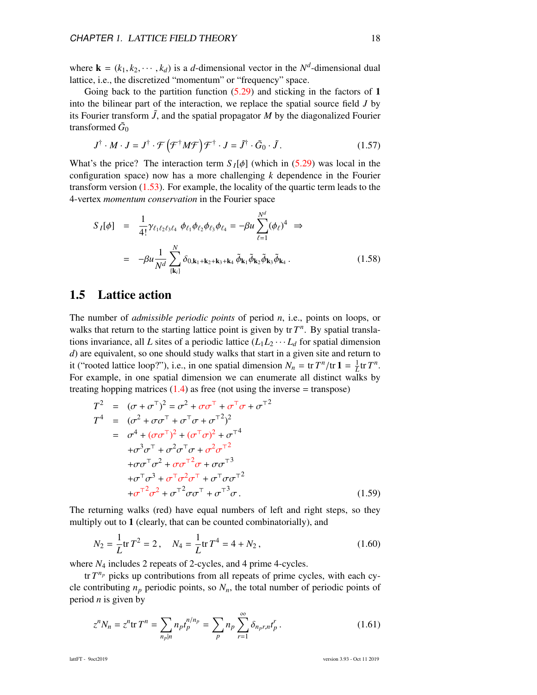where  $\mathbf{k} = (k_1, k_2, \dots, k_d)$  is a *d*-dimensional vector in the  $N^d$ -dimensional dual<br>lattice i.e. the discretized "momentum" or "frequency" space lattice, i.e., the discretized "momentum" or "frequency" space.

Going back to the partition function  $(5.29)$  and sticking in the factors of 1 into the bilinear part of the interaction, we replace the spatial source field *J* by its Fourier transform  $\tilde{J}$ , and the spatial propagator  $M$  by the diagonalized Fourier transformed  $\tilde{G}_0$ 

$$
J^{\dagger} \cdot M \cdot J = J^{\dagger} \cdot \mathcal{F} \left( \mathcal{F}^{\dagger} M \mathcal{F} \right) \mathcal{F}^{\dagger} \cdot J = \tilde{J}^{\dagger} \cdot \tilde{G}_0 \cdot \tilde{J}. \qquad (1.57)
$$

What's the price? The interaction term  $S_I[\phi]$  (which in [\(5.29\)](#page-44-1) was local in the configuration space) now has a more challenging *k* dependence in the Fourier transform version [\(1.53\)](#page-17-1). For example, the locality of the quartic term leads to the 4-vertex *momentum conservation* in the Fourier space

<span id="page-18-2"></span>
$$
S_{I}[\phi] = \frac{1}{4!} \gamma_{\ell_{1}\ell_{2}\ell_{3}\ell_{4}} \phi_{\ell_{1}} \phi_{\ell_{2}} \phi_{\ell_{3}} \phi_{\ell_{4}} = -\beta u \sum_{\ell=1}^{N^{d}} (\phi_{\ell})^{4} \Rightarrow = -\beta u \frac{1}{N^{d}} \sum_{\{\mathbf{k}_{i}\}}^{N} \delta_{0,\mathbf{k}_{1}+\mathbf{k}_{2}+\mathbf{k}_{3}+\mathbf{k}_{4}} \tilde{\phi}_{\mathbf{k}_{1}} \tilde{\phi}_{\mathbf{k}_{2}} \tilde{\phi}_{\mathbf{k}_{3}} \tilde{\phi}_{\mathbf{k}_{4}}.
$$
 (1.58)

### <span id="page-18-0"></span>1.5 Lattice action

The number of *admissible periodic points* of period *n*, i.e., points on loops, or walks that return to the starting lattice point is given by  $\text{tr } T^n$ . By spatial translations invariance, all *L* sites of a periodic lattice  $(L_1L_2 \cdots L_d$  for spatial dimension *d*) are equivalent, so one should study walks that start in a given site and return to it ("rooted lattice loop?"), i.e., in one spatial dimension  $N_n = \text{tr } T^n / \text{tr } \mathbf{1} = \frac{1}{L} \text{tr } T^n$ .<br>For example, in one spatial dimension we can enumerate all distinct walks by For example, in one spatial dimension we can enumerate all distinct walks by treating hopping matrices  $(1.4)$  as free (not using the inverse = transpose)

$$
T^{2} = (\sigma + \sigma^{T})^{2} = \sigma^{2} + \sigma \sigma^{T} + \sigma^{T} \sigma + \sigma^{T^{2}}
$$
  
\n
$$
T^{4} = (\sigma^{2} + \sigma \sigma^{T} + \sigma^{T} \sigma + \sigma^{T^{2}})^{2}
$$
  
\n
$$
= \sigma^{4} + (\sigma \sigma^{T})^{2} + (\sigma^{T} \sigma)^{2} + \sigma^{T^{4}}
$$
  
\n
$$
+ \sigma^{3} \sigma^{T} + \sigma^{2} \sigma^{T} \sigma + \sigma^{2} \sigma^{T^{2}}
$$
  
\n
$$
+ \sigma \sigma^{T} \sigma^{2} + \sigma \sigma^{T^{2}} \sigma + \sigma \sigma^{T^{3}}
$$
  
\n
$$
+ \sigma^{T} \sigma^{3} + \sigma^{T} \sigma^{2} \sigma^{T} + \sigma^{T} \sigma \sigma^{T^{2}}
$$
  
\n
$$
+ \sigma^{T^{2}} \sigma^{2} + \sigma^{T^{2}} \sigma \sigma^{T} + \sigma^{T^{3}} \sigma.
$$
  
\n(1.59)

The returning walks (red) have equal numbers of left and right steps, so they multiply out to 1 (clearly, that can be counted combinatorially), and

$$
N_2 = \frac{1}{L} \text{tr} \, T^2 = 2 \,, \quad N_4 = \frac{1}{L} \text{tr} \, T^4 = 4 + N_2 \,, \tag{1.60}
$$

where *N*<sup>4</sup> includes 2 repeats of 2-cycles, and 4 prime 4-cycles.

tr  $T^{n_p}$  picks up contributions from all repeats of prime cycles, with each cycle contributing  $n_p$  periodic points, so  $N_n$ , the total number of periodic points of period *n* is given by

<span id="page-18-1"></span>
$$
z^{n}N_{n} = z^{n} \text{tr} T^{n} = \sum_{n_{p}|n} n_{p} t_{p}^{n/n_{p}} = \sum_{p} n_{p} \sum_{r=1}^{\infty} \delta_{n_{p}r,n} t_{p}^{r}.
$$
 (1.61)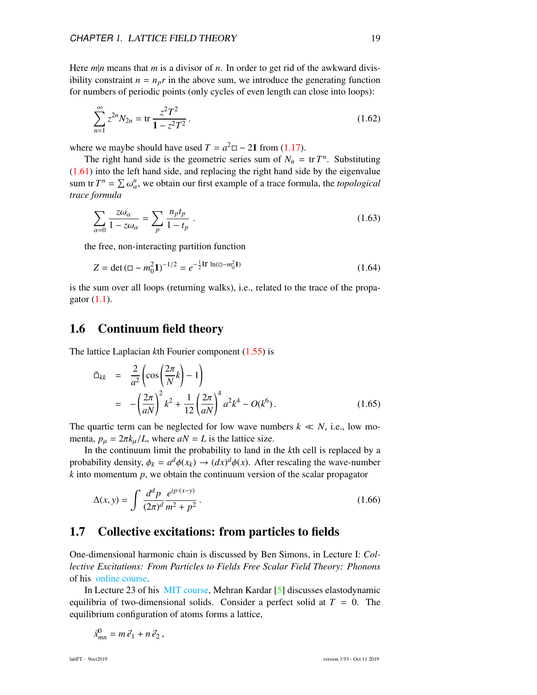Here  $m|n$  means that  $m$  is a divisor of  $n$ . In order to get rid of the awkward divisibility constraint  $n = n_p r$  in the above sum, we introduce the generating function for numbers of periodic points (only cycles of even length can close into loops):

$$
\sum_{n=1}^{\infty} z^{2n} N_{2n} = \text{tr} \frac{z^2 T^2}{1 - z^2 T^2} \,. \tag{1.62}
$$

where we maybe should have used  $T = a^2 \square - 21$  from [\(1.17\)](#page-9-2).

The right hand side is the geometric series sum of  $N_n = \text{tr } T^n$ . Substituting [\(1.61\)](#page-18-1) into the left hand side, and replacing the right hand side by the eigenvalue sum tr  $T^n = \sum$ ω *n* , we obtain our first example of a trace formula, the *topological trace formula*

$$
\sum_{\alpha=0} \frac{z \omega_{\alpha}}{1 - z \omega_{\alpha}} = \sum_{p} \frac{n_p t_p}{1 - t_p} \tag{1.63}
$$

the free, non-interacting partition function

<span id="page-19-2"></span>
$$
Z = \det(\square - m_0^2 \mathbf{1})^{-1/2} = e^{-\frac{1}{2}\text{tr}\ln(\square - m_0^2 \mathbf{1})}
$$
(1.64)

is the sum over all loops (returning walks), i.e., related to the trace of the propagator [\(1.1\)](#page-6-0).

#### <span id="page-19-0"></span>1.6 Continuum field theory

The lattice Laplacian *k*th Fourier component [\(1.55\)](#page-17-2) is

$$
\tilde{\Box}_{kk} = \frac{2}{a^2} \left( \cos \left( \frac{2\pi}{N} k \right) - 1 \right) \n= - \left( \frac{2\pi}{aN} \right)^2 k^2 + \frac{1}{12} \left( \frac{2\pi}{aN} \right)^4 a^2 k^4 - O(k^6).
$$
\n(1.65)

The quartic term can be neglected for low wave numbers  $k \ll N$ , i.e., low momenta,  $p_{\mu} = 2\pi k_{\mu}/L$ , where  $aN = L$  is the lattice size.

In the continuum limit the probability to land in the *k*th cell is replaced by a probability density,  $\phi_k = a^d \phi(x_k) \rightarrow (dx)^d \phi(x)$ . After rescaling the wave-number *k* into momentum *n* we obtain the continuum version of the scalar propagator *k* into momentum *p*, we obtain the continuum version of the scalar propagator

$$
\Delta(x, y) = \int \frac{d^d p}{(2\pi)^d} \frac{e^{ip \cdot (x-y)}}{m^2 + p^2}.
$$
\n(1.66)

#### <span id="page-19-1"></span>1.7 Collective excitations: from particles to fields

One-dimensional harmonic chain is discussed by Ben Simons, in Lecture I: *Collective Excitations: From Particles to Fields Free Scalar Field Theory: Phonons* of his [online course.](https://www.tcm.phy.cam.ac.uk/~bds10/tp3/lectures.pdf)

In Lecture 23 of his [MIT course,](https://ocw.mit.edu/courses/physics/8-334-statistical-mechanics-ii-statistical-physics-of-fields-spring-2014/) Mehran Kardar [\[5\]](#page-22-0) discusses elastodynamic equilibria of two-dimensional solids. Consider a perfect solid at  $T = 0$ . The equilibrium configuration of atoms forms a lattice,

$$
\vec{x}_{mn}^0 = m \vec{e}_1 + n \vec{e}_2 ,
$$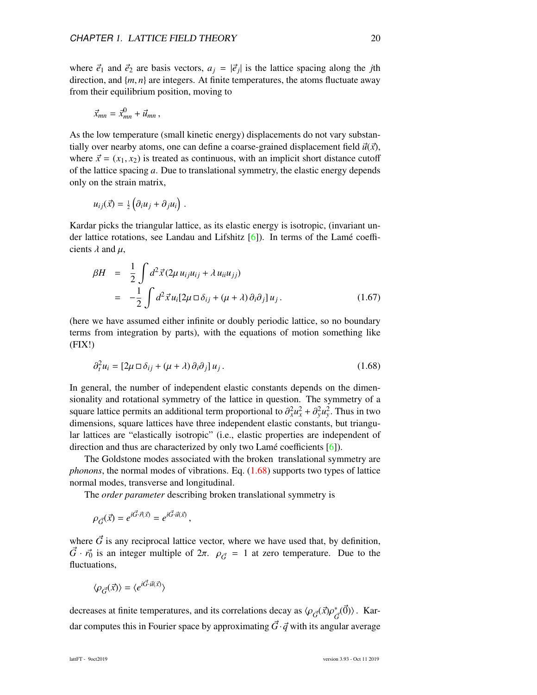where  $\vec{e}_1$  and  $\vec{e}_2$  are basis vectors,  $a_j = |\vec{e}_j|$  is the lattice spacing along the *j*th direction and *lm n*) are integers. At finite temperatures, the atoms fluctuate away direction, and  $\{m, n\}$  are integers. At finite temperatures, the atoms fluctuate away from their equilibrium position, moving to

$$
\vec{x}_{mn} = \vec{x}_{mn}^0 + \vec{u}_{mn}\,,
$$

As the low temperature (small kinetic energy) displacements do not vary substantially over nearby atoms, one can define a coarse-grained displacement field  $\vec{u}(\vec{x})$ , where  $\vec{x} = (x_1, x_2)$  is treated as continuous, with an implicit short distance cutoff of the lattice spacing *a*. Due to translational symmetry, the elastic energy depends only on the strain matrix,

$$
u_{ij}(\vec{x}) = \frac{1}{2} \left( \partial_i u_j + \partial_j u_i \right) .
$$

Kardar picks the triangular lattice, as its elastic energy is isotropic, (invariant under lattice rotations, see Landau and Lifshitz [\[6\]](#page-22-1)). In terms of the Lamé coefficients  $\lambda$  and  $\mu$ ,

$$
\beta H = \frac{1}{2} \int d^2 \vec{x} (2\mu u_{ij} u_{ij} + \lambda u_{ii} u_{jj})
$$
  
= 
$$
-\frac{1}{2} \int d^2 \vec{x} u_i [2\mu \Box \delta_{ij} + (\mu + \lambda) \partial_i \partial_j] u_j.
$$
 (1.67)

(here we have assumed either infinite or doubly periodic lattice, so no boundary terms from integration by parts), with the equations of motion something like (FIX!)

<span id="page-20-0"></span>
$$
\partial_t^2 u_i = [2\mu \Box \delta_{ij} + (\mu + \lambda) \partial_i \partial_j] u_j.
$$
 (1.68)

In general, the number of independent elastic constants depends on the dimensionality and rotational symmetry of the lattice in question. The symmetry of a square lattice permits an additional term proportional to  $\partial_x^2 u_x^2 + \partial_y^2 u_y^2$ . Thus in two<br>dimensions, square lattices have three independent elastic constants, but triangu dimensions, square lattices have three independent elastic constants, but triangular lattices are "elastically isotropic" (i.e., elastic properties are independent of direction and thus are characterized by only two Lamé coefficients [\[6\]](#page-22-1)).

The Goldstone modes associated with the broken translational symmetry are *phonons*, the normal modes of vibrations. Eq. [\(1.68\)](#page-20-0) supports two types of lattice normal modes, transverse and longitudinal.

The *order parameter* describing broken translational symmetry is

$$
\rho_{\vec{G}}(\vec{x}) = e^{i\vec{G}\cdot\vec{r}(\vec{x})} = e^{i\vec{G}\cdot\vec{u}(\vec{x})},
$$

where  $\vec{G}$  is any reciprocal lattice vector, where we have used that, by definition,  $\vec{G} \cdot \vec{r_0}$  is an integer multiple of  $2\pi$ .  $\rho_{\vec{G}} = 1$  at zero temperature. Due to the fluctuations,

$$
\langle \rho_{\vec{G}}(\vec{x}) \rangle = \langle e^{i\vec{G} \cdot \vec{u}(\vec{x})} \rangle
$$

decreases at finite temperatures, and its correlations decay as  $\langle \rho_{\vec{G}}(\vec{x}) \rho_{\vec{G}}^*(\vec{0}) \rangle$ . Kar-*G*~ dar computes this in Fourier space by approximating  $\vec{G} \cdot \vec{q}$  with its angular average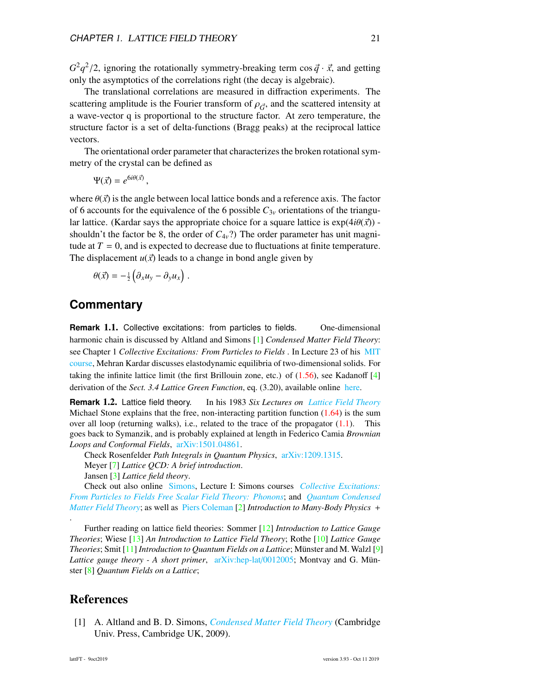$G^2q^2/2$ , ignoring the rotationally symmetry-breaking term  $\cos \vec{q} \cdot \vec{x}$ , and getting only the asymptotics of the correlations right (the decay is algebraic) only the asymptotics of the correlations right (the decay is algebraic).

The translational correlations are measured in diffraction experiments. The scattering amplitude is the Fourier transform of  $\rho_{\vec{G}}$ , and the scattered intensity at a wave-vector  $\alpha$  is proportional to the structure factor. At zero temperature, the a wave-vector q is proportional to the structure factor. At zero temperature, the structure factor is a set of delta-functions (Bragg peaks) at the reciprocal lattice vectors.

The orientational order parameter that characterizes the broken rotational symmetry of the crystal can be defined as

 $\Psi(\vec{x}) = e^{6i\theta(\vec{x})}$ 

where  $\theta(\vec{x})$  is the angle between local lattice bonds and a reference axis. The factor of 6 accounts for the equivalence of the 6 possible  $C_{3v}$  orientations of the triangular lattice. (Kardar says the appropriate choice for a square lattice is  $exp(4i\theta(\vec{x}))$  shouldn't the factor be 8, the order of  $C_{4v}$ ?) The order parameter has unit magnitude at  $T = 0$ , and is expected to decrease due to fluctuations at finite temperature. The displacement  $u(\vec{x})$  leads to a change in bond angle given by

$$
\theta(\vec{x}) = -\frac{1}{2} \left( \partial_x u_y - \partial_y u_x \right)
$$

,

#### **Commentary**

**Remark 1.1.** Collective excitations: from particles to fields. One-dimensional harmonic chain is discussed by Altland and Simons [\[1\]](#page-21-1) *Condensed Matter Field Theory*: see Chapter 1 *Collective Excitations: From Particles to Fields* . In Lecture 23 of his [MIT](https://ocw.mit.edu/courses/physics/8-334-statistical-mechanics-ii-statistical-physics-of-fields-spring-2014/) [course,](https://ocw.mit.edu/courses/physics/8-334-statistical-mechanics-ii-statistical-physics-of-fields-spring-2014/) Mehran Kardar discusses elastodynamic equilibria of two-dimensional solids. For taking the infinite lattice limit (the first Brillouin zone, etc.) of  $(1.56)$ , see Kadanoff  $[4]$ derivation of the *Sect. 3.4 Lattice Green Function*, eq. (3.20), available online [here.](https://www.worldscientific.com/doi/suppl/10.1142/4016/suppl_file/4016_chap03.pdf)

**Remark** 1.2. Lattice field theory. In his 1983 *Six Lectures on [Lattice Field Theory](https://open.library.ubc.ca/cIRcle/collections/triumfcanadasnationallaboratoryf/51833/items/1.0107843)* Michael Stone explains that the free, non-interacting partition function  $(1.64)$  is the sum over all loop (returning walks), i.e., related to the trace of the propagator  $(1.1)$ . This goes back to Symanzik, and is probably explained at length in Federico Camia *Brownian Loops and Conformal Fields*, [arXiv:1501.04861.](https://arXiv.org/abs/1501.04861)

Check Rosenfelder *Path Integrals in Quantum Physics*, [arXiv:1209.1315.](https://arXiv.org/abs/1209.1315)

Meyer [\[7\]](#page-22-3) *Lattice QCD: A brief introduction*.

Jansen [\[3\]](#page-22-4) *Lattice field theory*.

Check out also online [Simons,](https://www.tcm.phy.cam.ac.uk/~bds10) Lecture I: Simons courses *[Collective Excitations:](https://www.tcm.phy.cam.ac.uk/~bds10/tp3/lectures.pdf) [From Particles to Fields Free Scalar Field Theory: Phonons](https://www.tcm.phy.cam.ac.uk/~bds10/tp3/lectures.pdf)*; and *[Quantum Condensed](http://www.tcm.phy.cam.ac.uk/~bds10/tp3.html) [Matter Field Theory](http://www.tcm.phy.cam.ac.uk/~bds10/tp3.html)*; as well as [Piers Coleman](http://www.physics.rutgers.edu/~coleman/) [\[2\]](#page-22-5) *Introduction to Many-Body Physics* +

Further reading on lattice field theories: Sommer [\[12\]](#page-22-6) *Introduction to Lattice Gauge Theories*; Wiese [\[13\]](#page-22-7) *An Introduction to Lattice Field Theory*; Rothe [\[10\]](#page-22-8) *Lattice Gauge Theories*; Smit [\[11\]](#page-22-9) *Introduction to Quantum Fields on a Lattice*; Münster and M. Walzl [\[9\]](#page-22-10) *Lattice gauge theory - A short primer*, [arXiv:hep-lat](https://arXiv.org/abs/hep-lat/0012005)/0012005; Montvay and G. Münster [\[8\]](#page-22-11) *Quantum Fields on a Lattice*;

### <span id="page-21-0"></span>References

.

<span id="page-21-1"></span>[1] A. Altland and B. D. Simons, *[Condensed Matter Field Theory](http://dx.doi.org/10.1017/cbo9780511789984)* (Cambridge Univ. Press, Cambridge UK, 2009).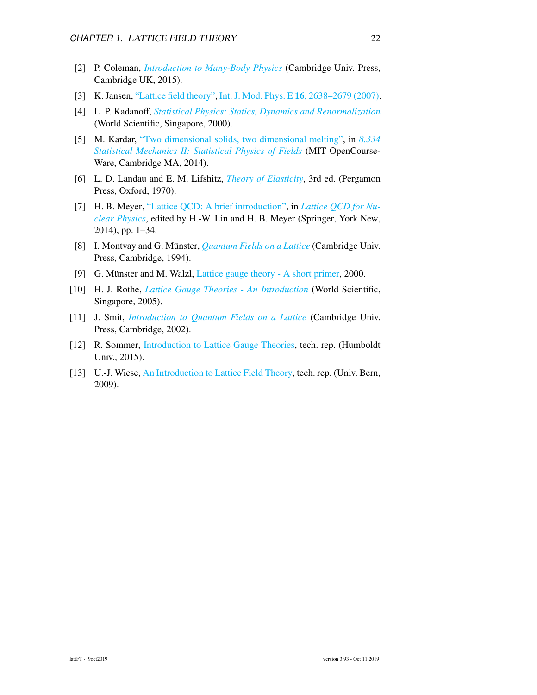- <span id="page-22-5"></span>[2] P. Coleman, *[Introduction to Many-Body Physics](http://dx.doi.org/10.1017/cbo9781139020916)* (Cambridge Univ. Press, Cambridge UK, 2015).
- <span id="page-22-4"></span>[3] K. Jansen, ["Lattice field theory",](http://dx.doi.org/10.1142/s0218301307008355) Int. J. Mod. Phys. E 16[, 2638–2679 \(2007\).](https://doi.org/10.1142/s0218301307008355)
- <span id="page-22-2"></span>[4] L. P. Kadanoff, *[Statistical Physics: Statics, Dynamics and Renormalization](http://dx.doi.org/10.1142/4016)* (World Scientific, Singapore, 2000).
- <span id="page-22-0"></span>[5] M. Kardar, ["Two dimensional solids, two dimensional melting",](https://ocw.mit.edu/courses/physics/8-334-statistical-mechanics-ii-statistical-physics-of-fields-spring-2014/lecture-notes/MIT8_334S14_Lec23.pdf) in *[8.334](https://ocw.mit.edu/courses/physics/8-334-statistical-mechanics-ii-statistical-physics-of-fields-spring-2014/lecture-notes/MIT8_334S14_Lec23.pdf) [Statistical Mechanics II: Statistical Physics of Fields](https://ocw.mit.edu/courses/physics/8-334-statistical-mechanics-ii-statistical-physics-of-fields-spring-2014/lecture-notes/MIT8_334S14_Lec23.pdf)* (MIT OpenCourse-Ware, Cambridge MA, 2014).
- <span id="page-22-1"></span>[6] L. D. Landau and E. M. Lifshitz, *[Theory of Elasticity](https://archive.org/details/TheoryOfElasticity)*, 3rd ed. (Pergamon Press, Oxford, 1970).
- <span id="page-22-3"></span>[7] H. B. Meyer, ["Lattice QCD: A brief introduction",](http://dx.doi.org/10.1007/978-3-319-08022-2_1) in *[Lattice QCD for Nu](https://doi.org/10.1007/978-3-319-08022-2_1)[clear Physics](https://doi.org/10.1007/978-3-319-08022-2_1)*, edited by H.-W. Lin and H. B. Meyer (Springer, York New, 2014), pp. 1–34.
- <span id="page-22-11"></span>[8] I. Montvay and G. Münster, *[Quantum Fields on a Lattice](http://dx.doi.org/10.1017/cbo9780511470783)* (Cambridge Univ. Press, Cambridge, 1994).
- <span id="page-22-10"></span>[9] G. Münster and M. Walzl, [Lattice gauge theory - A short primer,](https://arxiv.org/abs/hep-lat/0012005) 2000.
- <span id="page-22-8"></span>[10] H. J. Rothe, *[Lattice Gauge Theories - An Introduction](http://dx.doi.org/10.1142/5674)* (World Scientific, Singapore, 2005).
- <span id="page-22-9"></span>[11] J. Smit, *[Introduction to Quantum Fields on a Lattice](http://dx.doi.org/10.1017/cbo9780511583971)* (Cambridge Univ. Press, Cambridge, 2002).
- <span id="page-22-6"></span>[12] R. Sommer, [Introduction to Lattice Gauge Theories,](https://www-zeuthen.desy.de/alpha/lgt25-11-11.pdf) tech. rep. (Humboldt Univ., 2015).
- <span id="page-22-7"></span>[13] U.-J. Wiese, [An Introduction to Lattice Field Theory,](http://www.wiese.itp.unibe.ch/lectures/lattice.pdf) tech. rep. (Univ. Bern, 2009).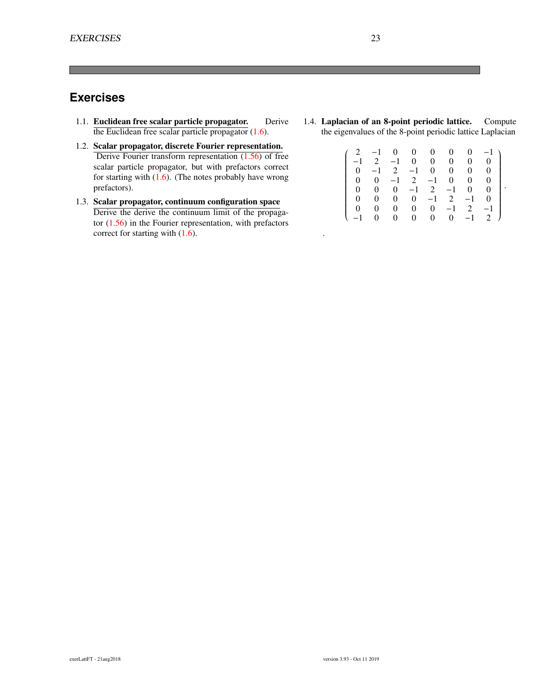# **Exercises**

- 1.1. Euclidean free scalar particle propagator. Derive the Euclidean free scalar particle propagator [\(1.6\)](#page-7-3).
- 1.2. Scalar propagator, discrete Fourier representation. Derive Fourier transform representation [\(1.56\)](#page-17-3) of free scalar particle propagator, but with prefactors correct for starting with [\(1.6\)](#page-7-3). (The notes probably have wrong prefactors).
- 1.3. Scalar propagator, continuum configuration space Derive the derive the continuum limit of the propagator [\(1.56\)](#page-17-3) in the Fourier representation, with prefactors correct for starting with [\(1.6\)](#page-7-3).
- 1.4. Laplacian of an 8-point periodic lattice. Compute the eigenvalues of the 8-point periodic lattice Laplacian

|      | $-1$ | $\overline{0}$ | $\mathbf{0}$   | $\overline{0}$ | $\overline{0}$ | 0              | $-1$ )   |  |
|------|------|----------------|----------------|----------------|----------------|----------------|----------|--|
| $-1$ | 2    | $-1$           | $\overline{0}$ | $\mathbf{0}$   | $\overline{0}$ | $\mathbf{0}$   | $\theta$ |  |
|      | $-1$ |                | $2 -1 0$       |                | $\overline{0}$ | 0              | $\Omega$ |  |
|      | 0    |                | $-1$ 2 $-1$ 0  |                |                | 0              | 0        |  |
|      | 0    | $\mathbf{0}$   |                |                | $-1$ 2 $-1$    | $\overline{0}$ | $\theta$ |  |
|      | 0    | $\overline{0}$ |                |                | $0 \t -1 \t 2$ | $-1$           | $\Omega$ |  |
|      | 0    | 0              | $\overline{0}$ | $\overline{0}$ | $-1$           | 2              | $-1$     |  |
| $-1$ | 0    | $\Omega$       | $\overline{0}$ | $\overline{0}$ | $\overline{0}$ | $-1$ 2         |          |  |

.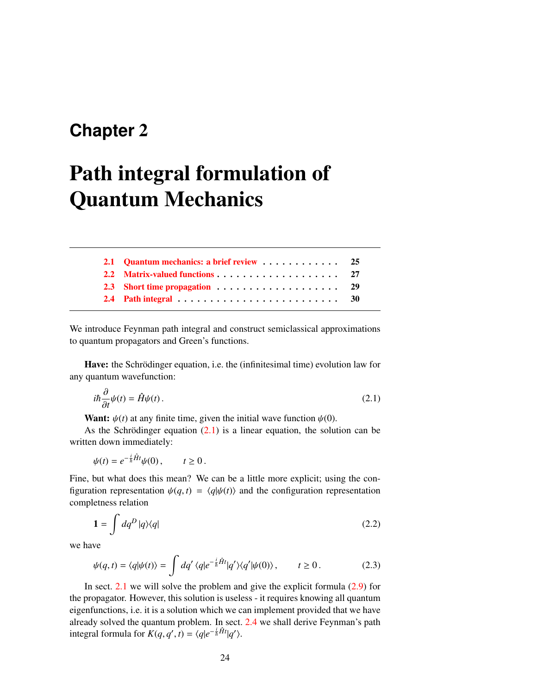# <span id="page-24-0"></span>**Chapter** 2

# Path integral formulation of Quantum Mechanics

| 2.1 Quantum mechanics: a brief review $\dots \dots \dots \dots$ 25                    |  |
|---------------------------------------------------------------------------------------|--|
|                                                                                       |  |
|                                                                                       |  |
| 2.4 Path integral $\ldots \ldots \ldots \ldots \ldots \ldots \ldots \ldots \ldots$ 30 |  |

We introduce Feynman path integral and construct semiclassical approximations to quantum propagators and Green's functions.

Have: the Schrödinger equation, i.e. the (infinitesimal time) evolution law for any quantum wavefunction:

<span id="page-24-1"></span>
$$
i\hbar \frac{\partial}{\partial t} \psi(t) = \hat{H}\psi(t). \tag{2.1}
$$

**Want:**  $\psi(t)$  at any finite time, given the initial wave function  $\psi(0)$ .

As the Schrödinger equation  $(2.1)$  is a linear equation, the solution can be written down immediately:

$$
\psi(t) = e^{-\frac{i}{\hbar}\hat{H}t}\psi(0), \qquad t \ge 0.
$$

Fine, but what does this mean? We can be a little more explicit; using the configuration representation  $\psi(q, t) = \langle q | \psi(t) \rangle$  and the configuration representation completness relation

<span id="page-24-2"></span>
$$
1 = \int dq^D |q\rangle\langle q| \tag{2.2}
$$

we have

$$
\psi(q,t) = \langle q|\psi(t)\rangle = \int dq' \langle q|e^{-\frac{i}{\hbar}\hat{H}t}|q'\rangle \langle q'|\psi(0)\rangle, \qquad t \ge 0.
$$
 (2.3)

In sect.  $2.1$  we will solve the problem and give the explicit formula  $(2.9)$  for the propagator. However, this solution is useless - it requires knowing all quantum eigenfunctions, i.e. it is a solution which we can implement provided that we have already solved the quantum problem. In sect. [2.4](#page-30-0) we shall derive Feynman's path integral formula for  $K(q, q', t) = \langle q|e^{-\frac{i}{\hbar}\hat{H}t}|q'\rangle$ .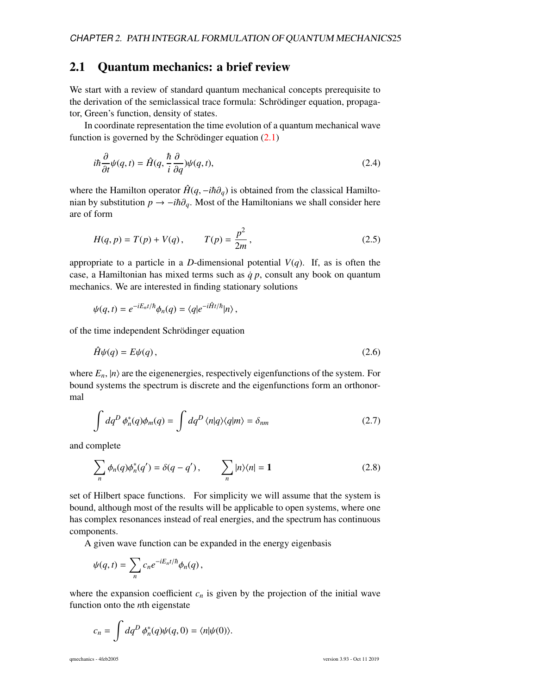## <span id="page-25-0"></span>2.1 Quantum mechanics: a brief review

We start with a review of standard quantum mechanical concepts prerequisite to the derivation of the semiclassical trace formula: Schrödinger equation, propagator, Green's function, density of states.

In coordinate representation the time evolution of a quantum mechanical wave function is governed by the Schrödinger equation  $(2.1)$ 

$$
i\hbar \frac{\partial}{\partial t} \psi(q, t) = \hat{H}(q, \frac{\hbar}{i} \frac{\partial}{\partial q}) \psi(q, t), \tag{2.4}
$$

where the Hamilton operator  $\hat{H}(q, -i\hbar\partial_q)$  is obtained from the classical Hamiltonian by substitution  $p \rightarrow -i\hbar\partial_q$ . Most of the Hamiltonians we shall consider here are of form

<span id="page-25-2"></span>
$$
H(q, p) = T(p) + V(q), \qquad T(p) = \frac{p^2}{2m}, \qquad (2.5)
$$

appropriate to a particle in a *D*-dimensional potential  $V(q)$ . If, as is often the case, a Hamiltonian has mixed terms such as  $\dot{q}$   $p$ , consult any book on quantum mechanics. We are interested in finding stationary solutions

$$
\psi(q,t) = e^{-iE_nt/\hbar} \phi_n(q) = \langle q|e^{-i\hat{H}t/\hbar}|n\rangle,
$$

of the time independent Schrödinger equation

$$
\hat{H}\psi(q) = E\psi(q),\tag{2.6}
$$

where  $E_n$ ,  $|n\rangle$  are the eigenenergies, respectively eigenfunctions of the system. For bound systems the spectrum is discrete and the eigenfunctions form an orthonormal

$$
\int dq^D \phi_n^*(q) \phi_m(q) = \int dq^D \langle n|q \rangle \langle q|m \rangle = \delta_{nm}
$$
\n(2.7)

and complete

<span id="page-25-1"></span>
$$
\sum_{n} \phi_n(q) \phi_n^*(q') = \delta(q - q'), \qquad \sum_{n} |n\rangle\langle n| = 1 \tag{2.8}
$$

set of Hilbert space functions. For simplicity we will assume that the system is bound, although most of the results will be applicable to open systems, where one has complex resonances instead of real energies, and the spectrum has continuous components.

A given wave function can be expanded in the energy eigenbasis

$$
\psi(q,t)=\sum_n c_n e^{-iE_n t/\hbar}\phi_n(q),
$$

where the expansion coefficient  $c_n$  is given by the projection of the initial wave function onto the *n*th eigenstate

$$
c_n=\int dq^D\,\phi_n^*(q)\psi(q,0)=\langle n|\psi(0)\rangle.
$$

qmechanics - 4feb2005 version 3.93 - Oct 11 2019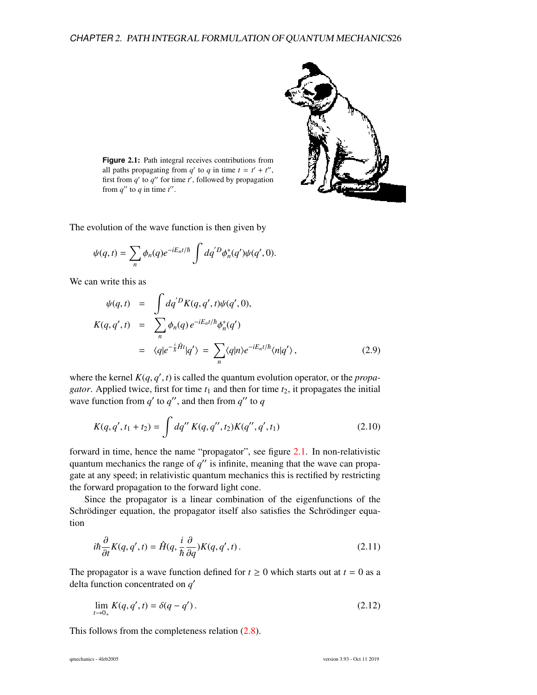<span id="page-26-1"></span>

Figure 2.1: Path integral receives contributions from all paths propagating from  $q'$  to  $q$  in time  $t = t' + t''$ , first from  $q'$  to  $q''$  for time  $t'$ , followed by propagation from  $q''$  to  $q$  in time  $t''$ .

The evolution of the wave function is then given by

$$
\psi(q,t) = \sum_n \phi_n(q) e^{-iE_n t/\hbar} \int dq'^D \phi_n^*(q') \psi(q',0).
$$

We can write this as

<span id="page-26-0"></span>
$$
\psi(q,t) = \int dq'^D K(q,q',t)\psi(q',0),
$$
  
\n
$$
K(q,q',t) = \sum_{n} \phi_n(q) e^{-iE_n t/\hbar} \phi_n^*(q')
$$
  
\n
$$
= \langle q|e^{-\frac{i}{\hbar}\hat{H}t}|q'\rangle = \sum_{n} \langle q|n\rangle e^{-iE_n t/\hbar} \langle n|q'\rangle, \qquad (2.9)
$$

where the kernel  $K(q, q', t)$  is called the quantum evolution operator, or the *propa-*<br>gator. Applied twice, first for time  $t_1$  and then for time  $t_2$  it propagates the initial *gator*. Applied twice, first for time  $t_1$  and then for time  $t_2$ , it propagates the initial wave function from  $q'$  to  $q''$ , and then from  $q''$  to  $q$ 

<span id="page-26-2"></span>
$$
K(q, q', t_1 + t_2) = \int dq'' K(q, q'', t_2) K(q'', q', t_1)
$$
\n(2.10)

forward in time, hence the name "propagator", see figure [2.1.](#page-26-1) In non-relativistic quantum mechanics the range of  $q''$  is infinite, meaning that the wave can propagate at any speed; in relativistic quantum mechanics this is rectified by restricting the forward propagation to the forward light cone.

Since the propagator is a linear combination of the eigenfunctions of the Schrödinger equation, the propagator itself also satisfies the Schrödinger equation

$$
i\hbar \frac{\partial}{\partial t} K(q, q', t) = \hat{H}(q, \frac{i}{\hbar} \frac{\partial}{\partial q}) K(q, q', t).
$$
 (2.11)

The propagator is a wave function defined for  $t \ge 0$  which starts out at  $t = 0$  as a delta function concentrated on q'

$$
\lim_{t \to 0+} K(q, q', t) = \delta(q - q'). \tag{2.12}
$$

This follows from the completeness relation  $(2.8)$ .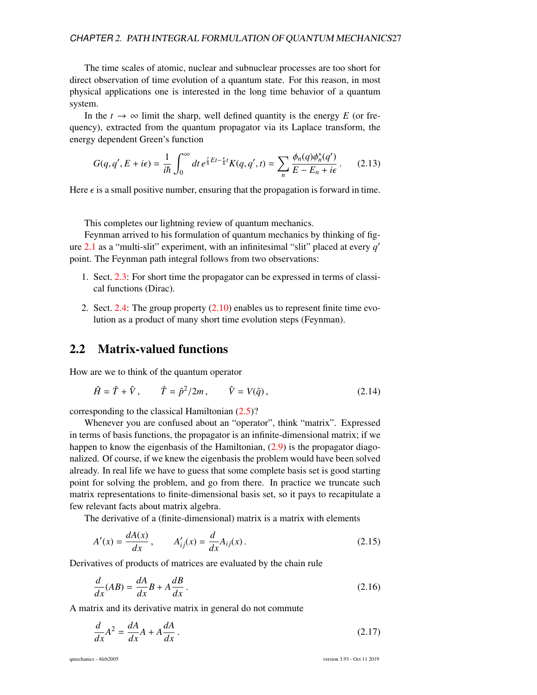The time scales of atomic, nuclear and subnuclear processes are too short for direct observation of time evolution of a quantum state. For this reason, in most physical applications one is interested in the long time behavior of a quantum system.

In the  $t \to \infty$  limit the sharp, well defined quantity is the energy *E* (or frequency), extracted from the quantum propagator via its Laplace transform, the energy dependent Green's function

<span id="page-27-1"></span>
$$
G(q, q', E + i\epsilon) = \frac{1}{i\hbar} \int_0^\infty dt \, e^{\frac{i}{\hbar}Et - \frac{\epsilon}{\hbar}t} K(q, q', t) = \sum_n \frac{\phi_n(q)\phi_n^*(q')}{E - E_n + i\epsilon}.
$$
 (2.13)

Here  $\epsilon$  is a small positive number, ensuring that the propagation is forward in time.

This completes our lightning review of quantum mechanics.

Feynman arrived to his formulation of quantum mechanics by thinking of figure [2.1](#page-26-1) as a "multi-slit" experiment, with an infinitesimal "slit" placed at every *q* 0 point. The Feynman path integral follows from two observations:

- 1. Sect. [2.3:](#page-29-0) For short time the propagator can be expressed in terms of classical functions (Dirac).
- 2. Sect. [2.4:](#page-30-0) The group property  $(2.10)$  enables us to represent finite time evolution as a product of many short time evolution steps (Feynman).

### <span id="page-27-0"></span>2.2 Matrix-valued functions

How are we to think of the quantum operator

$$
\hat{H} = \hat{T} + \hat{V}, \qquad \hat{T} = \hat{p}^2 / 2m, \qquad \hat{V} = V(\hat{q}),
$$
\n(2.14)

corresponding to the classical Hamiltonian [\(2.5\)](#page-25-2)?

Whenever you are confused about an "operator", think "matrix". Expressed in terms of basis functions, the propagator is an infinite-dimensional matrix; if we happen to know the eigenbasis of the Hamiltonian, [\(2.9\)](#page-26-0) is the propagator diagonalized. Of course, if we knew the eigenbasis the problem would have been solved already. In real life we have to guess that some complete basis set is good starting point for solving the problem, and go from there. In practice we truncate such matrix representations to finite-dimensional basis set, so it pays to recapitulate a few relevant facts about matrix algebra.

The derivative of a (finite-dimensional) matrix is a matrix with elements

$$
A'(x) = \frac{dA(x)}{dx}, \qquad A'_{ij}(x) = \frac{d}{dx}A_{ij}(x).
$$
 (2.15)

Derivatives of products of matrices are evaluated by the chain rule

$$
\frac{d}{dx}(AB) = \frac{dA}{dx}B + A\frac{dB}{dx}.
$$
\n(2.16)

A matrix and its derivative matrix in general do not commute

$$
\frac{d}{dx}A^2 = \frac{dA}{dx}A + A\frac{dA}{dx}.
$$
\n(2.17)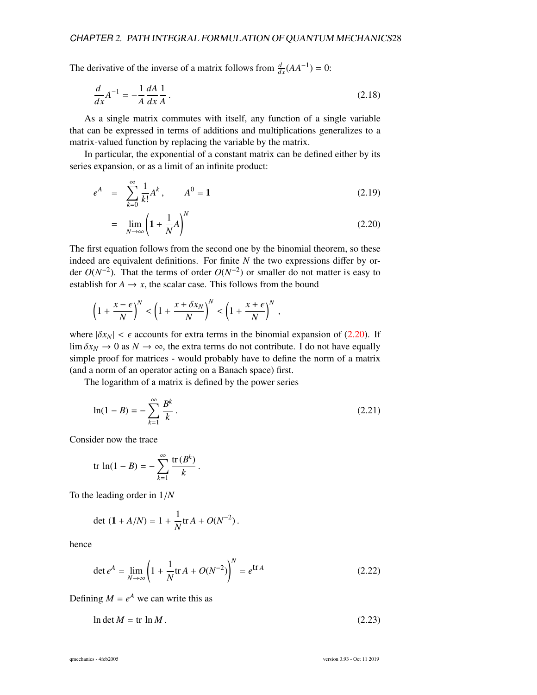The derivative of the inverse of a matrix follows from  $\frac{d}{dx}(AA^{-1}) = 0$ :

$$
\frac{d}{dx}A^{-1} = -\frac{1}{A}\frac{dA}{dx}\frac{1}{A}.
$$
\n(2.18)

As a single matrix commutes with itself, any function of a single variable that can be expressed in terms of additions and multiplications generalizes to a matrix-valued function by replacing the variable by the matrix.

In particular, the exponential of a constant matrix can be defined either by its series expansion, or as a limit of an infinite product:

<span id="page-28-0"></span>
$$
e^{A} = \sum_{k=0}^{\infty} \frac{1}{k!} A^{k}, \qquad A^{0} = \mathbf{1}
$$
 (2.19)

$$
= \lim_{N \to \infty} \left( 1 + \frac{1}{N} A \right)^N \tag{2.20}
$$

The first equation follows from the second one by the binomial theorem, so these indeed are equivalent definitions. For finite *N* the two expressions differ by order  $O(N^{-2})$ . That the terms of order  $O(N^{-2})$  or smaller do not matter is easy to establish for  $A \rightarrow x$ , the scalar case. This follows from the bound

$$
\left(1+\frac{x-\epsilon}{N}\right)^N < \left(1+\frac{x+\delta x_N}{N}\right)^N < \left(1+\frac{x+\epsilon}{N}\right)^N,
$$

where  $|\delta x_N| < \epsilon$  accounts for extra terms in the binomial expansion of [\(2.20\)](#page-28-0). If  $\lim \delta x_N \to 0$  as  $N \to \infty$ , the extra terms do not contribute. I do not have equally simple proof for matrices - would probably have to define the norm of a matrix (and a norm of an operator acting on a Banach space) first.

The logarithm of a matrix is defined by the power series

$$
\ln(1 - B) = -\sum_{k=1}^{\infty} \frac{B^k}{k} \,. \tag{2.21}
$$

Consider now the trace

$$
\text{tr} \ln(1-B) = -\sum_{k=1}^{\infty} \frac{\text{tr}(B^k)}{k}.
$$

To the leading order in 1/*<sup>N</sup>*

$$
\det (1 + A/N) = 1 + \frac{1}{N} \text{tr} A + O(N^{-2}).
$$

hence

$$
\det e^{A} = \lim_{N \to \infty} \left( 1 + \frac{1}{N} \text{tr} A + O(N^{-2}) \right)^{N} = e^{\text{tr} A}
$$
 (2.22)

Defining  $M = e^A$  we can write this as

 $\ln \det M = \text{tr} \ln M$ . (2.23)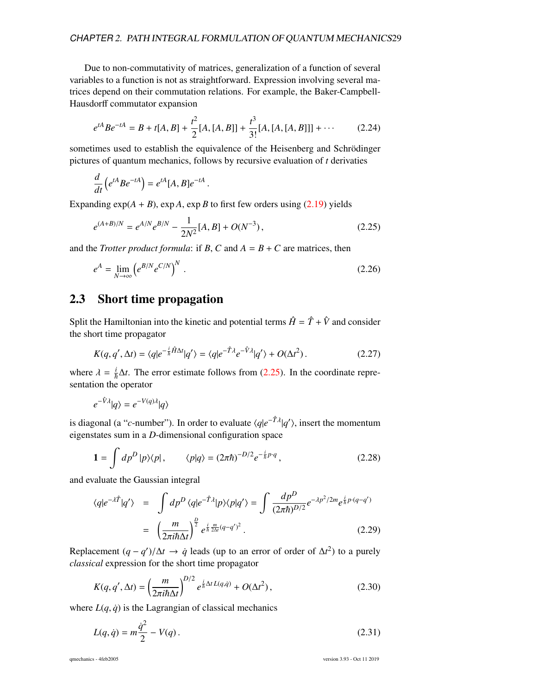Due to non-commutativity of matrices, generalization of a function of several variables to a function is not as straightforward. Expression involving several matrices depend on their commutation relations. For example, the Baker-Campbell-Hausdorff commutator expansion

$$
e^{tA}Be^{-tA} = B + t[A, B] + \frac{t^2}{2}[A, [A, B]] + \frac{t^3}{3!}[A, [A, [A, B]]] + \cdots
$$
 (2.24)

sometimes used to establish the equivalence of the Heisenberg and Schrödinger pictures of quantum mechanics, follows by recursive evaluation of *t* derivaties

<span id="page-29-1"></span>
$$
\frac{d}{dt}\left(e^{tA}Be^{-tA}\right) = e^{tA}[A,B]e^{-tA}
$$

Expanding  $exp(A + B)$ ,  $exp A$ ,  $exp B$  to first few orders using [\(2.19\)](#page-28-0) yields

<span id="page-29-2"></span>
$$
e^{(A+B)/N} = e^{A/N} e^{B/N} - \frac{1}{2N^2} [A, B] + O(N^{-3}),
$$
\n(2.25)

and the *Trotter product formula*: if *B*, *C* and  $A = B + C$  are matrices, then

$$
e^{A} = \lim_{N \to \infty} \left( e^{B/N} e^{C/N} \right)^N \tag{2.26}
$$

### <span id="page-29-0"></span>2.3 Short time propagation

Split the Hamiltonian into the kinetic and potential terms  $\hat{H} = \hat{T} + \hat{V}$  and consider the short time propagator

$$
K(q, q', \Delta t) = \langle q|e^{-\frac{i}{\hbar}\hat{H}\Delta t}|q'\rangle = \langle q|e^{-\hat{T}\lambda}e^{-\hat{V}\lambda}|q'\rangle + O(\Delta t^2).
$$
 (2.27)

where  $\lambda = \frac{i}{\hbar} \Delta t$ . The error estimate follows from [\(2.25\)](#page-29-1). In the coordinate representation the operator

$$
e^{-\hat{V}\lambda}|q\rangle = e^{-V(q)\lambda}|q\rangle
$$

is diagonal (a "*c*-number"). In order to evaluate  $\langle q|e^{-\hat{T}\lambda}|q'\rangle$ , insert the momentum eigenstates sum in a *D*-dimensional configuration space

$$
\mathbf{1} = \int dp^D |p\rangle\langle p|, \qquad \langle p|q\rangle = (2\pi\hbar)^{-D/2} e^{-\frac{i}{\hbar}p\cdot q}, \qquad (2.28)
$$

and evaluate the Gaussian integral

$$
\langle q|e^{-\lambda \hat{T}}|q'\rangle = \int dp^D \langle q|e^{-\hat{T}\lambda}|p\rangle\langle p|q'\rangle = \int \frac{dp^D}{(2\pi\hbar)^{D/2}} e^{-\lambda p^2/2m} e^{\frac{i}{\hbar}p\cdot(q-q')}
$$
  

$$
= \left(\frac{m}{2\pi i\hbar\Delta t}\right)^{\frac{D}{2}} e^{\frac{i}{\hbar}\frac{m}{2\Delta t}(q-q')^2}.
$$
 (2.29)

Replacement  $(q - q')/\Delta t \rightarrow \dot{q}$  leads (up to an error of order of  $\Delta t^2$ ) to a purely classical expression for the short time propagator *classical* expression for the short time propagator

<span id="page-29-4"></span><span id="page-29-3"></span>
$$
K(q, q', \Delta t) = \left(\frac{m}{2\pi i\hbar\Delta t}\right)^{D/2} e^{\frac{i}{\hbar}\Delta t L(q, \dot{q})} + O(\Delta t^2),
$$
\n(2.30)

where  $L(q, \dot{q})$  is the Lagrangian of classical mechanics

$$
L(q, \dot{q}) = m \frac{\dot{q}^2}{2} - V(q). \tag{2.31}
$$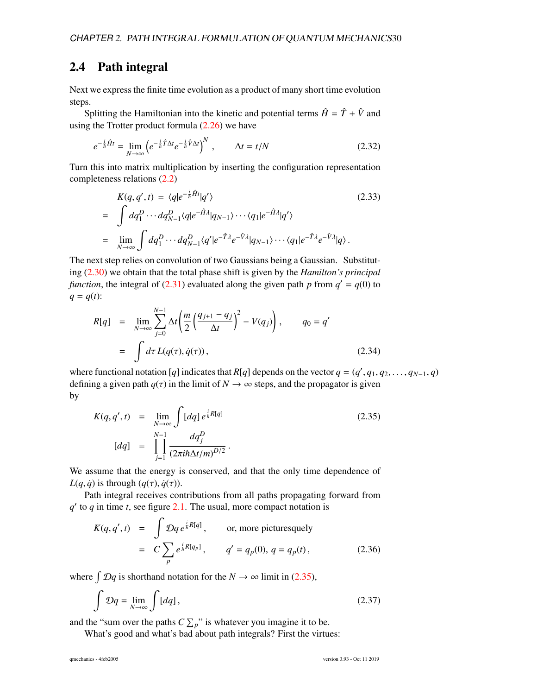## <span id="page-30-0"></span>2.4 Path integral

Next we express the finite time evolution as a product of many short time evolution steps.

Splitting the Hamiltonian into the kinetic and potential terms  $\hat{H} = \hat{T} + \hat{V}$  and using the Trotter product formula  $(2.26)$  we have

$$
e^{-\frac{i}{\hbar}\hat{H}t} = \lim_{N \to \infty} \left( e^{-\frac{i}{\hbar}\hat{T}\Delta t} e^{-\frac{i}{\hbar}\hat{V}\Delta t} \right)^N, \qquad \Delta t = t/N \tag{2.32}
$$

Turn this into matrix multiplication by inserting the configuration representation completeness relations [\(2.2\)](#page-24-2)

$$
K(q, q', t) = \langle q|e^{-\frac{i}{\hbar}\hat{H}t}|q'\rangle
$$
\n
$$
= \int dq_1^D \cdots dq_{N-1}^D \langle q|e^{-\hat{H}\lambda}|q_{N-1}\rangle \cdots \langle q_1|e^{-\hat{H}\lambda}|q'\rangle
$$
\n
$$
= \lim_{N \to \infty} \int dq_1^D \cdots dq_{N-1}^D \langle q'|e^{-\hat{T}\lambda}e^{-\hat{V}\lambda}|q_{N-1}\rangle \cdots \langle q_1|e^{-\hat{T}\lambda}e^{-\hat{V}\lambda}|q\rangle.
$$
\n(2.33)

The next step relies on convolution of two Gaussians being a Gaussian. Substituting [\(2.30\)](#page-29-3) we obtain that the total phase shift is given by the *Hamilton's principal function*, the integral of [\(2.31\)](#page-29-4) evaluated along the given path *p* from  $q' = q(0)$  to  $q = q(t)$ :

$$
R[q] = \lim_{N \to \infty} \sum_{j=0}^{N-1} \Delta t \left( \frac{m}{2} \left( \frac{q_{j+1} - q_j}{\Delta t} \right)^2 - V(q_j) \right), \qquad q_0 = q'
$$
  
= 
$$
\int d\tau L(q(\tau), \dot{q}(\tau)), \qquad (2.34)
$$

where functional notation [*q*] indicates that *R*[*q*] depends on the vector  $q = (q', q_1, q_2, \ldots, q_{N-1}, q)$ <br>defining a given path  $q(\tau)$  in the limit of  $N \to \infty$  steps, and the propagator is given defining a given path  $q(\tau)$  in the limit of  $N \to \infty$  steps, and the propagator is given by

<span id="page-30-1"></span>
$$
K(q, q', t) = \lim_{N \to \infty} \int [dq] e^{\frac{i}{\hbar}R[q]} \n[dq] = \prod_{j=1}^{N-1} \frac{dq_j^D}{(2\pi i\hbar \Delta t/m)^{D/2}}.
$$
\n(2.35)

We assume that the energy is conserved, and that the only time dependence of *L*(*q*, *q*) is through ( $q(\tau)$ ,  $q(\tau)$ ).

Path integral receives contributions from all paths propagating forward from  $q'$  to  $q$  in time  $t$ , see figure [2.1.](#page-26-1) The usual, more compact notation is

$$
K(q, q', t) = \int \mathcal{D}q \, e^{\frac{i}{\hbar}R[q]}, \qquad \text{or, more picturesquely}
$$

$$
= C \sum_{p} e^{\frac{i}{\hbar}R[q_p]}, \qquad q' = q_p(0), \, q = q_p(t), \qquad (2.36)
$$

where  $\int \mathcal{D}q$  is shorthand notation for the *N*  $\rightarrow \infty$  limit in [\(2.35\)](#page-30-1),

$$
\int \mathcal{D}q = \lim_{N \to \infty} \int [dq], \qquad (2.37)
$$

and the "sum over the paths  $C \sum_{p}$ " is whatever you imagine it to be.

What's good and what's bad about path integrals? First the virtues: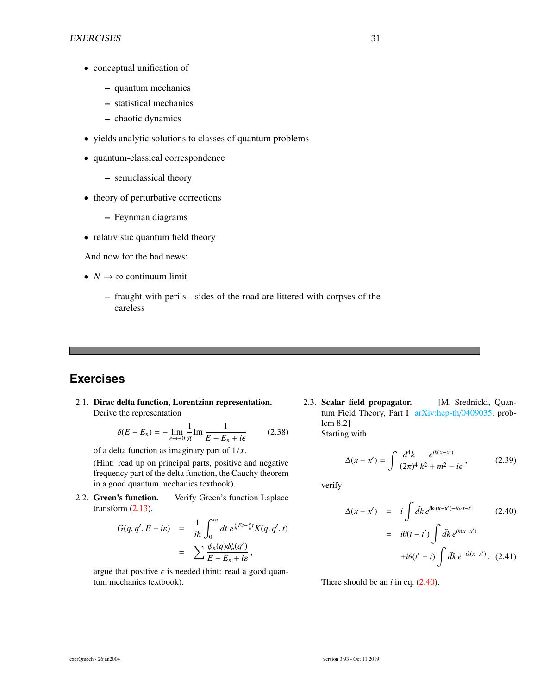- conceptual unification of
	- quantum mechanics
	- statistical mechanics
	- chaotic dynamics
- yields analytic solutions to classes of quantum problems
- quantum-classical correspondence
	- semiclassical theory
- theory of perturbative corrections
	- Feynman diagrams
- relativistic quantum field theory

And now for the bad news:

- $N \rightarrow \infty$  continuum limit
	- fraught with perils sides of the road are littered with corpses of the careless

## **Exercises**

2.1. Dirac delta function, Lorentzian representation. Derive the representation

$$
\delta(E - E_n) = -\lim_{\epsilon \to +0} \frac{1}{\pi} \text{Im} \frac{1}{E - E_n + i\epsilon} \tag{2.38}
$$

of a delta function as imaginary part of 1/*x*.

(Hint: read up on principal parts, positive and negative frequency part of the delta function, the Cauchy theorem in a good quantum mechanics textbook).

2.2. Green's function. Verify Green's function Laplace transform  $(2.13)$ ,

$$
G(q, q', E + i\varepsilon) = \frac{1}{i\hbar} \int_0^\infty dt \ e^{\frac{i}{\hbar}Et - \frac{\varepsilon}{\hbar}t} K(q, q', t)
$$

$$
= \sum \frac{\phi_n(q)\phi_n^*(q')}{E - E_n + i\varepsilon},
$$

argue that positive  $\epsilon$  is needed (hint: read a good quan-<br>tum mechanics textbook) tum mechanics textbook).

2.3. Scalar field propagator. [M. Srednicki, Quantum Field Theory, Part I [arXiv:hep-th](https://arXiv.org/abs/hep-th/0409035)/0409035, problem 8.2] Starting with

> $\Delta(x - x') = \int \frac{d^4k}{(2-x)^4}$  $(2π)^4$  $e^{ik(x-x)}$  $k^2 + m^2 - i\epsilon$  $(2.39)$

verify

<span id="page-31-0"></span>
$$
\Delta(x - x') = i \int d\tilde{k} e^{i\mathbf{k} \cdot (\mathbf{x} - \mathbf{x}') - i\omega |t - t'|}
$$
 (2.40)  
=  $i\theta(t - t') \int d\tilde{k} e^{ik(x - x')}$ 

$$
+i\theta(t'-t)\int d\tilde{k}\,e^{-ik(x-x')}.\tag{2.41}
$$

There should be an  $i$  in eq.  $(2.40)$ .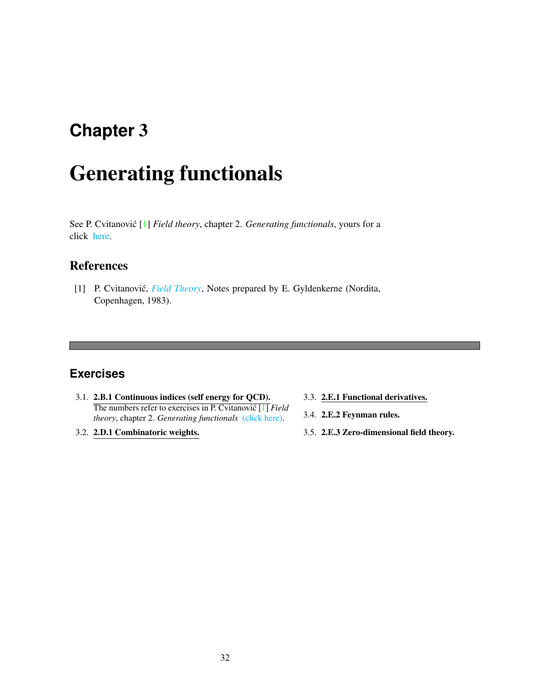# <span id="page-32-0"></span>**Chapter** 3

# Generating functionals

See P. Cvitanović [[1\]](#page-32-2) *Field theory*, chapter 2. *Generating functionals*, yours for a click [here.](http://ChaosBook.org/FieldTheory/02-GenFuncts.pdf)

### <span id="page-32-1"></span>References

<span id="page-32-2"></span>[1] P. Cvitanović, *[Field Theory](http://ChaosBook.org/FieldTheory)*, Notes prepared by E. Gyldenkerne (Nordita, Copenhagen, 1983).

# **Exercises**

- 3.1. 2.B.1 Continuous indices (self energy for QCD). The numbers refer to exercises in P. Cvitanović  $[1]$  $[1]$  *Field theory*, chapter 2. *Generating functionals* [\(click here\).](http://ChaosBook.org/FieldTheory/02-GenFuncts.pdf)
- 3.2. 2.D.1 Combinatoric weights.
- 3.3. 2.E.1 Functional derivatives.
- 3.4. 2.E.2 Feynman rules.
- 3.5. 2.E.3 Zero-dimensional field theory.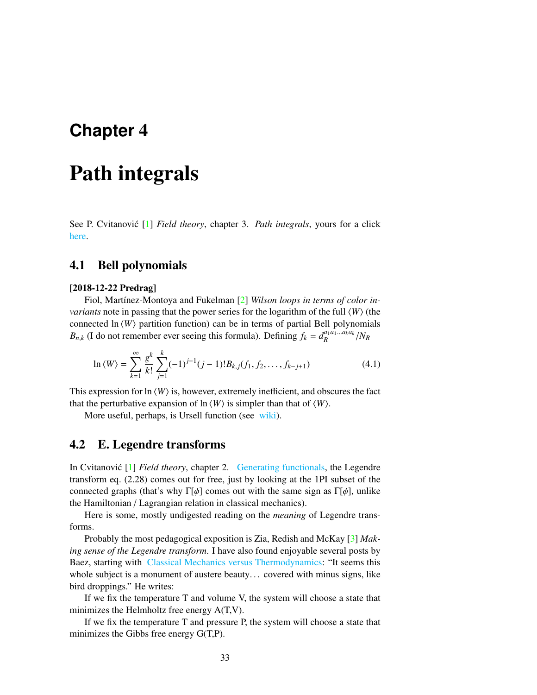# <span id="page-33-0"></span>**Chapter** 4

# Path integrals

See P. Cvitanovic [[1\]](#page-34-1) *Field theory*, chapter 3. *Path integrals*, yours for a click [here.](http://ChaosBook.org/FieldTheory/03-PathIntg.pdf)

#### <span id="page-33-1"></span>4.1 Bell polynomials

#### [2018-12-22 Predrag]

Fiol, Martínez-Montoya and Fukelman [\[2\]](#page-34-2) *Wilson loops in terms of color invariants* note in passing that the power series for the logarithm of the full  $\langle W \rangle$  (the connected  $\ln \langle W \rangle$  partition function) can be in terms of partial Bell polynomials *B*<sub>*n*</sub>,*k* (I do not remember ever seeing this formula). Defining  $f_k = d_R^{a_1 a_1 ... a_k a_k} / N_R$ 

$$
\ln \langle W \rangle = \sum_{k=1}^{\infty} \frac{g^k}{k!} \sum_{j=1}^k (-1)^{j-1} (j-1)! B_{k,j}(f_1, f_2, \dots, f_{k-j+1}) \tag{4.1}
$$

This expression for  $\ln \langle W \rangle$  is, however, extremely inefficient, and obscures the fact that the perturbative expansion of  $\ln \langle W \rangle$  is simpler than that of  $\langle W \rangle$ .

More useful, perhaps, is Ursell function (see [wiki\)](https://en.wikipedia.org/wiki/Ursell_function).

#### <span id="page-33-2"></span>4.2 E. Legendre transforms

In Cvitanović [[1\]](#page-34-1) *Field theory*, chapter 2. [Generating functionals,](http://ChaosBook.org/FieldTheory/02-GenFuncts.pdf) the Legendre transform eq. (2.28) comes out for free, just by looking at the 1PI subset of the connected graphs (that's why Γ[ $\phi$ ] comes out with the same sign as Γ[ $\phi$ ], unlike the Hamiltonian / Lagrangian relation in classical mechanics).

Here is some, mostly undigested reading on the *meaning* of Legendre transforms.

Probably the most pedagogical exposition is Zia, Redish and McKay [\[3\]](#page-34-3) *Making sense of the Legendre transform*. I have also found enjoyable several posts by Baez, starting with [Classical Mechanics versus Thermodynamics:](https://johncarlosbaez.wordpress.com/2012/01/19/classical-mechanics-versus-thermodynamics-part-1/) "It seems this whole subject is a monument of austere beauty. . . covered with minus signs, like bird droppings." He writes:

If we fix the temperature T and volume V, the system will choose a state that minimizes the Helmholtz free energy A(T,V).

If we fix the temperature T and pressure P, the system will choose a state that minimizes the Gibbs free energy G(T,P).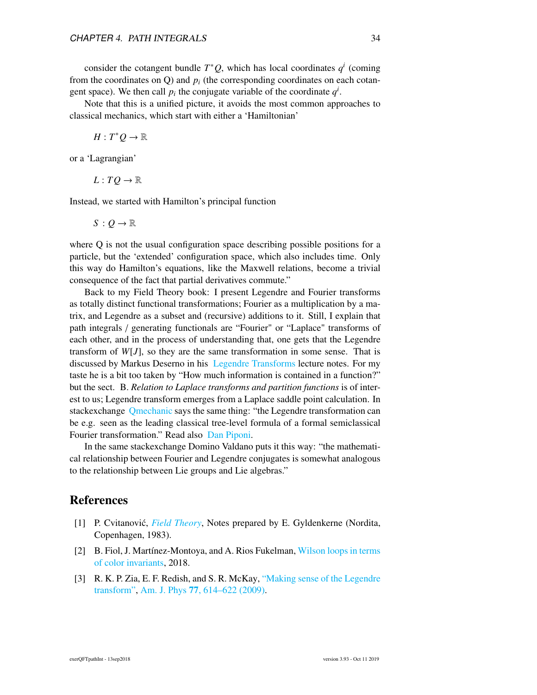consider the cotangent bundle  $T^*Q$ , which has local coordinates  $q^i$  (coming from the coordinates on  $Q$ ) and  $p_i$  (the corresponding coordinates on each cotangent space). We then call  $p_i$  the conjugate variable of the coordinate  $q^i$ .

Note that this is a unified picture, it avoids the most common approaches to classical mechanics, which start with either a 'Hamiltonian'

 $H: T^*Q \to \mathbb{R}$ 

or a 'Lagrangian'

 $L:TO\rightarrow\mathbb{R}$ 

Instead, we started with Hamilton's principal function

 $S: Q \to \mathbb{R}$ 

where Q is not the usual configuration space describing possible positions for a particle, but the 'extended' configuration space, which also includes time. Only this way do Hamilton's equations, like the Maxwell relations, become a trivial consequence of the fact that partial derivatives commute."

Back to my Field Theory book: I present Legendre and Fourier transforms as totally distinct functional transformations; Fourier as a multiplication by a matrix, and Legendre as a subset and (recursive) additions to it. Still, I explain that path integrals / generating functionals are "Fourier" or "Laplace" transforms of each other, and in the process of understanding that, one gets that the Legendre transform of *W*[*J*], so they are the same transformation in some sense. That is discussed by Markus Deserno in his [Legendre Transforms](https://www.andrew.cmu.edu/course/33-765/pdf/Legendre.pdf) lecture notes. For my taste he is a bit too taken by "How much information is contained in a function?" but the sect. B. *Relation to Laplace transforms and partition functions* is of interest to us; Legendre transform emerges from a Laplace saddle point calculation. In stackexchange [Qmechanic](https://physics.stackexchange.com/questions/200216/is-there-a-mathematical-relationship-between-legendre-conjugates-and-fourier-con) says the same thing: "the Legendre transformation can be e.g. seen as the leading classical tree-level formula of a formal semiclassical Fourier transformation." Read also [Dan Piponi.](http://blog.sigfpe.com/2005/10/quantum-mechanics-and-fourier-legendre.html)

In the same stackexchange Domino Valdano puts it this way: "the mathematical relationship between Fourier and Legendre conjugates is somewhat analogous to the relationship between Lie groups and Lie algebras."

#### <span id="page-34-0"></span>References

- <span id="page-34-1"></span>[1] P. Cvitanovic,´ *[Field Theory](http://ChaosBook.org/FieldTheory)*, Notes prepared by E. Gyldenkerne (Nordita, Copenhagen, 1983).
- <span id="page-34-2"></span>[2] B. Fiol, J. Martínez-Montoya, and A. Rios Fukelman, [Wilson loops in terms](https://arxiv.org/abs/1812.06890) [of color invariants,](https://arxiv.org/abs/1812.06890) 2018.
- <span id="page-34-3"></span>[3] R. K. P. Zia, E. F. Redish, and S. R. McKay, ["Making sense of the Legendre](http://dx.doi.org/10.1119/1.3119512) [transform",](http://dx.doi.org/10.1119/1.3119512) Am. J. Phys 77[, 614–622 \(2009\).](https://doi.org/10.1119/1.3119512)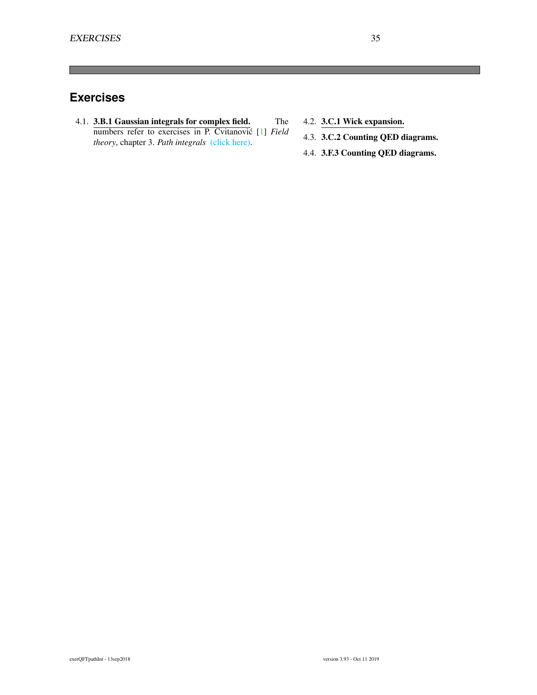## **Exercises**

- 4.1. 3.B.1 Gaussian integrals for complex field. The numbers refer to exercises in P. Cvitanovic [[1\]](#page-34-1) *Field theory*, chapter 3. *Path integrals* [\(click here\).](http://ChaosBook.org/FieldTheory/03-PathIntg.pdf)
- 4.2. 3.C.1 Wick expansion.
	- 4.3. 3.C.2 Counting QED diagrams.
	- 4.4. 3.F.3 Counting QED diagrams.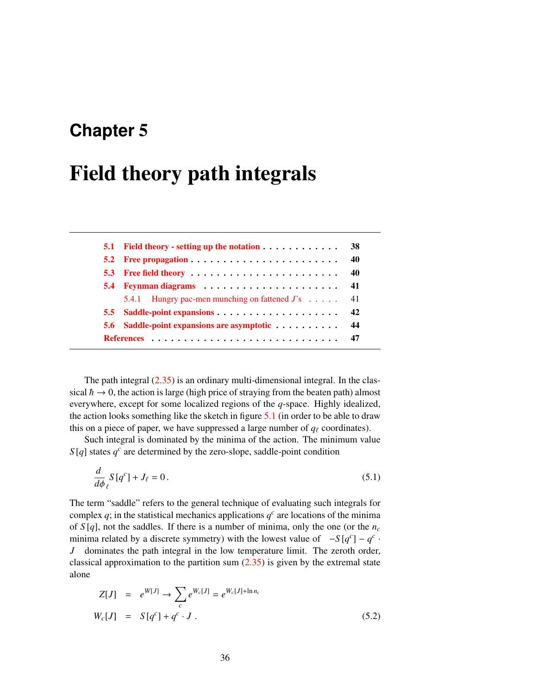# <span id="page-36-0"></span>**Chapter** 5

# Field theory path integrals

|     | 5.1 Field theory - setting up the notation $\dots \dots \dots \dots$ | -38 |
|-----|----------------------------------------------------------------------|-----|
|     |                                                                      | 40  |
| 5.3 |                                                                      | 40  |
|     |                                                                      |     |
|     | 5.4.1 Hungry pac-men munching on fattened $J$ 's 41                  |     |
|     |                                                                      |     |
|     | 5.6 Saddle-point expansions are asymptotic                           | 44  |
|     |                                                                      |     |

The path integral  $(2.35)$  is an ordinary multi-dimensional integral. In the classical  $\hbar \rightarrow 0$ , the action is large (high price of straying from the beaten path) almost everywhere, except for some localized regions of the *q*-space. Highly idealized, the action looks something like the sketch in figure [5.1](#page-37-0) (in order to be able to draw this on a piece of paper, we have suppressed a large number of  $q_\ell$  coordinates).

Such integral is dominated by the minima of the action. The minimum value  $S[q]$  states  $q^c$  are determined by the zero-slope, saddle-point condition

$$
\frac{d}{d\phi_{\ell}} S\left[q^c\right] + J_{\ell} = 0. \tag{5.1}
$$

The term "saddle" refers to the general technique of evaluating such integrals for complex  $q$ ; in the statistical mechanics applications  $q<sup>c</sup>$  are locations of the minima of  $S[q]$ , not the saddles. If there is a number of minima, only the one (or the  $n_c$ minima related by a discrete symmetry) with the lowest value of  $-S[q^c] - q^c$ . *J* dominates the path integral in the low temperature limit. The zeroth order, classical approximation to the partition sum  $(2.35)$  is given by the extremal state alone

$$
Z[J] = e^{W[J]} \to \sum_{c} e^{W_c[J]} = e^{W_c[J] + \ln n_c}
$$
  
\n
$$
W_c[J] = S[q^c] + q^c \cdot J .
$$
\n(5.2)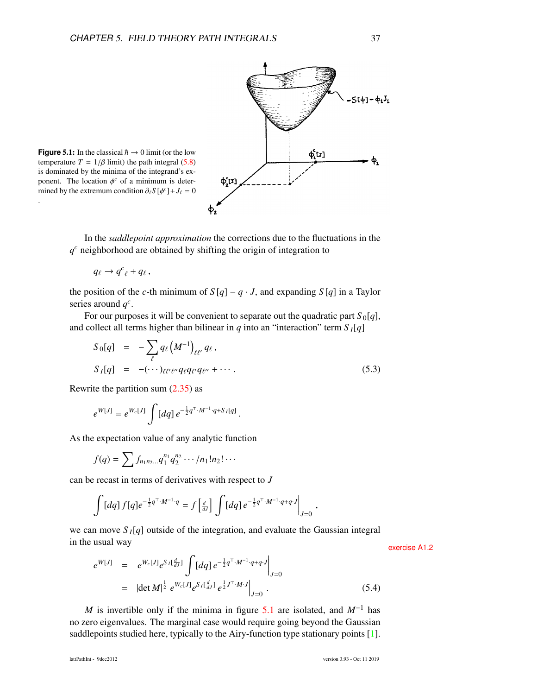

<span id="page-37-0"></span>**Figure 5.1:** In the classical  $\hbar \rightarrow 0$  limit (or the low temperature  $T = 1/\beta$  limit) the path integral [\(5.8\)](#page-39-0) is dominated by the minima of the integrand's exponent. The location  $\phi^c$  of a minimum is deter-<br>mined by the extremum condition  $\partial_c S[\phi^c] + I_c = 0$ mined by the extremum condition  $\partial_{\ell} S[\phi^c] + J_{\ell} = 0$ .

In the *saddlepoint approximation* the corrections due to the fluctuations in the *q <sup>c</sup>* neighborhood are obtained by shifting the origin of integration to

$$
q_{\ell} \to q^c_{\ \ell} + q_{\ell} \,,
$$

the position of the *c*-th minimum of  $S[q] - q \cdot J$ , and expanding  $S[q]$  in a Taylor series around  $q^c$ .

For our purposes it will be convenient to separate out the quadratic part  $S_0[q]$ , and collect all terms higher than bilinear in  $q$  into an "interaction" term  $S_I[q]$ 

<span id="page-37-2"></span>
$$
S_0[q] = -\sum_{\ell} q_{\ell} (M^{-1})_{\ell \ell'} q_{\ell},
$$
  
\n
$$
S_I[q] = -(\cdots)_{\ell \ell' \ell''} q_{\ell} q_{\ell'} q_{\ell''} + \cdots.
$$
\n(5.3)

Rewrite the partition sum  $(2.35)$  as

$$
e^{W[J]} = e^{W_c[J]} \int [dq] \, e^{-\frac{1}{2}q^{\top} \cdot M^{-1} \cdot q + S_I[q]}
$$

As the expectation value of any analytic function

$$
f(q) = \sum f_{n_1 n_2 \dots} q_1^{n_1} q_2^{n_2} \cdots / n_1! n_2! \cdots
$$

can be recast in terms of derivatives with respect to *J*

$$
\int [dq] f[q] e^{-\frac{1}{2}q^{\top} \cdot M^{-1} \cdot q} = f\left[\frac{d}{dJ}\right] \int [dq] e^{-\frac{1}{2}q^{\top} \cdot M^{-1} \cdot q + q \cdot J} \Big|_{J=0} ,
$$

we can move  $S_I[q]$  outside of the integration, and evaluate the Gaussian integral in the usual way exercise [A1.2](#page-64-0)

<span id="page-37-1"></span>
$$
e^{W[J]} = e^{W_c[J]} e^{S_I[\frac{d}{dJ}]} \int [dq] e^{-\frac{1}{2}q^{\top} \cdot M^{-1} \cdot q + q \cdot J} \Big|_{J=0}
$$
  
= |det M|<sup>1/2</sup>  $e^{W_c[J]} e^{S_I[\frac{d}{dJ}]} e^{\frac{1}{2}J^{\top} \cdot M \cdot J} \Big|_{J=0}$ . (5.4)

*M* is invertible only if the minima in figure [5.1](#page-37-0) are isolated, and *M*<sup>−1</sup> has no zero eigenvalues. The marginal case would require going beyond the Gaussian saddlepoints studied here, typically to the Airy-function type stationary points [\[1\]](#page-47-1).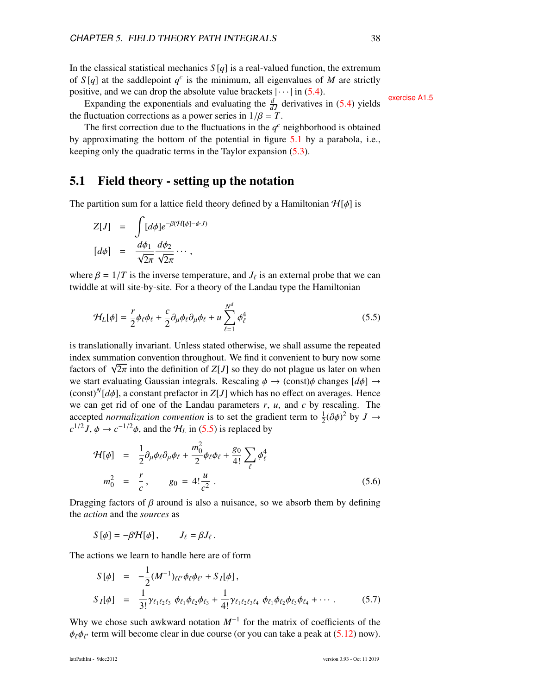In the classical statistical mechanics  $S[q]$  is a real-valued function, the extremum of  $S[q]$  at the saddlepoint  $q^c$  is the minimum, all eigenvalues of *M* are strictly positive, and we can drop the absolute value brackets  $|\cdots|$  in [\(5.4\)](#page-37-1).

Expanding the exponentials and evaluating the  $\frac{d}{dJ}$  derivatives in [\(5.4\)](#page-37-1) yields the fluctuation corrections as a power series in  $1/\beta = T$ .

The first correction due to the fluctuations in the  $q<sup>c</sup>$  neighborhood is obtained by approximating the bottom of the potential in figure [5.1](#page-37-0) by a parabola, i.e., keeping only the quadratic terms in the Taylor expansion [\(5.3\)](#page-37-2).

#### <span id="page-38-0"></span>5.1 Field theory - setting up the notation

The partition sum for a lattice field theory defined by a Hamiltonian  $\mathcal{H}[\phi]$  is

<span id="page-38-1"></span>
$$
Z[J] = \int [d\phi] e^{-\beta(\mathcal{H}[\phi] - \phi \cdot J)}
$$

$$
[d\phi] = \frac{d\phi_1}{\sqrt{2\pi}} \frac{d\phi_2}{\sqrt{2\pi}} \cdots,
$$

where  $\beta = 1/T$  is the inverse temperature, and  $J_{\ell}$  is an external probe that we can twiddle at will site by site. For a theory of the Landau type the Hamiltonian twiddle at will site-by-site. For a theory of the Landau type the Hamiltonian

$$
\mathcal{H}_L[\phi] = \frac{r}{2}\phi_\ell\phi_\ell + \frac{c}{2}\partial_\mu\phi_\ell\partial_\mu\phi_\ell + u\sum_{\ell=1}^{N^d}\phi_\ell^4\tag{5.5}
$$

is translationally invariant. Unless stated otherwise, we shall assume the repeated index summation convention throughout. We find it convenient to bury now some index summ:<br>factors of  $\sqrt{ }$  $2\pi$  into the definition of *Z*[*J*] so they do not plague us later on when<br>using Gaussian integrals. Bescaling  $\phi \rightarrow$  (const) changes  $[dd] \rightarrow$ we start evaluating Gaussian integrals. Rescaling  $\phi \rightarrow (const)\phi$  changes  $[d\phi] \rightarrow$  $(\text{const})^N[d\phi]$ , a constant prefactor in *Z*[*J*] which has no effect on averages. Hence we can get rid of one of the Landau parameters *r*, *u*, and *c* by rescaling. The accepted *normalization convention* is to set the gradient term to  $\frac{1}{2}(\partial \phi)^2$  by  $J \to c^{1/2}L$   $\phi \to c^{-1/2}\phi$  and the  $H_2$  in (5.5) is replaced by  $c^{1/2}J$ ,  $\phi \rightarrow c^{-1/2}\phi$ , and the  $\mathcal{H}_L$  in [\(5.5\)](#page-38-1) is replaced by

<span id="page-38-2"></span>
$$
\mathcal{H}[\phi] = \frac{1}{2} \partial_{\mu} \phi_{\ell} \partial_{\mu} \phi_{\ell} + \frac{m_0^2}{2} \phi_{\ell} \phi_{\ell} + \frac{g_0}{4!} \sum_{\ell} \phi_{\ell}^4
$$
  

$$
m_0^2 = \frac{r}{c}, \qquad g_0 = 4! \frac{u}{c^2} . \tag{5.6}
$$

Dragging factors of  $\beta$  around is also a nuisance, so we absorb them by defining the *action* and the *sources* as

$$
S[\phi] = -\beta \mathcal{H}[\phi], \qquad J_{\ell} = \beta J_{\ell}.
$$

The actions we learn to handle here are of form

$$
S[\phi] = -\frac{1}{2} (M^{-1})_{\ell\ell'} \phi_{\ell} \phi_{\ell'} + S_I[\phi],
$$
  
\n
$$
S_I[\phi] = \frac{1}{3!} \gamma_{\ell_1 \ell_2 \ell_3} \phi_{\ell_1} \phi_{\ell_2} \phi_{\ell_3} + \frac{1}{4!} \gamma_{\ell_1 \ell_2 \ell_3 \ell_4} \phi_{\ell_1} \phi_{\ell_2} \phi_{\ell_3} \phi_{\ell_4} + \cdots
$$
 (5.7)

Why we chose such awkward notation  $M^{-1}$  for the matrix of coefficients of the  $\overline{r}$   $\overline{r}$   $\overline{r}$   $\overline{v}$  $\phi_{\ell} \phi_{\ell'}$  term will become clear in due course (or you can take a peak at [\(5.12\)](#page-40-2) now).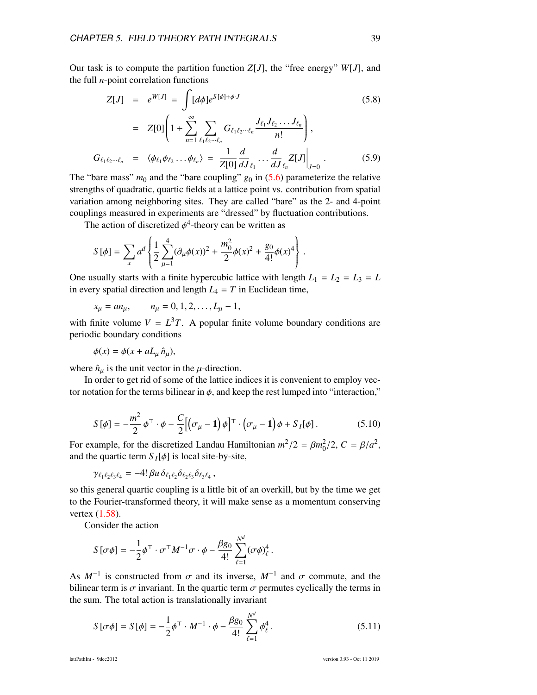Our task is to compute the partition function  $Z[J]$ , the "free energy"  $W[J]$ , and the full *n*-point correlation functions

<span id="page-39-0"></span>
$$
Z[J] = e^{W[J]} = \int [d\phi] e^{S[\phi] + \phi \cdot J}
$$
(5.8)  

$$
= Z[0] \left( 1 + \sum_{n=1}^{\infty} \sum_{\ell_1 \ell_2 \cdots \ell_n} G_{\ell_1 \ell_2 \cdots \ell_n} \frac{J_{\ell_1} J_{\ell_2} \cdots J_{\ell_n}}{n!} \right),
$$

$$
G_{\ell_1 \ell_2 \cdots \ell_n} = \langle \phi_{\ell_1} \phi_{\ell_2} \cdots \phi_{\ell_n} \rangle = \frac{1}{Z[0]} \frac{d}{dJ_{\ell_1}} \cdots \frac{d}{dJ_{\ell_n}} Z[J] \Big|_{J=0}.
$$
(5.9)

The "bare mass"  $m_0$  and the "bare coupling"  $g_0$  in [\(5.6\)](#page-38-2) parameterize the relative strengths of quadratic, quartic fields at a lattice point vs. contribution from spatial variation among neighboring sites. They are called "bare" as the 2- and 4-point couplings measured in experiments are "dressed" by fluctuation contributions.

The action of discretized  $\phi^4$ -theory can be written as

$$
S[\phi] = \sum_{x} a^d \left\{ \frac{1}{2} \sum_{\mu=1}^4 (\partial_{\mu} \phi(x))^2 + \frac{m_0^2}{2} \phi(x)^2 + \frac{g_0}{4!} \phi(x)^4 \right\}.
$$

One usually starts with a finite hypercubic lattice with length  $L_1 = L_2 = L_3 = L$ in every spatial direction and length  $L_4 = T$  in Euclidean time,

 $x_u = a n_u,$   $n_u = 0, 1, 2, \ldots, L_u - 1,$ 

with finite volume  $V = L^3T$ . A popular finite volume boundary conditions are periodic boundary conditions

$$
\phi(x) = \phi(x + aL_\mu \hat{n}_\mu),
$$

where  $\hat{n}_{\mu}$  is the unit vector in the  $\mu$ -direction.

In order to get rid of some of the lattice indices it is convenient to employ vector notation for the terms bilinear in  $\phi$ , and keep the rest lumped into "interaction,"

$$
S[\phi] = -\frac{m^2}{2}\phi^{\top} \cdot \phi - \frac{C}{2} \Big[ \big(\sigma_{\mu} - 1\big) \phi \Big]^{\top} \cdot \big(\sigma_{\mu} - 1\big) \phi + S_I[\phi]. \tag{5.10}
$$

For example, for the discretized Landau Hamiltonian  $m^2/2 = \beta m_0^2/2$ ,  $C = \beta/a^2$ , and the quartic term  $S_I[\phi]$  is local site-by-site,

$$
\gamma_{\ell_1\ell_2\ell_3\ell_4} = -4! \beta u \,\delta_{\ell_1\ell_2} \delta_{\ell_2\ell_3} \delta_{\ell_3\ell_4} \,,
$$

so this general quartic coupling is a little bit of an overkill, but by the time we get to the Fourier-transformed theory, it will make sense as a momentum conserving vertex [\(1.58\)](#page-18-2).

Consider the action

$$
S[\sigma\phi] = -\frac{1}{2}\phi^{\top}\cdot\sigma^{\top}M^{-1}\sigma\cdot\phi - \frac{\beta g_0}{4!}\sum_{\ell=1}^{N^d}(\sigma\phi)_{\ell}^4.
$$

As  $M^{-1}$  is constructed from  $\sigma$  and its inverse,  $M^{-1}$  and  $\sigma$  commute, and the highest term is  $\sigma$  inversion. In the quartic term  $\sigma$  permutes evolvally the terms in bilinear term is  $\sigma$  invariant. In the quartic term  $\sigma$  permutes cyclically the terms in the sum. The total action is translationally invariant

$$
S[\sigma\phi] = S[\phi] = -\frac{1}{2}\phi^{\top} \cdot M^{-1} \cdot \phi - \frac{\beta g_0}{4!} \sum_{\ell=1}^{N^d} \phi_\ell^4.
$$
 (5.11)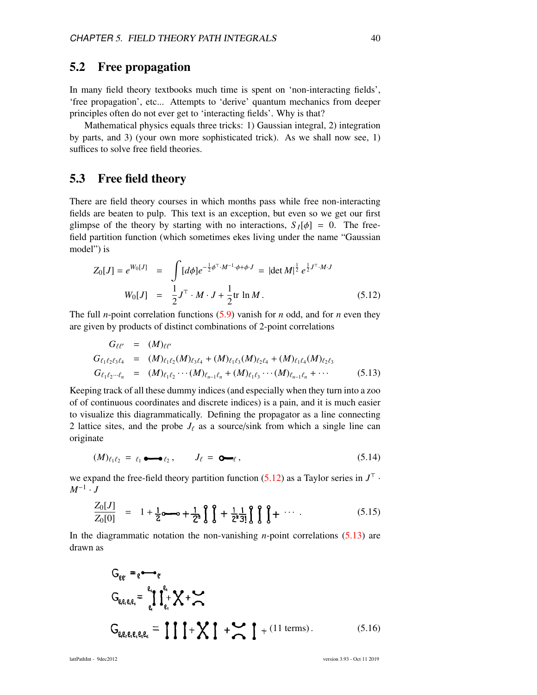#### <span id="page-40-0"></span>5.2 Free propagation

In many field theory textbooks much time is spent on 'non-interacting fields', 'free propagation', etc... Attempts to 'derive' quantum mechanics from deeper principles often do not ever get to 'interacting fields'. Why is that?

Mathematical physics equals three tricks: 1) Gaussian integral, 2) integration by parts, and 3) (your own more sophisticated trick). As we shall now see, 1) suffices to solve free field theories.

#### <span id="page-40-1"></span>5.3 Free field theory

There are field theory courses in which months pass while free non-interacting fields are beaten to pulp. This text is an exception, but even so we get our first glimpse of the theory by starting with no interactions,  $S_I[\phi] = 0$ . The freefield partition function (which sometimes ekes living under the name "Gaussian model") is

<span id="page-40-2"></span>
$$
Z_0[J] = e^{W_0[J]} = \int [d\phi]e^{-\frac{1}{2}\phi^{\top} \cdot M^{-1} \cdot \phi + \phi \cdot J} = |\det M|^{\frac{1}{2}} e^{\frac{1}{2}J^{\top} \cdot M \cdot J}
$$
  

$$
W_0[J] = \frac{1}{2}J^{\top} \cdot M \cdot J + \frac{1}{2}\text{tr}\ln M.
$$
 (5.12)

The full *n*-point correlation functions [\(5.9\)](#page-39-0) vanish for *n* odd, and for *n* even they are given by products of distinct combinations of 2-point correlations

<span id="page-40-3"></span>
$$
G_{\ell\ell'} = (M)_{\ell\ell'}
$$
  
\n
$$
G_{\ell_1\ell_2\ell_3\ell_4} = (M)_{\ell_1\ell_2}(M)_{\ell_3\ell_4} + (M)_{\ell_1\ell_3}(M)_{\ell_2\ell_4} + (M)_{\ell_1\ell_4}(M)_{\ell_2\ell_3}
$$
  
\n
$$
G_{\ell_1\ell_2\cdots\ell_n} = (M)_{\ell_1\ell_2}\cdots(M)_{\ell_{n-1}\ell_n} + (M)_{\ell_1\ell_3}\cdots(M)_{\ell_{n-1}\ell_n} + \cdots
$$
\n(5.13)

Keeping track of all these dummy indices (and especially when they turn into a zoo of of continuous coordinates and discrete indices) is a pain, and it is much easier to visualize this diagrammatically. Defining the propagator as a line connecting 2 lattice sites, and the probe  $J_{\ell}$  as a source/sink from which a single line can originate

$$
(M)_{\ell_1\ell_2} = \ell_1 \bullet \bullet \ell_2, \qquad J_\ell = \bullet \bullet \ell, \qquad (5.14)
$$

we expand the free-field theory partition function  $(5.12)$  as a Taylor series in  $J^{\dagger}$ .  $M^{-1} \cdot J$ 

$$
\frac{Z_0[J]}{Z_0[0]} = 1 + \frac{1}{2}\mathbf{0} - \mathbf{0} + \frac{1}{2}\mathbf{0}\mathbf{0} + \frac{1}{2}\mathbf{0}\mathbf{1}\mathbf{1} + \frac{1}{2}\mathbf{0}\mathbf{0}\mathbf{1} + \cdots
$$
 (5.15)

In the diagrammatic notation the non-vanishing *n*-point correlations [\(5.13\)](#page-40-3) are drawn as

<span id="page-40-4"></span>
$$
G_{ee} = e^{-\epsilon}
$$
  
\n
$$
G_{ee} = e^{-\epsilon}
$$
  
\n
$$
G_{ee} = e^{-\epsilon}
$$
  
\n
$$
G_{ee} = e^{-\epsilon}
$$
  
\n
$$
G_{ee} = e^{-\epsilon}
$$
  
\n
$$
G_{ee} = e^{-\epsilon}
$$
  
\n
$$
G_{ee} = e^{-\epsilon}
$$
  
\n
$$
G_{ee} = e^{-\epsilon}
$$
  
\n
$$
G_{ee} = e^{-\epsilon}
$$
  
\n
$$
G_{ee} = e^{-\epsilon}
$$
  
\n
$$
G_{ee} = e^{-\epsilon}
$$
  
\n
$$
G_{ee} = e^{-\epsilon}
$$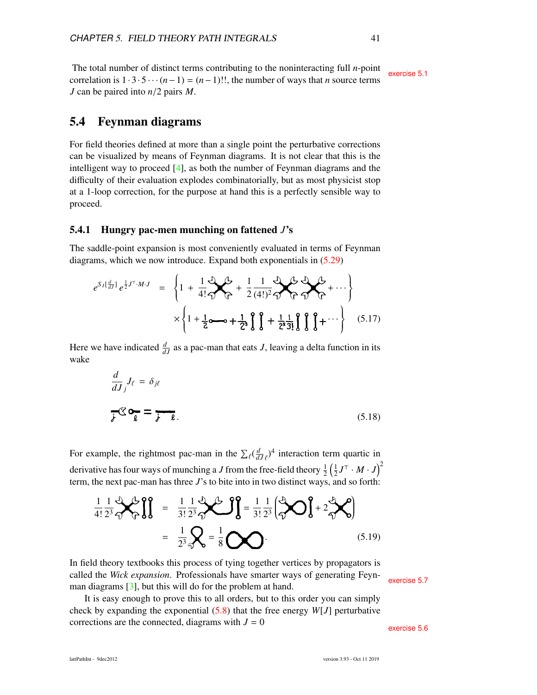The total number of distinct terms contributing to the noninteracting full *n*-point exercise [5.1](#page-47-2) correlation is  $1 \cdot 3 \cdot 5 \cdots (n-1) = (n-1)!!$ , the number of ways that *n* source terms *<sup>J</sup>* can be paired into *<sup>n</sup>*/2 pairs *<sup>M</sup>*.

#### <span id="page-41-0"></span>5.4 Feynman diagrams

For field theories defined at more than a single point the perturbative corrections can be visualized by means of Feynman diagrams. It is not clear that this is the intelligent way to proceed [\[4\]](#page-47-3), as both the number of Feynman diagrams and the difficulty of their evaluation explodes combinatorially, but as most physicist stop at a 1-loop correction, for the purpose at hand this is a perfectly sensible way to proceed.

#### <span id="page-41-1"></span>5.4.1 Hungry pac-men munching on fattened *J*'s

The saddle-point expansion is most conveniently evaluated in terms of Feynman diagrams, which we now introduce. Expand both exponentials in [\(5.29\)](#page-44-1)

$$
e^{S_I\left(\frac{d}{dJ}\right)}e^{\frac{1}{2}J^{\top}\cdot M\cdot J} = \left\{1 + \frac{1}{4!}\sum_{\mathbf{C}}\mathbf{G} + \frac{1}{2}\frac{1}{(4!)^2}\sum_{\mathbf{C}}\mathbf{G} + \sum_{\mathbf{C}}\mathbf{G}\mathbf{G} + \cdots\right\}
$$

$$
\times \left\{1 + \frac{1}{2}\mathbf{O} - \mathbf{O} + \frac{1}{2^3}\int_{\mathbf{C}}\mathbf{G} + \frac{1}{2^3}\sum_{\mathbf{C}}\mathbf{G}\mathbf{G} + \cdots\right\} \quad (5.17)
$$

Here we have indicated  $\frac{d}{dJ}$  as a pac-man that eats *J*, leaving a delta function in its wake

$$
\frac{d}{dJ_j}J_\ell = \delta_{j\ell}
$$
\n
$$
\frac{d}{dJ_j} \mathcal{L} = \frac{1}{dJ} \mathcal{L} \tag{5.18}
$$

For example, the rightmost pac-man in the  $\sum_{\ell}$  ( $\frac{d}{d}$ derivative has four ways of munching a *J* from the free-field theory  $\frac{1}{2}$   $\left(\frac{1}{2}\right)$  $\frac{d}{dJ}$  <sup>4</sup> interaction term quartic in  $\frac{1}{2}J^\top\cdot M\cdot J\Big)^2$ term, the next pac-man has three *J*'s to bite into in two distinct ways, and so forth:

$$
\frac{1}{4!} \frac{1}{2^3} \frac{1}{6} \sum_{i=1}^{3} \left\{ \int_{0}^{2} = \frac{1}{3!} \frac{1}{2^3} \frac{1}{6} \sum_{j=1}^{3} \left( \frac{1}{2} \sum_{j=1}^{3} \left( \frac{1}{2} \sum_{j=1}^{3} \left( \frac{1}{2} \sum_{j=1}^{3} \left( \frac{1}{2} \sum_{j=1}^{3} \left( \frac{1}{2} \sum_{j=1}^{3} \left( \frac{1}{2} \sum_{j=1}^{3} \left( \frac{1}{2} \sum_{j=1}^{3} \left( \frac{1}{2} \sum_{j=1}^{3} \left( \frac{1}{2} \sum_{j=1}^{3} \left( \frac{1}{2} \sum_{j=1}^{3} \left( \frac{1}{2} \sum_{j=1}^{3} \left( \frac{1}{2} \sum_{j=1}^{3} \left( \frac{1}{2} \sum_{j=1}^{3} \left( \frac{1}{2} \sum_{j=1}^{3} \left( \frac{1}{2} \sum_{j=1}^{3} \left( \frac{1}{2} \sum_{j=1}^{3} \left( \frac{1}{2} \sum_{j=1}^{3} \left( \frac{1}{2} \sum_{j=1}^{3} \left( \frac{1}{2} \sum_{j=1}^{3} \left( \frac{1}{2} \sum_{j=1}^{3} \left( \frac{1}{2} \sum_{j=1}^{3} \left( \frac{1}{2} \sum_{j=1}^{3} \left( \frac{1}{2} \sum_{j=1}^{3} \left( \frac{1}{2} \sum_{j=1}^{3} \left( \frac{1}{2} \sum_{j=1}^{3} \left( \frac{1}{2} \sum_{j=1}^{3} \left( \frac{1}{2} \sum_{j=1}^{3} \left( \frac{1}{2} \sum_{j=1}^{3} \left( \frac{1}{2} \right) \right) \right) \right) \right) \right) \right\}^{2}
$$

In field theory textbooks this process of tying together vertices by propagators is called the *Wick expansion*. Professionals have smarter ways of generating Feynman diagrams [\[3\]](#page-47-4), but this will do for the problem at hand.

It is easy enough to prove this to all orders, but to this order you can simply check by expanding the exponential  $(5.8)$  that the free energy  $W[J]$  perturbative corrections are the connected, diagrams with  $J = 0$ 

<span id="page-41-2"></span>exercise [5.6](#page-48-1)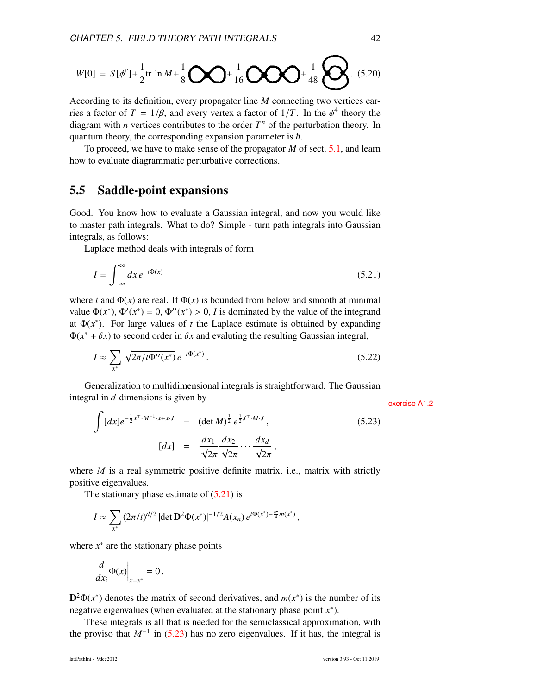$$
W[0] = S[\phi^{c}] + \frac{1}{2} \text{tr} \ln M + \frac{1}{8} \text{O} + \frac{1}{16} \text{O} + \frac{1}{48} \text{O} + \frac{1}{48} \text{O}.
$$
 (5.20)

According to its definition, every propagator line *M* connecting two vertices carries a factor of  $T = 1/\beta$ , and every vertex a factor of  $1/T$ . In the  $\phi^4$  theory the diagram with *n* vertices contributes to the order  $T^n$  of the perturbation theory. In diagram with *n* vertices contributes to the order  $T<sup>n</sup>$  of the perturbation theory. In quantum theory, the corresponding expansion parameter is  $\hbar$ .

To proceed, we have to make sense of the propagator *M* of sect. [5.1,](#page-38-0) and learn how to evaluate diagrammatic perturbative corrections.

### <span id="page-42-0"></span>5.5 Saddle-point expansions

Good. You know how to evaluate a Gaussian integral, and now you would like to master path integrals. What to do? Simple - turn path integrals into Gaussian integrals, as follows:

Laplace method deals with integrals of form

<span id="page-42-1"></span>
$$
I = \int_{-\infty}^{\infty} dx \, e^{-t\Phi(x)} \tag{5.21}
$$

where *t* and  $\Phi(x)$  are real. If  $\Phi(x)$  is bounded from below and smooth at minimal value  $\Phi(x^*)$ ,  $\Phi'(x^*) = 0$ ,  $\Phi''(x^*) > 0$ , *I* is dominated by the value of the integrand<br>at  $\Phi(x^*)$ . For large values of *t* the Lankage estimate is obtained by expanding at  $\Phi(x^*)$ . For large values of *t* the Laplace estimate is obtained by expanding  $\Phi(x^* + \delta x)$  to second order in  $\delta x$  and evaluting the resulting Gaussian integral,

$$
I \approx \sum_{x^*} \sqrt{2\pi / t \Phi''(x^*)} e^{-t \Phi(x^*)}.
$$
 (5.22)

Generalization to multidimensional integrals is straightforward. The Gaussian integral in *d*-dimensions is given by exercise [A1.2](#page-64-0)

<span id="page-42-2"></span>
$$
\int [dx] e^{-\frac{1}{2}x^{\top} \cdot M^{-1} \cdot x + x \cdot J} = (\det M)^{\frac{1}{2}} e^{\frac{1}{2}J^{\top} \cdot M \cdot J},
$$
\n(5.23)\n
$$
[dx] = \frac{dx_1}{\sqrt{2\pi}} \frac{dx_2}{\sqrt{2\pi}} \cdots \frac{dx_d}{\sqrt{2\pi}},
$$

where *M* is a real symmetric positive definite matrix, i.e., matrix with strictly positive eigenvalues.

The stationary phase estimate of  $(5.21)$  is

$$
I \approx \sum_{x^*} (2\pi/t)^{d/2} |\det \mathbf{D}^2 \Phi(x^*)|^{-1/2} A(x_n) e^{t \Phi(x^*) - \frac{i\pi}{4} m(x^*)},
$$

where  $x^*$  are the stationary phase points

$$
\left.\frac{d}{dx_i}\Phi(x)\right|_{x=x^*}=0\,,
$$

 $D^2\Phi(x^*)$  denotes the matrix of second derivatives, and  $m(x^*)$  is the number of its negative eigenvalues (when evaluated at the stationary phase point  $x^*$ ).

These integrals is all that is needed for the semiclassical approximation, with the proviso that  $M^{-1}$  in [\(5.23\)](#page-42-2) has no zero eigenvalues. If it has, the integral is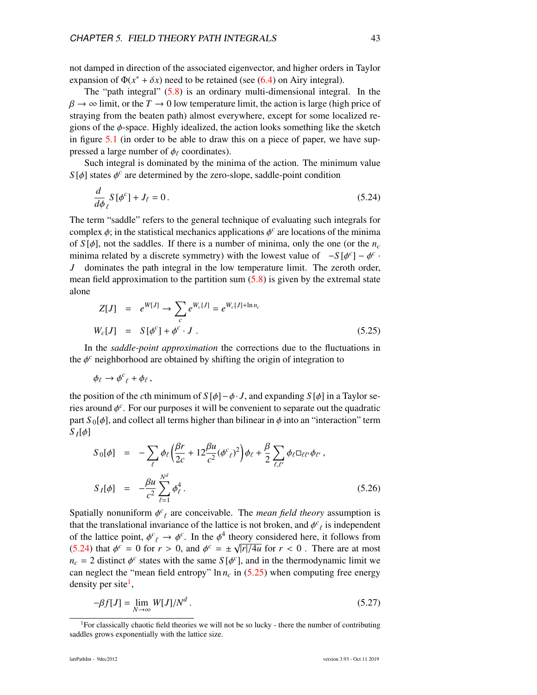not damped in direction of the associated eigenvector, and higher orders in Taylor expansion of  $\Phi(x^* + \delta x)$  need to be retained (see [\(6.4\)](#page-54-0) on Airy integral).<br>The "path integral" (5.8) is an ordinary multi-dimensional integral

The "path integral" [\(5.8\)](#page-39-0) is an ordinary multi-dimensional integral. In the  $\beta \to \infty$  limit, or the  $T \to 0$  low temperature limit, the action is large (high price of straying from the beaten path) almost everywhere, except for some localized regions of the  $\phi$ -space. Highly idealized, the action looks something like the sketch in figure [5.1](#page-37-0) (in order to be able to draw this on a piece of paper, we have suppressed a large number of  $\phi_\ell$  coordinates).

Such integral is dominated by the minima of the action. The minimum value *S*[ $\phi$ ] states  $\phi^c$  are determined by the zero-slope, saddle-point condition

<span id="page-43-0"></span>
$$
\frac{d}{d\phi_{\ell}} S[\phi^c] + J_{\ell} = 0.
$$
\n(5.24)

The term "saddle" refers to the general technique of evaluating such integrals for complex  $\phi$ ; in the statistical mechanics applications  $\phi^c$  are locations of the minima<br>of S[6], not the saddles. If there is a number of minima, only the one (or the *n* of  $S[\phi]$ , not the saddles. If there is a number of minima, only the one (or the  $n_c$ minima related by a discrete symmetry) with the lowest value of  $-S[\phi^c] - \phi^c$ .<br>*I* dominates the path integral in the low temperature limit. The zeroth order *J* dominates the path integral in the low temperature limit. The zeroth order, mean field approximation to the partition sum  $(5.8)$  is given by the extremal state alone

<span id="page-43-1"></span>
$$
Z[J] = e^{W[J]} \rightarrow \sum_{c} e^{W_c[J]} = e^{W_c[J] + \ln n_c}
$$
  

$$
W_c[J] = S[\phi^c] + \phi^c \cdot J .
$$
 (5.25)

In the *saddle-point approximation* the corrections due to the fluctuations in the  $\phi^c$  neighborhood are obtained by shifting the origin of integration to

$$
\phi_{\ell} \to \phi^c_{\ell} + \phi_{\ell} ,
$$

the position of the *c*th minimum of  $S[\phi] - \phi \cdot J$ , and expanding  $S[\phi]$  in a Taylor series around  $\phi^c$ . For our purposes it will be convenient to separate out the quadratic<br>part  $S_c[A]$  and collect all terms higher than bilinear in  $\phi$  into an "interaction" term part  $S_0[\phi]$ , and collect all terms higher than bilinear in  $\phi$  into an "interaction" term  $S_I[\phi]$ 

<span id="page-43-3"></span>
$$
S_0[\phi] = -\sum_{\ell} \phi_{\ell} \left( \frac{\beta r}{2c} + 12 \frac{\beta u}{c^2} (\phi^c{}_{\ell})^2 \right) \phi_{\ell} + \frac{\beta}{2} \sum_{\ell, \ell'} \phi_{\ell} \Box_{\ell \ell'} \phi_{\ell'},
$$
  

$$
S_I[\phi] = -\frac{\beta u}{c^2} \sum_{\ell=1}^{N^d} \phi_{\ell}^4.
$$
 (5.26)

Spatially nonuniform  $\phi^c$ <sub>*l*</sub> are conceivable. The *mean field theory* assumption is<br>that the translational invariance of the lattice is not broken, and  $\phi^c$ , is independent that the translational invariance of the lattice is not broken, and  $\phi^c$ <sub>*t*</sub> is independent<br>of the lattice point  $\phi^c \rightarrow \phi^c$ . In the  $\phi^4$  theory considered here it follows from of the lattice point,  $\phi^c$ <sub> $\ell \to \phi^c$ </sub>. In the  $\phi^4$  theory considered here, it follows from<br>(5.24) that  $\phi^c = 0$  for  $r > 0$  and  $\phi^c = \pm \sqrt{|r|/4\mu}$  for  $r < 0$ . There are at most [\(5.24\)](#page-43-0) that  $\phi^c = 0$  for  $r > 0$ , and  $\phi^c = \pm \sqrt{|r|/4u}$  for  $r < 0$ . There are at most  $r = 2$  distinct  $\phi^c$  states with the same  $S[\phi^c]$  and in the thermodynamic limit we  $n_c = 2$  distinct  $\phi^c$  states with the same *S* [ $\phi^c$ ], and in the thermodynamic limit we can neglect the "mean field entropy" ln *n* in (5.25) when computing free energy can neglect the "mean field entropy"  $\ln n_c$  in [\(5.25\)](#page-43-1) when computing free energy density per site<sup>[1](#page-43-2)</sup>,

$$
-\beta f[J] = \lim_{N \to \infty} W[J]/N^d. \tag{5.27}
$$

<span id="page-43-2"></span><sup>&</sup>lt;sup>1</sup>For classically chaotic field theories we will not be so lucky - there the number of contributing saddles grows exponentially with the lattice size.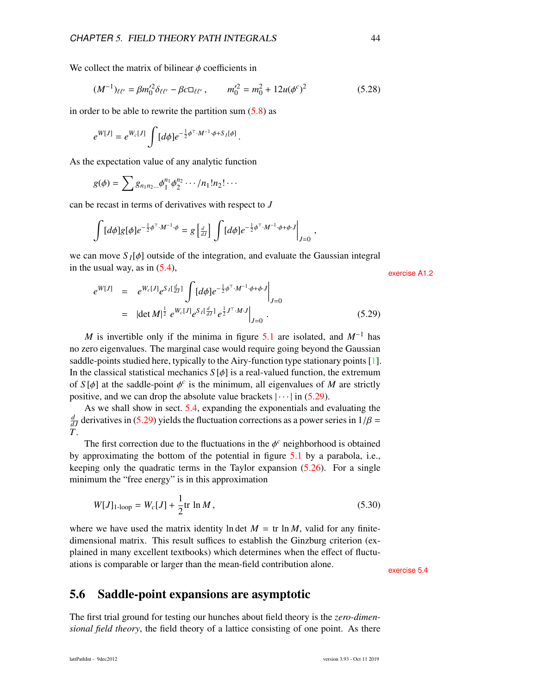We collect the matrix of bilinear  $\phi$  coefficients in

<span id="page-44-2"></span>
$$
(M^{-1})_{\ell\ell'} = \beta m_0'^2 \delta_{\ell\ell'} - \beta c \Box_{\ell\ell'}, \qquad m_0'^2 = m_0^2 + 12u(\phi^c)^2 \tag{5.28}
$$

in order to be able to rewrite the partition sum  $(5.8)$  as

$$
e^{W[J]} = e^{W_c[J]} \int [d\phi] e^{-\frac{1}{2}\phi^{\top} \cdot M^{-1} \cdot \phi + S_I[\phi]}.
$$

As the expectation value of any analytic function

$$
g(\phi) = \sum g_{n_1 n_2 ...} \phi_1^{n_1} \phi_2^{n_2} \cdots / n_1! n_2! \cdots
$$

can be recast in terms of derivatives with respect to *J*

$$
\int [d\phi]g[\phi]e^{-\frac{1}{2}\phi^{\top}\cdot M^{-1}\cdot\phi} = g\left[\frac{d}{dJ}\right] \int [d\phi]e^{-\frac{1}{2}\phi^{\top}\cdot M^{-1}\cdot\phi + \phi\cdot J}\Big|_{J=0}
$$

we can move  $S_I[\phi]$  outside of the integration, and evaluate the Gaussian integral in the usual way, as in  $(5.4)$ , exercise [A1.2](#page-64-0)

<span id="page-44-1"></span>
$$
e^{W[J]} = e^{W_c[J]} e^{S_I[\frac{d}{dJ}]} \int [d\phi] e^{-\frac{1}{2}\phi^{\top} \cdot M^{-1} \cdot \phi + \phi \cdot J} \Big|_{J=0}
$$
  
=  $|\det M|^{\frac{1}{2}} e^{W_c[J]} e^{S_I[\frac{d}{dJ}]} e^{\frac{1}{2} J^{\top} \cdot M \cdot J} \Big|_{J=0}$  (5.29)

,

*M* is invertible only if the minima in figure [5.1](#page-37-0) are isolated, and  $M^{-1}$  has no zero eigenvalues. The marginal case would require going beyond the Gaussian saddle-points studied here, typically to the Airy-function type stationary points [\[1\]](#page-47-1). In the classical statistical mechanics  $S[\phi]$  is a real-valued function, the extremum of  $S[\phi]$  at the saddle-point  $\phi^c$  is the minimum, all eigenvalues of *M* are strictly<br>positive and we can drop the absolute value brackets  $\left[\ldots\right]$  in (5.20) positive, and we can drop the absolute value brackets  $|\cdots|$  in [\(5.29\)](#page-44-1).

As we shall show in sect. [5.4,](#page-41-0) expanding the exponentials and evaluating the  $\frac{d}{dJ}$  derivatives in [\(5.29\)](#page-44-1) yields the fluctuation corrections as a power series in  $1/\beta = T$ .

The first correction due to the fluctuations in the  $\phi^c$  neighborhood is obtained<br>paparoximating the bottom of the potential in figure 5.1 by a parabola, i.e. by approximating the bottom of the potential in figure [5.1](#page-37-0) by a parabola, i.e., keeping only the quadratic terms in the Taylor expansion  $(5.26)$ . For a single minimum the "free energy" is in this approximation

$$
W[J]_{1\text{-loop}} = W_c[J] + \frac{1}{2} \text{tr} \ln M , \qquad (5.30)
$$

where we have used the matrix identity ln det  $M = \text{tr} \ln M$ , valid for any finitedimensional matrix. This result suffices to establish the Ginzburg criterion (explained in many excellent textbooks) which determines when the effect of fluctuations is comparable or larger than the mean-field contribution alone. exercise [5.4](#page-48-2)

#### <span id="page-44-0"></span>5.6 Saddle-point expansions are asymptotic

The first trial ground for testing our hunches about field theory is the *zero-dimensional field theory*, the field theory of a lattice consisting of one point. As there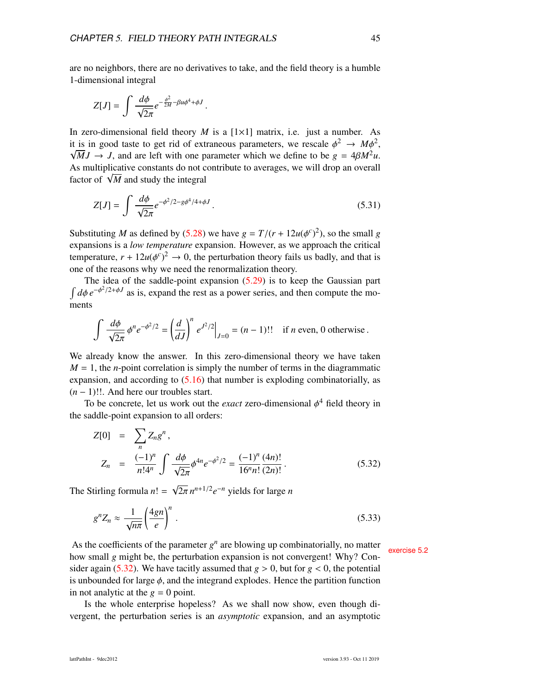are no neighbors, there are no derivatives to take, and the field theory is a humble 1-dimensional integral

$$
Z[J] = \int \frac{d\phi}{\sqrt{2\pi}} e^{-\frac{\phi^2}{2M} - \beta u \phi^4 + \phi J}.
$$

In zero-dimensional field theory  $M$  is a  $[1\times1]$  matrix, i.e. just a number. As it is in good taste to get rid of extraneous parameters, we rescale  $\phi^2 \to M\phi^2$ ,<br> $\sqrt{M}L \to L$  and are left with one parameter which we define to be  $g = ARM^2$ .  $\sqrt{M}J \rightarrow J$ , and are left with one parameter which we define to be  $g = 4\beta M^2 u$ . As multiplicative constants do not contribute to averages, we will drop an overall As multiplicative constants do not c<br>factor of  $\sqrt{M}$  and study the integral

$$
Z[J] = \int \frac{d\phi}{\sqrt{2\pi}} e^{-\phi^2/2 - g\phi^4/4 + \phi J}.
$$
 (5.31)

Substituting *M* as defined by [\(5.28\)](#page-44-2) we have  $g = T/(r + 12u(\phi^c)^2)$ , so the small *g* expansions is a low temperature expansion. However, as we approach the critical expansions is a *low temperature* expansion. However, as we approach the critical temperature,  $r + 12u(\phi^c)^2 \to 0$ , the perturbation theory fails us badly, and that is one of the reasons why we need the renormalization theory.

The idea of the saddle-point expansion  $(5.29)$  is to keep the Gaussian part  $\int d\phi \, e^{-\phi^2/2+\phi J}$  as is, expand the rest as a power series, and then compute the moments

$$
\int \frac{d\phi}{\sqrt{2\pi}} \phi^n e^{-\phi^2/2} = \left(\frac{d}{dJ}\right)^n e^{J^2/2}\Big|_{J=0} = (n-1)!! \quad \text{if } n \text{ even, 0 otherwise.}
$$

We already know the answer. In this zero-dimensional theory we have taken  $M = 1$ , the *n*-point correlation is simply the number of terms in the diagrammatic expansion, and according to [\(5.16\)](#page-40-4) that number is exploding combinatorially, as (*n* − 1)!!. And here our troubles start.

To be concrete, let us work out the *exact* zero-dimensional  $\phi^4$  field theory in saddle-point expansion to all orders: the saddle-point expansion to all orders:

<span id="page-45-0"></span>
$$
Z[0] = \sum_{n} Z_n g^n,
$$
  
\n
$$
Z_n = \frac{(-1)^n}{n!4^n} \int \frac{d\phi}{\sqrt{2\pi}} \phi^{4n} e^{-\phi^2/2} = \frac{(-1)^n (4n)!}{16^n n! (2n)!}.
$$
\n(5.32)

The Stirling formula *n*! = √  $\sqrt{2\pi} n^{n+1/2} e^{-n}$  yields for large *n* 

$$
g^{n}Z_{n} \approx \frac{1}{\sqrt{n\pi}} \left(\frac{4gn}{e}\right)^{n}.
$$
\n(5.33)

As the coefficients of the parameter  $g^n$  are blowing up combinatorially, no matter exercise [5.2](#page-47-5) how small *g* might be, the perturbation expansion is not convergent! Why? Con-sider again [\(5.32\)](#page-45-0). We have tacitly assumed that  $g > 0$ , but for  $g < 0$ , the potential is unbounded for large  $\phi$ , and the integrand explodes. Hence the partition function in not analytic at the  $g = 0$  point.

Is the whole enterprise hopeless? As we shall now show, even though divergent, the perturbation series is an *asymptotic* expansion, and an asymptotic

<span id="page-45-1"></span>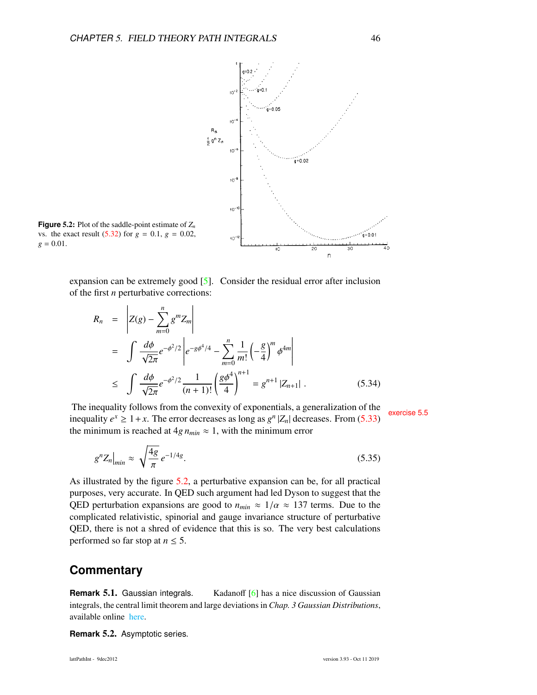<span id="page-46-0"></span>

**Figure** 5.2: Plot of the saddle-point estimate of *Z<sup>n</sup>* vs. the exact result  $(5.32)$  for  $g = 0.1$ ,  $g = 0.02$ ,  $g = 0.01$ .

expansion can be extremely good [\[5\]](#page-47-6). Consider the residual error after inclusion of the first *n* perturbative corrections:

<span id="page-46-1"></span>
$$
R_n = \left| Z(g) - \sum_{m=0}^n g^m Z_m \right|
$$
  
=  $\int \frac{d\phi}{\sqrt{2\pi}} e^{-\phi^2/2} \left| e^{-g\phi^4/4} - \sum_{m=0}^n \frac{1}{m!} \left( -\frac{g}{4} \right)^m \phi^{4m} \right|$   
 $\leq \int \frac{d\phi}{\sqrt{2\pi}} e^{-\phi^2/2} \frac{1}{(n+1)!} \left( \frac{g\phi^4}{4} \right)^{n+1} = g^{n+1} |Z_{n+1}|.$  (5.34)

The inequality follows from the convexity of exponentials, a generalization of the exercise [5.5](#page-48-3) inequality  $e^x \ge 1 + x$ . The error decreases as long as  $g^n |Z_n|$  decreases. From [\(5.33\)](#page-45-1) the minimum is reached at  $4g n_{min} \approx 1$ , with the minimum error

$$
g^{n}Z_{n}|_{min} \approx \sqrt{\frac{4g}{\pi}} \, e^{-1/4g}.\tag{5.35}
$$

As illustrated by the figure [5.2,](#page-46-0) a perturbative expansion can be, for all practical purposes, very accurate. In QED such argument had led Dyson to suggest that the QED perturbation expansions are good to  $n_{min} \approx 1/\alpha \approx 137$  terms. Due to the complicated relativistic, spinorial and gauge invariance structure of perturbative QED, there is not a shred of evidence that this is so. The very best calculations performed so far stop at  $n \leq 5$ .

#### **Commentary**

**Remark 5.1.** Gaussian integrals. Kadanoff [\[6\]](#page-47-7) has a nice discussion of Gaussian integrals, the central limit theorem and large deviations in *Chap. 3 Gaussian Distributions*, available online [here.](https://www.worldscientific.com/doi/suppl/10.1142/4016/suppl_file/4016_chap03.pdf)

**Remark** 5.2. Asymptotic series.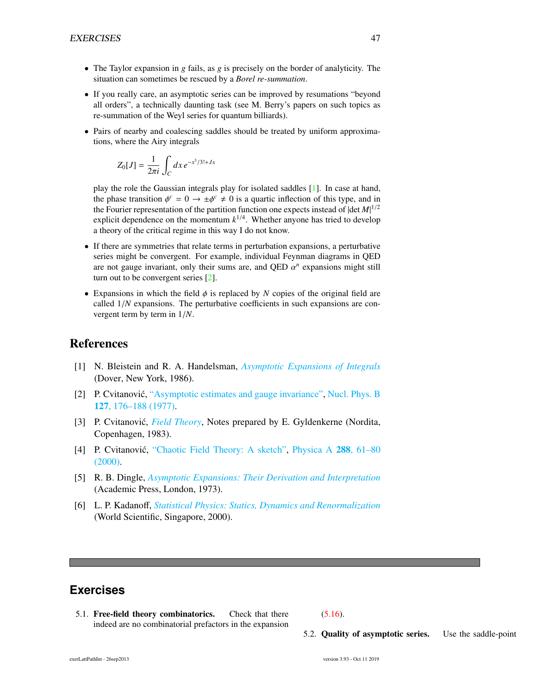- The Taylor expansion in *g* fails, as *g* is precisely on the border of analyticity. The situation can sometimes be rescued by a *Borel re-summation*.
- If you really care, an asymptotic series can be improved by resumations "beyond all orders", a technically daunting task (see M. Berry's papers on such topics as re-summation of the Weyl series for quantum billiards).
- Pairs of nearby and coalescing saddles should be treated by uniform approximations, where the Airy integrals

$$
Z_0[J] = \frac{1}{2\pi i} \int_C dx \, e^{-x^3/3! + Jx}
$$

play the role the Gaussian integrals play for isolated saddles [\[1\]](#page-47-1). In case at hand, the phase transition  $\phi^c = 0 \rightarrow \pm \phi^c \neq 0$  is a quartic inflection of this type, and in the Fourier representation of the partition function one expects instead of ldet  $M^{1/2}$ the Fourier representation of the partition function one expects instead of  $|\det M|^{1/2}$ explicit dependence on the momentum  $k^{1/4}$ . Whether anyone has tried to develop a theory of the critical regime in this way I do not know.

- If there are symmetries that relate terms in perturbation expansions, a perturbative series might be convergent. For example, individual Feynman diagrams in QED are not gauge invariant, only their sums are, and QED  $\alpha^n$  expansions might still<br>turn out to be convergent series [2] turn out to be convergent series [\[2\]](#page-47-8).
- Expansions in which the field  $\phi$  is replaced by *N* copies of the original field are called  $1/N$  expansions. The perturbative coefficients in such expansions are convergent term by term in 1/*N*.

#### <span id="page-47-0"></span>References

- <span id="page-47-1"></span>[1] N. Bleistein and R. A. Handelsman, *[Asymptotic Expansions of Integrals](http://books.google.com/books?vid=ISBN9780486650821)* (Dover, New York, 1986).
- <span id="page-47-8"></span>[2] P. Cvitanović, ["Asymptotic estimates and gauge invariance",](http://dx.doi.org/10.1016/0550-3213(77)90357-1) [Nucl. Phys. B](https://doi.org/10.1016/0550-3213(77)90357-1) 127[, 176–188 \(1977\).](https://doi.org/10.1016/0550-3213(77)90357-1)
- <span id="page-47-4"></span>[3] P. Cvitanović, *[Field Theory](http://ChaosBook.org/FieldTheory)*, Notes prepared by E. Gyldenkerne (Nordita, Copenhagen, 1983).
- <span id="page-47-3"></span>[4] P. Cvitanović, ["Chaotic Field Theory: A sketch",](http://dx.doi.org/10.1016/S0378-4371(00)00415-5) [Physica A](https://doi.org/10.1016/S0378-4371(00)00415-5) 288, 61–80 [\(2000\).](https://doi.org/10.1016/S0378-4371(00)00415-5)
- <span id="page-47-6"></span>[5] R. B. Dingle, *[Asymptotic Expansions: Their Derivation and Interpretation](http://dx.doi.org/10.2307/2005758)* (Academic Press, London, 1973).
- <span id="page-47-7"></span>[6] L. P. Kadanoff, *[Statistical Physics: Statics, Dynamics and Renormalization](http://dx.doi.org/10.1142/4016)* (World Scientific, Singapore, 2000).

## **Exercises**

<span id="page-47-2"></span>5.1. Free-field theory combinatorics. Check that there indeed are no combinatorial prefactors in the expansion

#### [\(5.16\)](#page-40-4).

<span id="page-47-5"></span>5.2. Quality of asymptotic series. Use the saddle-point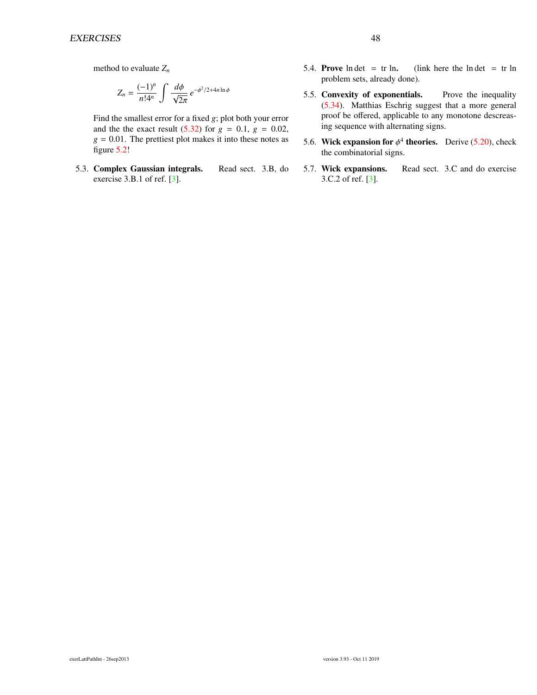method to evaluate  $Z_n$ 

$$
Z_n = \frac{(-1)^n}{n!4^n} \int \frac{d\phi}{\sqrt{2\pi}} e^{-\phi^2/2 + 4n \ln \phi}
$$

Find the smallest error for a fixed *g*; plot both your error and the the exact result  $(5.32)$  for  $g = 0.1$ ,  $g = 0.02$ ,  $g = 0.01$ . The prettiest plot makes it into these notes as figure [5.2!](#page-46-0)

5.3. Complex Gaussian integrals. Read sect. 3.B, do exercise 3.B.1 of ref. [\[3\]](#page-47-4).

- <span id="page-48-2"></span>5.4. Prove ln det = tr ln. (link here the ln det = tr ln problem sets, already done).
- <span id="page-48-3"></span>5.5. Convexity of exponentials. Prove the inequality [\(5.34\)](#page-46-1). Matthias Eschrig suggest that a more general proof be offered, applicable to any monotone descreasing sequence with alternating signs.
- <span id="page-48-1"></span>5.6. Wick expansion for  $\phi^4$  theories. Derive [\(5.20\)](#page-41-2), check the combinatorial signs the combinatorial signs.
- <span id="page-48-0"></span>5.7. Wick expansions. Read sect. 3.C and do exercise 3.C.2 of ref. [\[3\]](#page-47-4).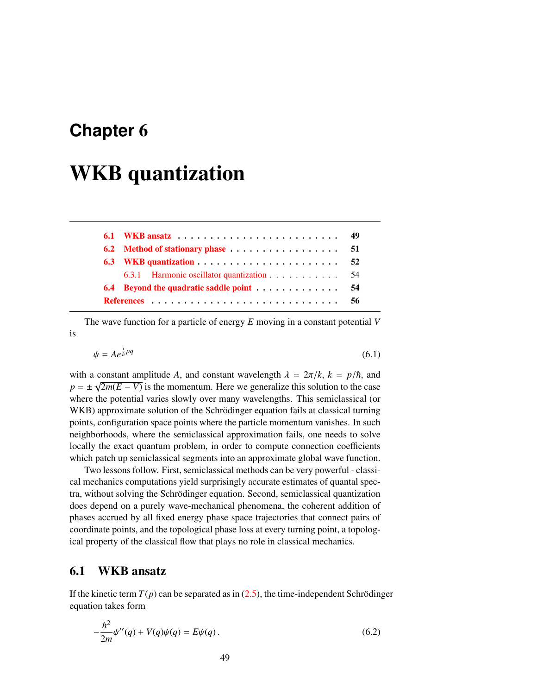# <span id="page-49-0"></span>**Chapter** 6

# WKB quantization

| 6.3 WKB quantization $\ldots \ldots \ldots \ldots \ldots \ldots \ldots \ldots$ 52 |
|-----------------------------------------------------------------------------------|
| 6.3.1 Harmonic oscillator quantization 54                                         |
| 6.4 Beyond the quadratic saddle point 54                                          |
|                                                                                   |

<span id="page-49-2"></span>The wave function for a particle of energy *E* moving in a constant potential *V* is

$$
\psi = Ae^{\frac{i}{\hbar}pq} \tag{6.1}
$$

with a constant amplitude *A*, and constant wavelength  $\lambda = 2\pi/k$ ,  $k = p/\hbar$ , and  $p = \pm \sqrt{2m(F - V)}$  is the momentum. Here we generalize this solution to the case  $p = \pm \sqrt{2m(E - V)}$  is the momentum. Here we generalize this solution to the case where the potential varies slowly over many wavelengths. This semiclassical (or WKB) approximate solution of the Schrödinger equation fails at classical turning points, configuration space points where the particle momentum vanishes. In such neighborhoods, where the semiclassical approximation fails, one needs to solve locally the exact quantum problem, in order to compute connection coefficients which patch up semiclassical segments into an approximate global wave function.

Two lessons follow. First, semiclassical methods can be very powerful - classical mechanics computations yield surprisingly accurate estimates of quantal spectra, without solving the Schrödinger equation. Second, semiclassical quantization does depend on a purely wave-mechanical phenomena, the coherent addition of phases accrued by all fixed energy phase space trajectories that connect pairs of coordinate points, and the topological phase loss at every turning point, a topological property of the classical flow that plays no role in classical mechanics.

### <span id="page-49-1"></span>6.1 WKB ansatz

If the kinetic term  $T(p)$  can be separated as in  $(2.5)$ , the time-independent Schrödinger equation takes form

$$
-\frac{\hbar^2}{2m}\psi''(q) + V(q)\psi(q) = E\psi(q).
$$
\n(6.2)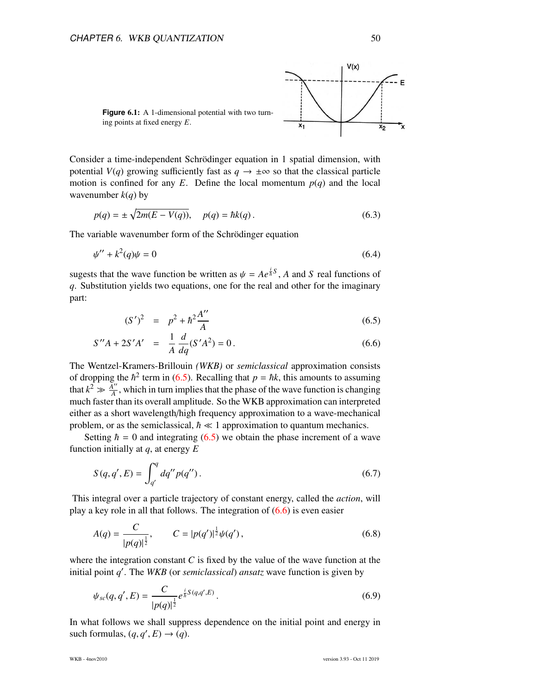<span id="page-50-1"></span>

Consider a time-independent Schrödinger equation in 1 spatial dimension, with potential *V(q)* growing sufficiently fast as  $q \rightarrow \pm \infty$  so that the classical particle motion is confined for any  $E$ . Define the local momentum  $p(q)$  and the local wavenumber  $k(q)$  by

$$
p(q) = \pm \sqrt{2m(E - V(q))}, \quad p(q) = \hbar k(q).
$$
 (6.3)

The variable wavenumber form of the Schrödinger equation

$$
\psi'' + k^2(q)\psi = 0 \tag{6.4}
$$

sugests that the wave function be written as  $\psi = Ae^{\frac{i}{\hbar}S}$ , *A* and *S* real functions of a. Substitution vields two equations, one for the real and other for the imaginary *q*. Substitution yields two equations, one for the real and other for the imaginary part:

<span id="page-50-0"></span>
$$
(S')^2 = p^2 + \hbar^2 \frac{A''}{A}
$$
 (6.5)

$$
S''A + 2S'A' = \frac{1}{A} \frac{d}{dq} (S'A^2) = 0.
$$
 (6.6)

The Wentzel-Kramers-Brillouin *(WKB)* or *semiclassical* approximation consists of dropping the  $\hbar^2$  term in [\(6.5\)](#page-50-0). Recalling that  $p = \hbar k$ , this amounts to assuming that  $k^2 \gg \frac{\widetilde{A}''}{4}$  $\frac{A^{\prime\prime}}{A}$ , which in turn implies that the phase of the wave function is changing much faster than its overall amplitude. So the WKB approximation can interpreted either as a short wavelength/high frequency approximation to a wave-mechanical problem, or as the semiclassical,  $\hbar \ll 1$  approximation to quantum mechanics.

Setting  $\hbar = 0$  and integrating [\(6.5\)](#page-50-0) we obtain the phase increment of a wave function initially at *q*, at energy *E*

$$
S(q, q', E) = \int_{q'}^{q} dq'' p(q'').
$$
\n(6.7)

This integral over a particle trajectory of constant energy, called the *action*, will play a key role in all that follows. The integration of  $(6.6)$  is even easier

<span id="page-50-3"></span>
$$
A(q) = \frac{C}{|p(q)|^{\frac{1}{2}}}, \qquad C = |p(q')|^{\frac{1}{2}} \psi(q'), \tag{6.8}
$$

where the integration constant  $C$  is fixed by the value of the wave function at the initial point *q* 0 . The *WKB* (or *semiclassical*) *ansatz* wave function is given by

<span id="page-50-2"></span>
$$
\psi_{sc}(q, q', E) = \frac{C}{|p(q)|^{\frac{1}{2}}} e^{\frac{i}{\hbar} S(q, q', E)}.
$$
\n(6.9)

In what follows we shall suppress dependence on the initial point and energy in such formulas,  $(q, q', E) \rightarrow (q)$ .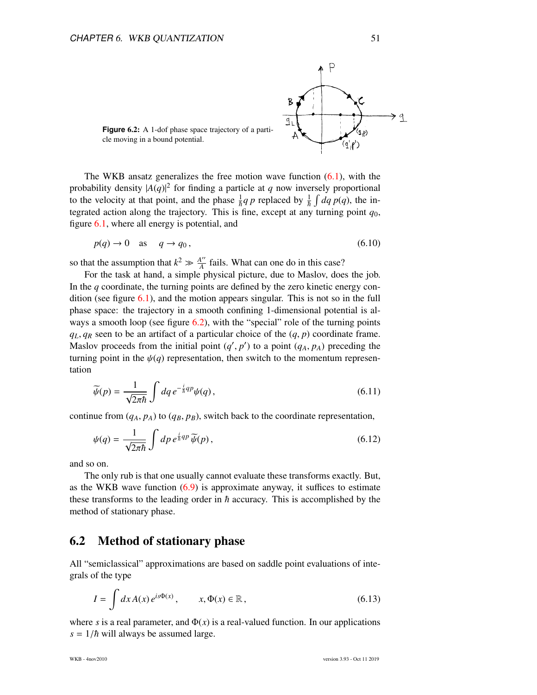<span id="page-51-1"></span>

The WKB ansatz generalizes the free motion wave function  $(6.1)$ , with the probability density  $|A(q)|^2$  for finding a particle at q now inversely proportional to the velocity at that point, and the phase  $\frac{1}{\hbar}q p$  replaced by  $\frac{1}{\hbar} \int dq p(q)$ , the integrated action along the trajectory. This is fine, except at any turning point  $q_0$ , figure [6.1,](#page-50-1) where all energy is potential, and

$$
p(q) \to 0 \quad \text{as} \quad q \to q_0 \,, \tag{6.10}
$$

so that the assumption that  $k^2 \gg \frac{A^{\prime\prime}}{A}$  $\frac{A''}{A}$  fails. What can one do in this case?

For the task at hand, a simple physical picture, due to Maslov, does the job. In the *q* coordinate, the turning points are defined by the zero kinetic energy condition (see figure  $6.1$ ), and the motion appears singular. This is not so in the full phase space: the trajectory in a smooth confining 1-dimensional potential is always a smooth loop (see figure  $6.2$ ), with the "special" role of the turning points  $q_L, q_R$  seen to be an artifact of a particular choice of the  $(q, p)$  coordinate frame. Maslov proceeds from the initial point  $(q', p')$  to a point  $(q_A, p_A)$  preceding the turning point in the  $y(a)$  representation, then switch to the momentum represent turning point in the  $\psi(q)$  representation, then switch to the momentum representation

<span id="page-51-2"></span>
$$
\widetilde{\psi}(p) = \frac{1}{\sqrt{2\pi\hbar}} \int dq \, e^{-\frac{i}{\hbar}qp} \psi(q) \,, \tag{6.11}
$$

continue from  $(q_A, p_A)$  to  $(q_B, p_B)$ , switch back to the coordinate representation,

<span id="page-51-3"></span>
$$
\psi(q) = \frac{1}{\sqrt{2\pi\hbar}} \int dp \, e^{\frac{i}{\hbar}qp} \, \widetilde{\psi}(p) \,, \tag{6.12}
$$

and so on.

The only rub is that one usually cannot evaluate these transforms exactly. But, as the WKB wave function [\(6.9\)](#page-50-2) is approximate anyway, it suffices to estimate these transforms to the leading order in  $\hbar$  accuracy. This is accomplished by the method of stationary phase.

#### <span id="page-51-0"></span>6.2 Method of stationary phase

All "semiclassical" approximations are based on saddle point evaluations of integrals of the type

$$
I = \int dx A(x) e^{is\Phi(x)}, \qquad x, \Phi(x) \in \mathbb{R}, \qquad (6.13)
$$

where *s* is a real parameter, and  $\Phi(x)$  is a real-valued function. In our applications  $s = 1/\hbar$  will always be assumed large.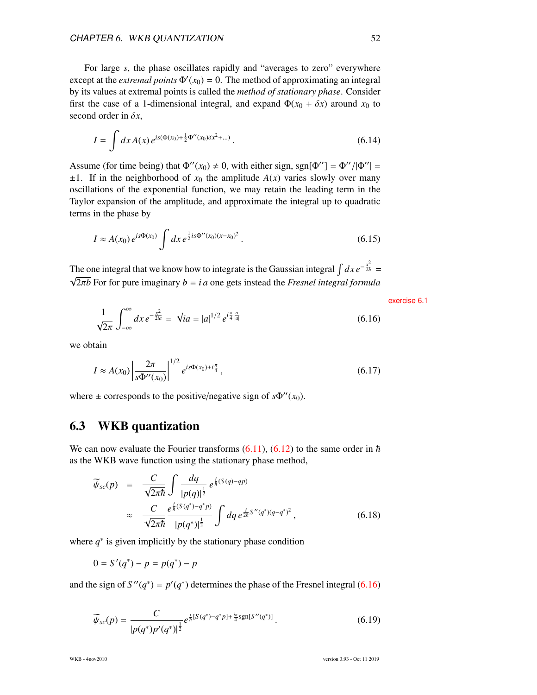For large *s*, the phase oscillates rapidly and "averages to zero" everywhere except at the *extremal points*  $\Phi'(x_0) = 0$ . The method of approximating an integral by its values at extremal points is called the *method of stationary phase*. Consider first the case of a 1-dimensional integral, and expand  $\Phi(x_0 + \delta x)$  around  $x_0$  to second order in δ*x*,

<span id="page-52-4"></span>
$$
I = \int dx A(x) e^{is(\Phi(x_0) + \frac{1}{2}\Phi''(x_0)\delta x^2 + \dots)}.
$$
 (6.14)

Assume (for time being) that  $\Phi''(x_0) \neq 0$ , with either sign, sgn[ $\Phi''$ ] =  $\Phi''/|\Phi''|$  =  $\pm 1$ . If in the neighborhood of  $x_0$  the amplitude  $A(x)$  varies slowly over many oscillations of the exponential function, we may retain the leading term in the Taylor expansion of the amplitude, and approximate the integral up to quadratic terms in the phase by

<span id="page-52-5"></span>
$$
I \approx A(x_0) \, e^{is\Phi(x_0)} \int dx \, e^{\frac{1}{2}is\Phi''(x_0)(x-x_0)^2} \,. \tag{6.15}
$$

<span id="page-52-1"></span>The one integral that we know how to integrate is the Gaussian integral  $\int dx e^{-\frac{x^2}{2b}} =$  $\sqrt{2\pi b}$  For for pure imaginary  $b = i a$  one gets instead the *Fresnel integral formula* 

exercise [6.1](#page-57-0)

$$
\frac{1}{\sqrt{2\pi}} \int_{-\infty}^{\infty} dx \, e^{-\frac{x^2}{2ia}} = \sqrt{ia} = |a|^{1/2} \, e^{i\frac{\pi}{4} \frac{a}{|a|}} \tag{6.16}
$$

we obtain

$$
I \approx A(x_0) \left| \frac{2\pi}{s\Phi''(x_0)} \right|^{1/2} e^{is\Phi(x_0) \pm i\frac{\pi}{4}}, \tag{6.17}
$$

where  $\pm$  corresponds to the positive/negative sign of *s* $\Phi''(x_0)$ .

## <span id="page-52-0"></span>6.3 WKB quantization

We can now evaluate the Fourier transforms  $(6.11)$ ,  $(6.12)$  to the same order in  $\hbar$ as the WKB wave function using the stationary phase method,

<span id="page-52-3"></span>
$$
\widetilde{\psi}_{sc}(p) = \frac{C}{\sqrt{2\pi\hbar}} \int \frac{dq}{|p(q)|^{\frac{1}{2}}} e^{\frac{i}{\hbar}(S(q) - qp)} \n\approx \frac{C}{\sqrt{2\pi\hbar}} \frac{e^{\frac{i}{\hbar}(S(q^*) - q^*p)}}{|p(q^*)|^{\frac{1}{2}}} \int dq \, e^{\frac{i}{2\hbar}S''(q^*)(q - q^*)^2},
$$
\n(6.18)

where  $q^*$  is given implicitly by the stationary phase condition

$$
0 = S'(q^*) - p = p(q^*) - p
$$

<span id="page-52-2"></span>and the sign of  $S''(q^*) = p'(q^*)$  determines the phase of the Fresnel integral [\(6.16\)](#page-52-1)

$$
\widetilde{\psi}_{sc}(p) = \frac{C}{|p(q^*)p'(q^*)|^{\frac{1}{2}}} e^{\frac{i}{\hbar}[S(q^*)-q^*p] + \frac{i\pi}{4}sgn[S''(q^*)]}.
$$
\n(6.19)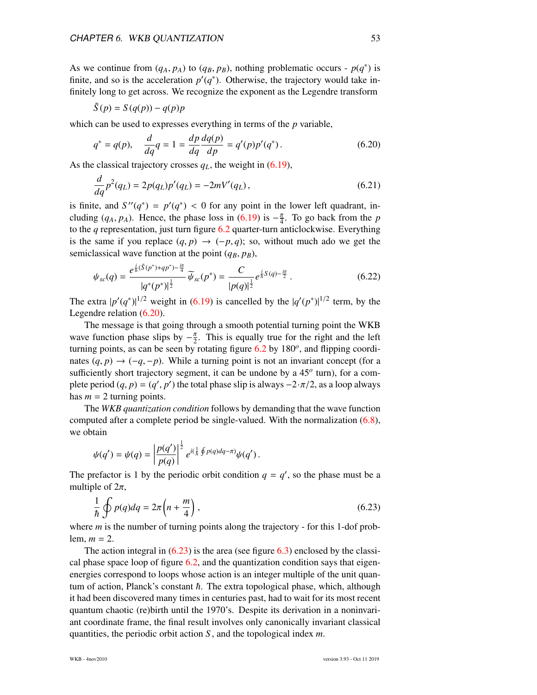As we continue from  $(q_A, p_A)$  to  $(q_B, p_B)$ , nothing problematic occurs -  $p(q^*)$  is<br>finite and so is the acceleration  $p'(q^*)$ . Otherwise, the trajectory would take infinite, and so is the acceleration  $p'(q^*)$ . Otherwise, the trajectory would take infinitely long to get across. We recognize the exponent as the Legendre transform

<span id="page-53-0"></span>
$$
\tilde{S}(p) = S(q(p)) - q(p)p
$$

which can be used to expresses everything in terms of the *p* variable,

$$
q^* = q(p), \quad \frac{d}{dq}q = 1 = \frac{dp}{dq}\frac{dq(p)}{dp} = q'(p)p'(q^*).
$$
 (6.20)

As the classical trajectory crosses  $q_L$ , the weight in [\(6.19\)](#page-52-2),

$$
\frac{d}{dq}p^2(q_L) = 2p(q_L)p'(q_L) = -2mV'(q_L),\tag{6.21}
$$

is finite, and  $S''(q^*) = p'(q^*) < 0$  for any point in the lower left quadrant, in-<br>cluding  $(a_1, n_1)$ . Hence, the phase loss in  $(6, 10)$  is  $-\frac{\pi}{2}$ . To go back from the n cluding ( $q_A$ ,  $p_A$ ). Hence, the phase loss in ( $6.19$ ) is  $-\frac{\pi}{4}$ . To go back from the *p*<br>to the *a* representation just turn figure 6.2 quarter turn anticlockwise. Everything to the *q* representation, just turn figure [6.2](#page-51-1) quarter-turn anticlockwise. Everything is the same if you replace  $(q, p) \rightarrow (-p, q)$ ; so, without much ado we get the semiclassical wave function at the point  $(q_B, p_B)$ ,

$$
\psi_{sc}(q) = \frac{e^{\frac{i}{\hbar}(\tilde{S}(p^*) + qp^*) - \frac{i\pi}{4}}}{|q^*(p^*)|^{\frac{1}{2}}} \widetilde{\psi}_{sc}(p^*) = \frac{C}{|p(q)|^{\frac{1}{2}}} e^{\frac{i}{\hbar}S(q) - \frac{i\pi}{2}}.
$$
\n(6.22)

The extra  $|p'(q^*)|^{1/2}$  weight in [\(6.19\)](#page-52-2) is cancelled by the  $|q'(p^*)|^{1/2}$  term, by the Legendre relation [\(6.20\)](#page-53-0).

The message is that going through a smooth potential turning point the WKB wave function phase slips by  $-\frac{\pi}{2}$ . This is equally true for the right and the left turning points, as can be seen by rotating figure [6.2](#page-51-1) by 180*<sup>o</sup>* , and flipping coordinates  $(q, p)$  →  $(-q, -p)$ . While a turning point is not an invariant concept (for a sufficiently short trajectory segment, it can be undone by a 45<sup>o</sup> turn), for a complete period  $(q, p) = (q', p')$  the total phase slip is always  $-2 \cdot \pi/2$ , as a loop always has  $m = 2$  turning points has  $m = 2$  turning points.

The *WKB quantization condition* follows by demanding that the wave function computed after a complete period be single-valued. With the normalization [\(6.8\)](#page-50-3), we obtain

$$
\psi(q') = \psi(q) = \left| \frac{p(q')}{p(q)} \right|^{\frac{1}{2}} e^{i(\frac{1}{\hbar} \oint p(q)dq - \pi)} \psi(q').
$$

The prefactor is 1 by the periodic orbit condition  $q = q'$ , so the phase must be a multiple of  $2\pi$ ,

<span id="page-53-1"></span>
$$
\frac{1}{\hbar} \oint p(q) dq = 2\pi \left( n + \frac{m}{4} \right),\tag{6.23}
$$

where *m* is the number of turning points along the trajectory - for this 1-dof problem,  $m = 2$ .

The action integral in  $(6.23)$  is the area (see figure  $6.3$ ) enclosed by the classical phase space loop of figure [6.2,](#page-51-1) and the quantization condition says that eigenenergies correspond to loops whose action is an integer multiple of the unit quantum of action, Planck's constant  $\hbar$ . The extra topological phase, which, although it had been discovered many times in centuries past, had to wait for its most recent quantum chaotic (re)birth until the 1970's. Despite its derivation in a noninvariant coordinate frame, the final result involves only canonically invariant classical quantities, the periodic orbit action *S* , and the topological index *m*.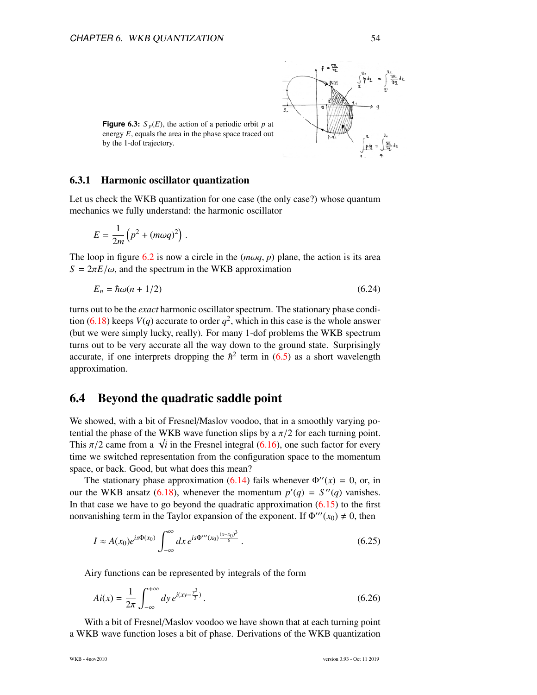

<span id="page-54-2"></span>**Figure 6.3:**  $S_p(E)$ , the action of a periodic orbit *p* at energy *E*, equals the area in the phase space traced out by the 1-dof trajectory.

#### <span id="page-54-1"></span>6.3.1 Harmonic oscillator quantization

Let us check the WKB quantization for one case (the only case?) whose quantum mechanics we fully understand: the harmonic oscillator

$$
E=\frac{1}{2m}\left(p^2+(m\omega q)^2\right).
$$

The loop in figure [6.2](#page-51-1) is now a circle in the  $(m\omega q, p)$  plane, the action is its area  $S = 2\pi E/\omega$ , and the spectrum in the WKB approximation

$$
E_n = \hbar \omega (n + 1/2) \tag{6.24}
$$

turns out to be the *exact* harmonic oscillator spectrum. The stationary phase condi-tion [\(6.18\)](#page-52-3) keeps  $V(q)$  accurate to order  $q^2$ , which in this case is the whole answer (but we were simply lucky, really). For many 1-dof problems the WKB spectrum turns out to be very accurate all the way down to the ground state. Surprisingly accurate, if one interprets dropping the  $\hbar^2$  term in [\(6.5\)](#page-50-0) as a short wavelength approximation.

#### <span id="page-54-0"></span>6.4 Beyond the quadratic saddle point

We showed, with a bit of Fresnel/Maslov voodoo, that in a smoothly varying potential the phase of the WKB wave function slips by a  $\pi/2$  for each turning point. This  $\pi/2$  came from a  $\sqrt{ }$ <br>time we switched represe *i* in the Fresnel integral [\(6.16\)](#page-52-1), one such factor for every time we switched representation from the configuration space to the momentum space, or back. Good, but what does this mean?

The stationary phase approximation [\(6.14\)](#page-52-4) fails whenever  $\Phi''(x) = 0$ , or, in our the WKB ansatz [\(6.18\)](#page-52-3), whenever the momentum  $p'(q) = S''(q)$  vanishes. In that case we have to go beyond the quadratic approximation  $(6.15)$  to the first nonvanishing term in the Taylor expansion of the exponent. If  $\Phi'''(x_0) \neq 0$ , then

$$
I \approx A(x_0)e^{is\Phi(x_0)}\int_{-\infty}^{\infty} dx \, e^{is\Phi'''(x_0)\frac{(x-x_0)^3}{6}} \,. \tag{6.25}
$$

Airy functions can be represented by integrals of the form

$$
Ai(x) = \frac{1}{2\pi} \int_{-\infty}^{+\infty} dy \, e^{i(xy - \frac{y^3}{3})}.
$$
 (6.26)

With a bit of Fresnel/Maslov voodoo we have shown that at each turning point a WKB wave function loses a bit of phase. Derivations of the WKB quantization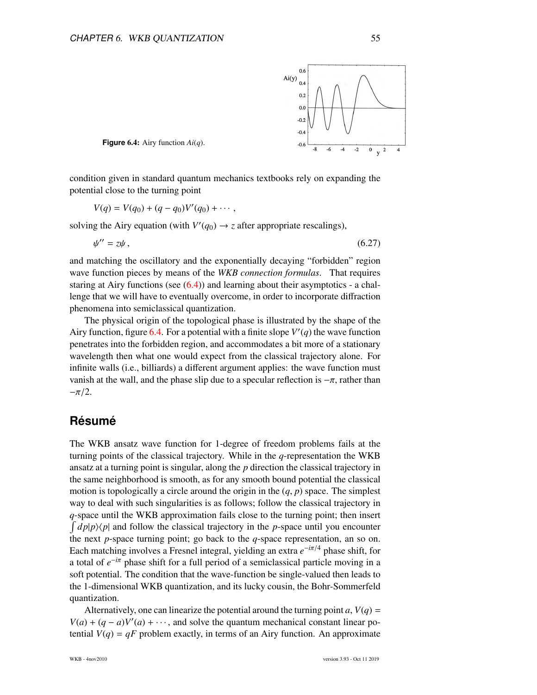

<span id="page-55-0"></span>**Figure** 6.4: Airy function *Ai*(*q*).

condition given in standard quantum mechanics textbooks rely on expanding the potential close to the turning point

$$
V(q) = V(q_0) + (q - q_0)V'(q_0) + \cdots,
$$

solving the Airy equation (with  $V'(q_0) \rightarrow z$  after appropriate rescalings),

$$
\psi'' = z\psi, \qquad (6.27)
$$

and matching the oscillatory and the exponentially decaying "forbidden" region wave function pieces by means of the *WKB connection formulas*. That requires staring at Airy functions (see  $(6.4)$ ) and learning about their asymptotics - a challenge that we will have to eventually overcome, in order to incorporate diffraction phenomena into semiclassical quantization.

The physical origin of the topological phase is illustrated by the shape of the Airy function, figure  $6.4$ . For a potential with a finite slope  $V'(q)$  the wave function penetrates into the forbidden region, and accommodates a bit more of a stationary wavelength then what one would expect from the classical trajectory alone. For infinite walls (i.e., billiards) a different argument applies: the wave function must vanish at the wall, and the phase slip due to a specular reflection is  $-\pi$ , rather than  $-\pi/2$ .

#### **Résumé**

The WKB ansatz wave function for 1-degree of freedom problems fails at the turning points of the classical trajectory. While in the *q*-representation the WKB ansatz at a turning point is singular, along the *p* direction the classical trajectory in the same neighborhood is smooth, as for any smooth bound potential the classical motion is topologically a circle around the origin in the (*q*, *<sup>p</sup>*) space. The simplest way to deal with such singularities is as follows; follow the classical trajectory in *q*-space until the WKB approximation fails close to the turning point; then insert  $\int dp |p\rangle\langle p|$  and follow the classical trajectory in the *p*-space until you encounter the next *p*-space turning point; go back to the *q*-space representation, an so on. Each matching involves a Fresnel integral, yielding an extra *e* <sup>−</sup>*i*π/<sup>4</sup> phase shift, for a total of  $e^{-i\pi}$  phase shift for a full period of a semiclassical particle moving in a soft potential. The condition that the wave-function be single-valued then leads to the 1-dimensional WKB quantization, and its lucky cousin, the Bohr-Sommerfeld quantization.

Alternatively, one can linearize the potential around the turning point  $a$ ,  $V(q)$  =  $V(a) + (q - a)V'(a) + \cdots$ , and solve the quantum mechanical constant linear potential  $V(q) = qF$  problem exactly, in terms of an Airy function. An approximate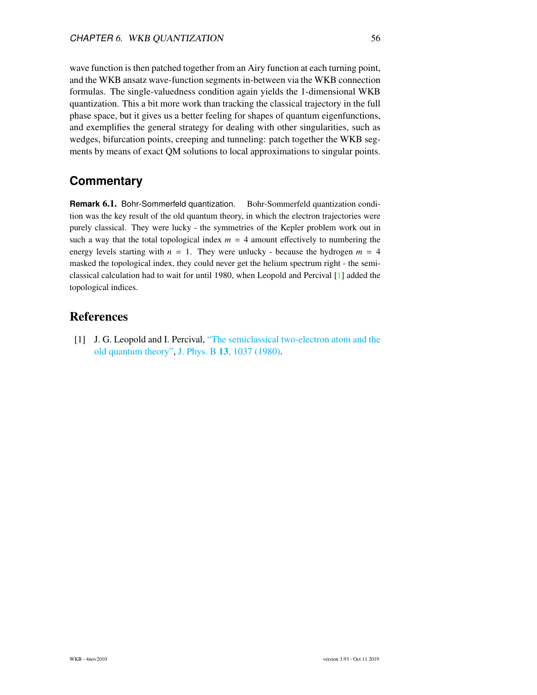wave function is then patched together from an Airy function at each turning point, and the WKB ansatz wave-function segments in-between via the WKB connection formulas. The single-valuedness condition again yields the 1-dimensional WKB quantization. This a bit more work than tracking the classical trajectory in the full phase space, but it gives us a better feeling for shapes of quantum eigenfunctions, and exemplifies the general strategy for dealing with other singularities, such as wedges, bifurcation points, creeping and tunneling: patch together the WKB segments by means of exact QM solutions to local approximations to singular points.

## **Commentary**

**Remark** 6.1. Bohr-Sommerfeld quantization. Bohr-Sommerfeld quantization condition was the key result of the old quantum theory, in which the electron trajectories were purely classical. They were lucky - the symmetries of the Kepler problem work out in such a way that the total topological index  $m = 4$  amount effectively to numbering the energy levels starting with  $n = 1$ . They were unlucky - because the hydrogen  $m = 4$ masked the topological index, they could never get the helium spectrum right - the semiclassical calculation had to wait for until 1980, when Leopold and Percival [\[1\]](#page-56-1) added the topological indices.

### <span id="page-56-0"></span>References

<span id="page-56-1"></span>[1] J. G. Leopold and I. Percival, ["The semiclassical two-electron atom and the](http://dx.doi.org/10.1088/0022-3700/13/6/012) [old quantum theory",](http://dx.doi.org/10.1088/0022-3700/13/6/012) J. Phys. B 13[, 1037 \(1980\).](https://doi.org/10.1088/0022-3700/13/6/012)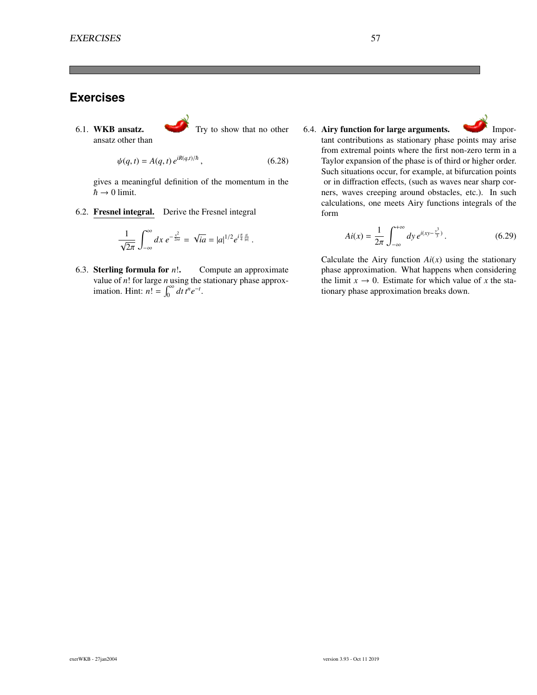## **Exercises**

<span id="page-57-0"></span>6.1. WKB ansatz. Try to show that no other ansatz other than

$$
\psi(q, t) = A(q, t) e^{iR(q, t)/\hbar}, \qquad (6.28)
$$

gives a meaningful definition of the momentum in the  $\hbar \rightarrow 0$  limit.

6.2. Fresnel integral. Derive the Fresnel integral

$$
\frac{1}{\sqrt{2\pi}}\int_{-\infty}^{\infty}dx\ e^{-\frac{x^2}{2ia}}=\sqrt{ia}=|a|^{1/2}e^{i\frac{\pi}{4}\frac{a}{|a|}}.
$$

6.3. Sterling formula for *n*!. Compute an approximate value of *n*! for large *n* using the stationary phase approximation. Hint:  $n! = \int_0^\infty dt \, t^n e^{-t}$ 

6.4. Airy function for large arguments. Impor-



tant contributions as stationary phase points may arise from extremal points where the first non-zero term in a Taylor expansion of the phase is of third or higher order. Such situations occur, for example, at bifurcation points or in diffraction effects, (such as waves near sharp corners, waves creeping around obstacles, etc.). In such calculations, one meets Airy functions integrals of the form

$$
Ai(x) = \frac{1}{2\pi} \int_{-\infty}^{+\infty} dy \, e^{i(xy - \frac{y^3}{3})}.
$$
 (6.29)

Calculate the Airy function  $Ai(x)$  using the stationary phase approximation. What happens when considering the limit  $x \to 0$ . Estimate for which value of x the stationary phase approximation breaks down.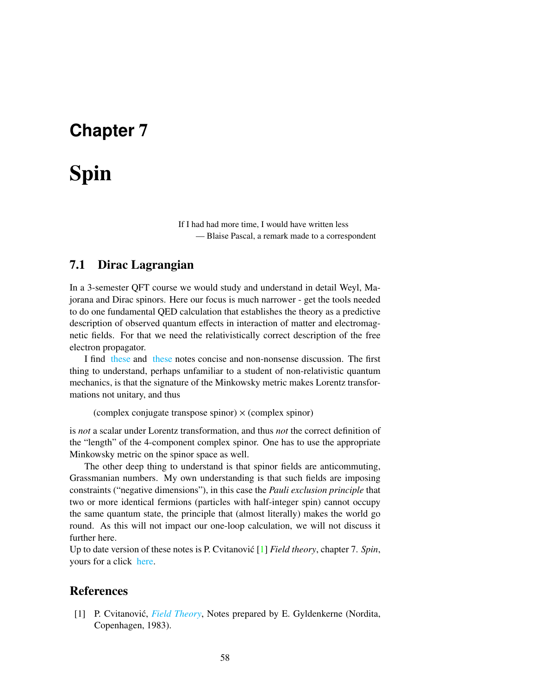# <span id="page-58-0"></span>**Chapter** 7

# Spin

If I had had more time, I would have written less — Blaise Pascal, a remark made to a correspondent

# <span id="page-58-1"></span>7.1 Dirac Lagrangian

In a 3-semester QFT course we would study and understand in detail Weyl, Majorana and Dirac spinors. Here our focus is much narrower - get the tools needed to do one fundamental QED calculation that establishes the theory as a predictive description of observed quantum effects in interaction of matter and electromagnetic fields. For that we need the relativistically correct description of the free electron propagator.

I find [these](http://ChaosBook.org/~predrag/courses/PHYS-7147-18/KapDirac.pdf) and [these](http://ChaosBook.org/~predrag/courses/PHYS-7147-18/KapDirProp.pdf) notes concise and non-nonsense discussion. The first thing to understand, perhaps unfamiliar to a student of non-relativistic quantum mechanics, is that the signature of the Minkowsky metric makes Lorentz transformations not unitary, and thus

```
(complex conjugate transpose spinor) \times (complex spinor)
```
is *not* a scalar under Lorentz transformation, and thus *not* the correct definition of the "length" of the 4-component complex spinor. One has to use the appropriate Minkowsky metric on the spinor space as well.

The other deep thing to understand is that spinor fields are anticommuting, Grassmanian numbers. My own understanding is that such fields are imposing constraints ("negative dimensions"), in this case the *Pauli exclusion principle* that two or more identical fermions (particles with half-integer spin) cannot occupy the same quantum state, the principle that (almost literally) makes the world go round. As this will not impact our one-loop calculation, we will not discuss it further here.

Up to date version of these notes is P. Cvitanović [[1\]](#page-58-3) *Field theory*, chapter 7. *Spin*, yours for a click [here.](http://ChaosBook.org/FieldTheory/lectQM.pdf)

#### <span id="page-58-2"></span>**References**

<span id="page-58-3"></span>[1] P. Cvitanovic,´ *[Field Theory](http://ChaosBook.org/FieldTheory)*, Notes prepared by E. Gyldenkerne (Nordita, Copenhagen, 1983).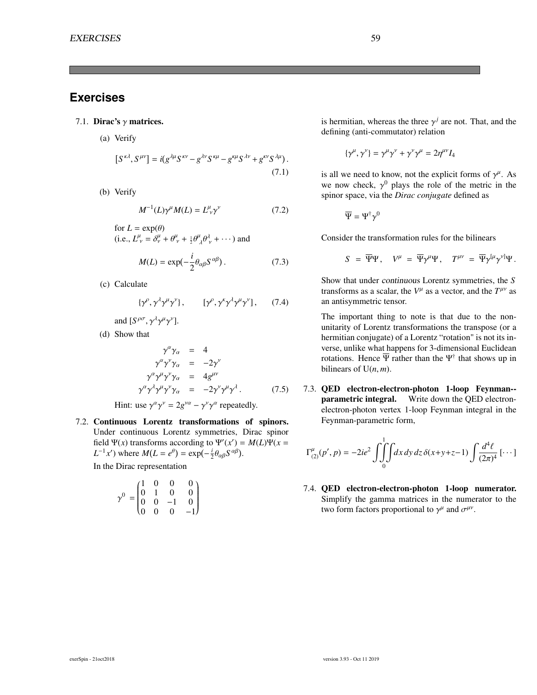#### **Exercises**

#### 7.1. Dirac's  $\gamma$  matrices.

(a) Verify

$$
[S^{\kappa\lambda}, S^{\mu\nu}] = i(g^{\lambda\mu}S^{\kappa\nu} - g^{\lambda\nu}S^{\kappa\mu} - g^{\kappa\mu}S^{\lambda\nu} + g^{\kappa\nu}S^{\lambda\mu}).
$$
\n(7.1)

(b) Verify

$$
M^{-1}(L)\gamma^{\mu}M(L) = L^{\mu}_{\nu}\gamma^{\nu} \tag{7.2}
$$

for 
$$
L = \exp(\theta)
$$
  
(i.e.,  $L^{\mu}_{\nu} = \delta^{\mu}_{\nu} + \theta^{\mu}_{\nu} + \frac{1}{2}\theta^{\mu}_{\lambda}\theta^{\lambda}_{\nu} + \cdots$ ) and

$$
M(L) = \exp(-\frac{i}{2}\theta_{\alpha\beta}S^{\alpha\beta}).
$$
 (7.3)

(c) Calculate

$$
\{\gamma^{\rho}, \gamma^{\lambda}\gamma^{\mu}\gamma^{\nu}\}, \qquad [\gamma^{\rho}, \gamma^{\kappa}\gamma^{\lambda}\gamma^{\mu}\gamma^{\nu}], \qquad (7.4)
$$

and  $[S^{\rho\sigma}, \gamma^{\lambda}\gamma^{\mu}\gamma^{\nu}].$ 

(d) Show that

$$
\gamma^{\alpha} \gamma_{\alpha} = 4
$$
  
\n
$$
\gamma^{\alpha} \gamma^{\nu} \gamma_{\alpha} = -2 \gamma^{\nu}
$$
  
\n
$$
\gamma^{\alpha} \gamma^{\mu} \gamma^{\nu} \gamma_{\alpha} = 4 g^{\mu \nu}
$$
  
\n
$$
\gamma^{\alpha} \gamma^{\lambda} \gamma^{\mu} \gamma^{\nu} \gamma_{\alpha} = -2 \gamma^{\nu} \gamma^{\mu} \gamma^{\lambda}.
$$
 (7.5)

Hint: use  $\gamma^{\alpha} \gamma^{\nu} = 2g^{\nu \alpha} - \gamma^{\nu} \gamma^{\alpha}$  repeatedly.

7.2. Continuous Lorentz transformations of spinors. Under continuous Lorentz symmetries, Dirac spinor field  $\Psi(x)$  transforms according to  $\Psi'(x') = M(L)\Psi(x =$  $L^{-1}x'$ ) where  $M(L = e^{\theta}) = \exp(-\frac{i}{2}\theta_{\alpha\beta}S^{\alpha\beta}).$ 

In the Dirac representation

$$
\gamma^0 = \begin{pmatrix} 1 & 0 & 0 & 0 \\ 0 & 1 & 0 & 0 \\ 0 & 0 & -1 & 0 \\ 0 & 0 & 0 & -1 \end{pmatrix}
$$

is hermitian, whereas the three  $\gamma^j$  are not. That, and the defining (anti-commutator) relation defining (anti-commutator) relation

$$
\{\gamma^{\mu},\gamma^{\nu}\}=\gamma^{\mu}\gamma^{\nu}+\gamma^{\nu}\gamma^{\mu}=2\eta^{\mu\nu}I_4
$$

is all we need to know, not the explicit forms of  $\gamma^{\mu}$ . As we now check,  $\gamma^0$  plays the role of the metric in the spinor space via the *Dirac conjugate* defined as spinor space, via the *Dirac conjugate* defined as

$$
\overline{\Psi} = \Psi^\dagger \gamma^0
$$

Consider the transformation rules for the bilinears

$$
S = \overline{\Psi} \Psi, \quad V^{\mu} = \overline{\Psi} \gamma^{\mu} \Psi, \quad T^{\mu \nu} = \overline{\Psi} \gamma^{[\mu} \gamma^{\nu]} \Psi.
$$

Show that under continuous Lorentz symmetries, the *S* transforms as a scalar, the  $V^{\mu}$  as a vector, and the  $T^{\mu\nu}$  as an antisymmetric tensor.

The important thing to note is that due to the nonunitarity of Lorentz transformations the transpose (or a hermitian conjugate) of a Lorentz "rotation" is not its inverse, unlike what happens for 3-dimensional Euclidean rotations. Hence  $\overline{\Psi}$  rather than the  $\Psi^{\dagger}$  that shows up in bilinears of  $U(n, m)$ .

7.3. QED electron-electron-photon 1-loop Feynman- parametric integral. Write down the QED electronelectron-photon vertex 1-loop Feynman integral in the Feynman-parametric form,

$$
\Gamma^{\mu}_{(2)}(p',p) = -2ie^2 \iiint_0^1 \int dx \, dy \, dz \, \delta(x+y+z-1) \int \frac{d^4\ell}{(2\pi)^4} \, [\cdots]
$$

7.4. QED electron-electron-photon 1-loop numerator. Simplify the gamma matrices in the numerator to the two form factors proportional to  $\gamma^{\mu}$  and  $\sigma^{\mu\nu}$ .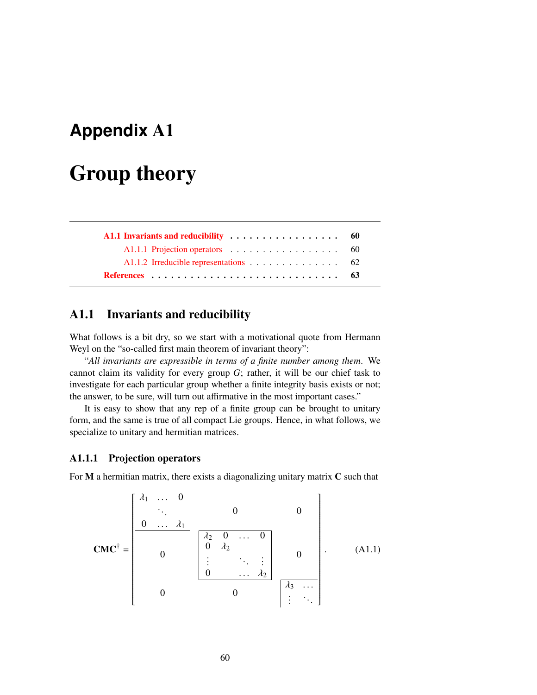# <span id="page-60-0"></span>**Appendix** A1

# Group theory

| A1.1.2 Irreducible representations $\ldots \ldots \ldots \ldots \ldots$ 62 |  |  |  |  |  |  |     |
|----------------------------------------------------------------------------|--|--|--|--|--|--|-----|
|                                                                            |  |  |  |  |  |  | -63 |

### <span id="page-60-1"></span>A1.1 Invariants and reducibility

What follows is a bit dry, so we start with a motivational quote from Hermann Weyl on the "so-called first main theorem of invariant theory":

"*All invariants are expressible in terms of a finite number among them*. We cannot claim its validity for every group *G*; rather, it will be our chief task to investigate for each particular group whether a finite integrity basis exists or not; the answer, to be sure, will turn out affirmative in the most important cases."

It is easy to show that any rep of a finite group can be brought to unitary form, and the same is true of all compact Lie groups. Hence, in what follows, we specialize to unitary and hermitian matrices.

#### <span id="page-60-2"></span>A1.1.1 Projection operators

For  $M$  a hermitian matrix, there exists a diagonalizing unitary matrix  $C$  such that

<span id="page-60-3"></span>CMC† = <sup>λ</sup><sup>1</sup> . . . <sup>0</sup> <sup>0</sup> . . . λ<sup>1</sup> 0 0 0 <sup>λ</sup><sup>2</sup> <sup>0</sup> . . . <sup>0</sup> <sup>0</sup> <sup>λ</sup><sup>2</sup> . . . . . . <sup>0</sup> . . . λ<sup>2</sup> 0 0 0 λ<sup>3</sup> . . . . . . (A1.1)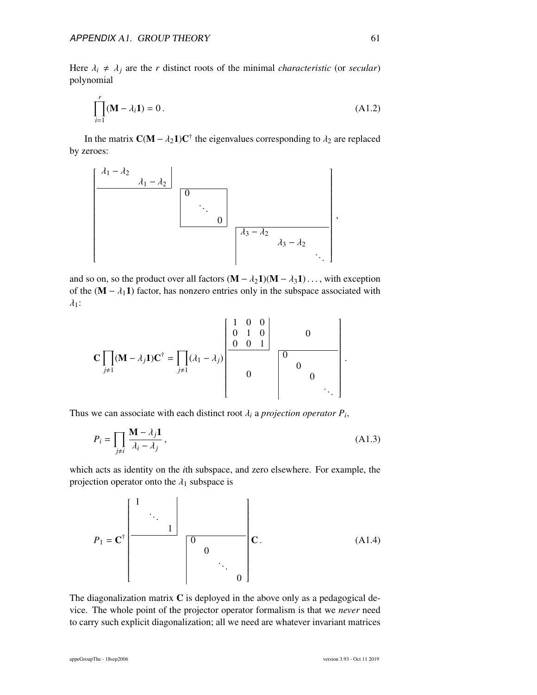Here  $\lambda_i \neq \lambda_j$  are the *r* distinct roots of the minimal *characteristic* (or *secular*) polynomial

<span id="page-61-1"></span>
$$
\prod_{i=1}^{r} (\mathbf{M} - \lambda_i \mathbf{1}) = 0.
$$
 (A1.2)

In the matrix  $C(M - \lambda_2 1)C^{\dagger}$  the eigenvalues corresponding to  $\lambda_2$  are replaced by zeroes:



and so on, so the product over all factors  $(M - \lambda_2 1)(M - \lambda_3 1) \dots$ , with exception of the  $(M - \lambda_1 1)$  factor, has nonzero entries only in the subspace associated with  $\lambda_1$ :

$$
\mathbf{C} \prod_{j \neq 1} (\mathbf{M} - \lambda_j \mathbf{1}) \mathbf{C}^{\dagger} = \prod_{j \neq 1} (\lambda_1 - \lambda_j) \begin{bmatrix} 1 & 0 & 0 \\ 0 & 1 & 0 \\ 0 & 0 & 1 \\ 0 & 0 & 0 \\ 0 & 0 & 0 \\ 0 & 0 & \ddots \end{bmatrix}
$$

Thus we can associate with each distinct root  $\lambda_i$  a *projection operator*  $P_i$ ,

<span id="page-61-0"></span>
$$
P_i = \prod_{j \neq i} \frac{\mathbf{M} - \lambda_j \mathbf{1}}{\lambda_i - \lambda_j},\tag{A1.3}
$$

which acts as identity on the *i*th subspace, and zero elsewhere. For example, the projection operator onto the  $\lambda_1$  subspace is

<span id="page-61-2"></span>
$$
P_1 = \mathbf{C}^{\dagger} \begin{bmatrix} 1 & & & \\ & \ddots & & \\ & & 1 & \\ & & & 0 \\ & & & & 0 \end{bmatrix} \mathbf{C}.
$$
 (A1.4)

The diagonalization matrix  $C$  is deployed in the above only as a pedagogical device. The whole point of the projector operator formalism is that we *never* need to carry such explicit diagonalization; all we need are whatever invariant matrices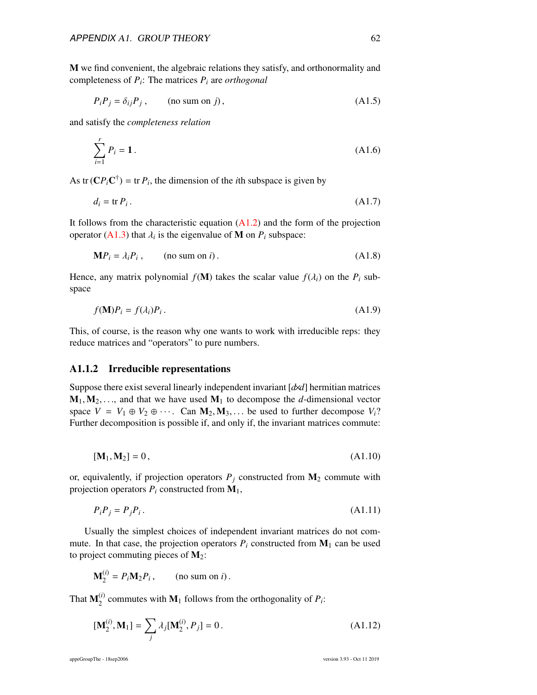M we find convenient, the algebraic relations they satisfy, and orthonormality and completeness of *P<sup>i</sup>* : The matrices *P<sup>i</sup>* are *orthogonal*

$$
P_i P_j = \delta_{ij} P_j, \qquad \text{(no sum on } j), \tag{A1.5}
$$

and satisfy the *completeness relation*

$$
\sum_{i=1}^{r} P_i = 1.
$$
 (A1.6)

As tr  $(CP_iC^{\dagger})$  = tr  $P_i$ , the dimension of the *i*th subspace is given by

$$
d_i = \text{tr } P_i \,. \tag{A1.7}
$$

It follows from the characteristic equation  $(A1.2)$  and the form of the projection operator [\(A1.3\)](#page-61-0) that  $\lambda_i$  is the eigenvalue of **M** on  $P_i$  subspace:

$$
\mathbf{M}P_i = \lambda_i P_i, \qquad \text{(no sum on } i). \tag{A1.8}
$$

Hence, any matrix polynomial  $f(M)$  takes the scalar value  $f(\lambda_i)$  on the  $P_i$  subspace

$$
f(\mathbf{M})P_i = f(\lambda_i)P_i.
$$
 (A1.9)

This, of course, is the reason why one wants to work with irreducible reps: they reduce matrices and "operators" to pure numbers.

#### <span id="page-62-0"></span>A1.1.2 Irreducible representations

Suppose there exist several linearly independent invariant [*d*×*d*] hermitian matrices  $M_1, M_2, \ldots$ , and that we have used  $M_1$  to decompose the *d*-dimensional vector space  $V = V_1 \oplus V_2 \oplus \cdots$ . Can  $M_2, M_3, \ldots$  be used to further decompose  $V_i$ ? Further decomposition is possible if, and only if, the invariant matrices commute:

$$
[\mathbf{M}_1, \mathbf{M}_2] = 0, \tag{A1.10}
$$

or, equivalently, if projection operators  $P_j$  constructed from  $M_2$  commute with projection operators  $P_i$  constructed from  $M_1$ ,

$$
P_i P_j = P_j P_i. \tag{A1.11}
$$

Usually the simplest choices of independent invariant matrices do not commute. In that case, the projection operators  $P_i$  constructed from  $M_1$  can be used to project commuting pieces of  $M_2$ :

$$
\mathbf{M}_2^{(i)} = P_i \mathbf{M}_2 P_i, \qquad \text{(no sum on } i).
$$

That  $\mathbf{M}_2^{(i)}$  $2^{(1)}$  commutes with  $M_1$  follows from the orthogonality of  $P_i$ :

$$
[\mathbf{M}_2^{(i)}, \mathbf{M}_1] = \sum_j \lambda_j [\mathbf{M}_2^{(i)}, P_j] = 0.
$$
 (A1.12)

appeGroupThe - 18sep2006 version 3.93 - Oct 11 2019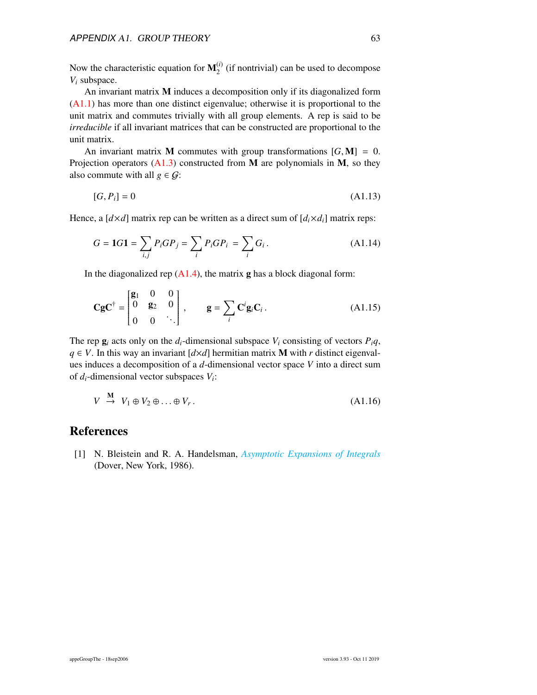Now the characteristic equation for  $M_2^{(i)}$  $2<sup>(1)</sup>$  (if nontrivial) can be used to decompose *V<sup>i</sup>* subspace.

An invariant matrix M induces a decomposition only if its diagonalized form [\(A1.1\)](#page-60-3) has more than one distinct eigenvalue; otherwise it is proportional to the unit matrix and commutes trivially with all group elements. A rep is said to be *irreducible* if all invariant matrices that can be constructed are proportional to the unit matrix.

An invariant matrix **M** commutes with group transformations  $[G, M] = 0$ . Projection operators  $(A1.3)$  constructed from M are polynomials in M, so they also commute with all  $g \in \mathcal{G}$ :

$$
[G, P_i] = 0 \tag{A1.13}
$$

Hence, a  $\left[ d \times d \right]$  matrix rep can be written as a direct sum of  $\left[ d_i \times d_i \right]$  matrix reps:

$$
G = 1G1 = \sum_{i,j} P_i GP_j = \sum_i P_i GP_i = \sum_i G_i.
$$
 (A1.14)

In the diagonalized rep  $(A1.4)$ , the matrix **g** has a block diagonal form:

$$
\mathbf{CgC}^{\dagger} = \begin{bmatrix} \mathbf{g}_1 & 0 & 0 \\ 0 & \mathbf{g}_2 & 0 \\ 0 & 0 & \ddots \end{bmatrix}, \qquad \mathbf{g} = \sum_i \mathbf{C}^i \mathbf{g}_i \mathbf{C}_i.
$$
 (A1.15)

The rep  $\mathbf{g}_i$  acts only on the *d*<sub>*i*</sub>-dimensional subspace  $V_i$  consisting of vectors  $P_i q$ ,  $q \in V$ . In this way an invariant  $\left[ d \times d \right]$  hermitian matrix **M** with *r* distinct eigenvalues induces a decomposition of a *d*-dimensional vector space *V* into a direct sum of *di*-dimensional vector subspaces *V<sup>i</sup>* :

$$
V \stackrel{\mathbf{M}}{\rightarrow} V_1 \oplus V_2 \oplus \ldots \oplus V_r. \tag{A1.16}
$$

#### <span id="page-63-0"></span>References

<span id="page-63-1"></span>[1] N. Bleistein and R. A. Handelsman, *[Asymptotic Expansions of Integrals](http://books.google.com/books?vid=ISBN9780486650821)* (Dover, New York, 1986).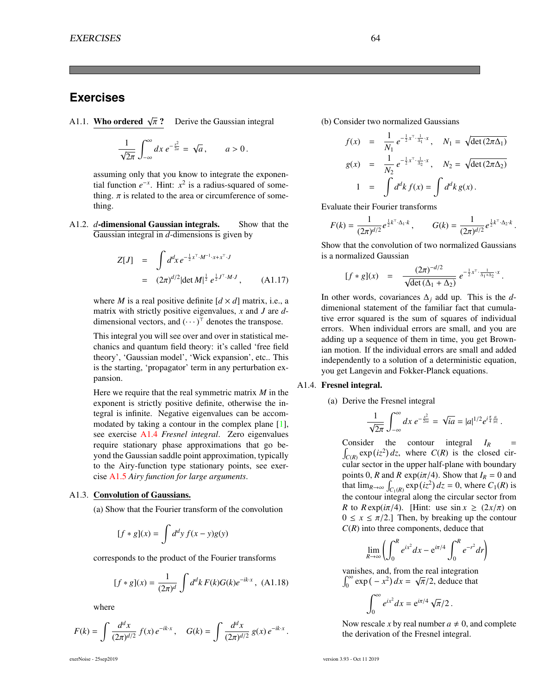### **Exercises**

A1.1. Who ordered  $\sqrt{\pi}$  ? Derive the Gaussian integral

$$
\frac{1}{\sqrt{2\pi}}\int_{-\infty}^{\infty}dx\,e^{-\frac{x^2}{2a}}=\sqrt{a}\,,\qquad a>0\,.
$$

assuming only that you know to integrate the exponential function  $e^{-x}$ . Hint:  $x^2$  is a radius-squared of something.  $\pi$  is related to the area or circumference of something.

<span id="page-64-0"></span>A1.2. *d*-dimensional Gaussian integrals. Show that the Gaussian integral in *d*-dimensions is given by

$$
Z[J] = \int d^d x \, e^{-\frac{1}{2}x^{\top} \cdot M^{-1} \cdot x + x^{\top} \cdot J}
$$
  
=  $(2\pi)^{d/2} |\det M|^{\frac{1}{2}} e^{\frac{1}{2} J^{\top} \cdot M \cdot J},$  (A1.17)

where *M* is a real positive definite  $\left[d \times d\right]$  matrix, i.e., a matrix with strictly positive eigenvalues, *x* and *J* are *d*dimensional vectors, and  $(\cdots)^{\top}$  denotes the transpose.

This integral you will see over and over in statistical mechanics and quantum field theory: it's called 'free field theory', 'Gaussian model', 'Wick expansion', etc.. This is the starting, 'propagator' term in any perturbation expansion.

Here we require that the real symmetric matrix *M* in the exponent is strictly positive definite, otherwise the integral is infinite. Negative eigenvalues can be accommodated by taking a contour in the complex plane [\[1\]](#page-63-1), see exercise [A1.4](#page-64-1) *Fresnel integral*. Zero eigenvalues require stationary phase approximations that go beyond the Gaussian saddle point approximation, typically to the Airy-function type stationary points, see exercise [A1.5](#page-65-0) *Airy function for large arguments*.

#### A1.3. Convolution of Gaussians.

(a) Show that the Fourier transform of the convolution

$$
[f * g](x) = \int d^d y f(x - y)g(y)
$$

corresponds to the product of the Fourier transforms

$$
[f * g](x) = \frac{1}{(2\pi)^d} \int d^d k F(k) G(k) e^{-ik \cdot x}, \text{ (A1.18)}
$$

where

$$
F(k) = \int \frac{d^d x}{(2\pi)^{d/2}} f(x) e^{-ik \cdot x}, \quad G(k) = \int \frac{d^d x}{(2\pi)^{d/2}} g(x) e^{-ik \cdot x}.
$$

(b) Consider two normalized Gaussians

$$
f(x) = \frac{1}{N_1} e^{-\frac{1}{2}x^T \cdot \frac{1}{\Delta_1} \cdot x}, \quad N_1 = \sqrt{\det(2\pi\Delta_1)}
$$
  

$$
g(x) = \frac{1}{N_2} e^{-\frac{1}{2}x^T \cdot \frac{1}{\Delta_2} \cdot x}, \quad N_2 = \sqrt{\det(2\pi\Delta_2)}
$$
  

$$
1 = \int d^d k f(x) = \int d^d k g(x).
$$

Evaluate their Fourier transforms

$$
F(k) = \frac{1}{(2\pi)^{d/2}} e^{\frac{1}{2}k^{\top} \cdot \Delta_1 \cdot k}, \qquad G(k) = \frac{1}{(2\pi)^{d/2}} e^{\frac{1}{2}k^{\top} \cdot \Delta_2 \cdot k}.
$$

Show that the convolution of two normalized Gaussians is a normalized Gaussian

$$
[f * g](x) = \frac{(2\pi)^{-d/2}}{\sqrt{\det(\Delta_1 + \Delta_2)}} e^{-\frac{1}{2}x^{\mathrm{T}} \cdot \frac{1}{\Delta_1 + \Delta_2} \cdot x}.
$$

In other words, covariances ∆*<sup>j</sup>* add up. This is the *d*dimenional statement of the familiar fact that cumulative error squared is the sum of squares of individual errors. When individual errors are small, and you are adding up a sequence of them in time, you get Brownian motion. If the individual errors are small and added independently to a solution of a deterministic equation, you get Langevin and Fokker-Planck equations.

#### <span id="page-64-1"></span>A1.4. Fresnel integral.

(a) Derive the Fresnel integral

$$
\frac{1}{\sqrt{2\pi}}\int_{-\infty}^{\infty}dx\;e^{-\frac{x^2}{2ia}}=\sqrt{ia}=|a|^{1/2}e^{i\frac{\pi}{4}\frac{a}{|a|}}\,.
$$

 $\sqrt{2\pi} J_{-\infty}$ <br>Consider the contour integral  $I_R$  =  $\int_{C(R)} \exp(iz^2) dz$ , where  $C(R)$  is the closed circular sector in the upper half-plane with boundary points 0, *R* and *R* exp( $i\pi/4$ ). Show that  $I_R = 0$  and that  $\lim_{R\to\infty} \int_{C_1(R)} \exp(iz^2) dz = 0$ , where  $C_1(R)$  is the contour integral along the circular sector from *R* to *R* exp( $i\pi/4$ ). [Hint: use sin  $x \ge (2x/\pi)$  on  $0 \leq x \leq \pi/2$ . Then, by breaking up the contour  $C(R)$  into three components, deduce that

$$
\lim_{R \to \infty} \left( \int_0^R e^{ix^2} dx - e^{i\pi/4} \int_0^R e^{-r^2} dr \right)
$$

vanishes, and, from the real integration  $\int_0^\infty \exp(-x^2) dx = \sqrt{\pi}/2$ , deduce that

$$
\int_0^\infty e^{ix^2} dx = e^{i\pi/4} \sqrt{\pi}/2.
$$

Now rescale *x* by real number  $a \neq 0$ , and complete the derivation of the Fresnel integral.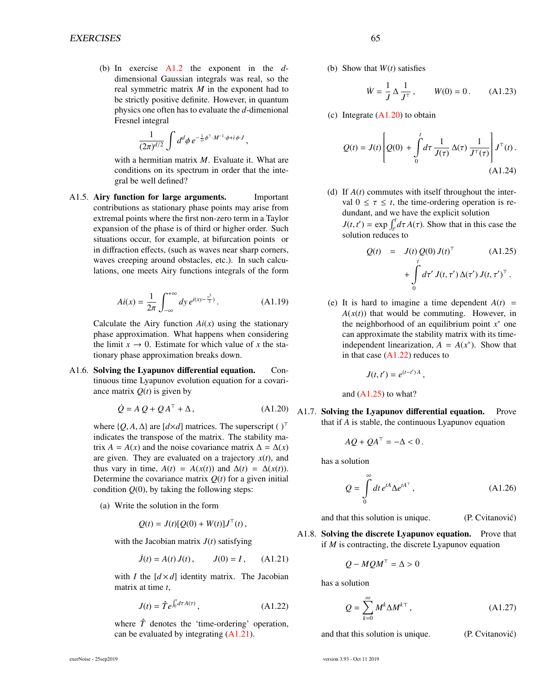(b) In exercise [A1.2](#page-64-0) the exponent in the *d*dimensional Gaussian integrals was real, so the real symmetric matrix *M* in the exponent had to be strictly positive definite. However, in quantum physics one often has to evaluate the *d*-dimenional Fresnel integral

$$
\frac{1}{(2\pi)^{d/2}}\int d^d\phi\, e^{-\frac{1}{2i}\phi^{\top}\cdot M^{-1}\cdot\phi+i\phi\cdot J}\,,
$$

(2π) with a hermitian matrix *M*. Evaluate it. What are conditions on its spectrum in order that the integral be well defined?

<span id="page-65-0"></span>A1.5. Airy function for large arguments. Important contributions as stationary phase points may arise from extremal points where the first non-zero term in a Taylor expansion of the phase is of third or higher order. Such situations occur, for example, at bifurcation points or in diffraction effects, (such as waves near sharp corners, waves creeping around obstacles, etc.). In such calculations, one meets Airy functions integrals of the form

$$
Ai(x) = \frac{1}{2\pi} \int_{-\infty}^{+\infty} dy \, e^{i(xy - \frac{y^3}{3})} \,. \tag{A1.19}
$$

Calculate the Airy function  $Ai(x)$  using the stationary phase approximation. What happens when considering the limit  $x \to 0$ . Estimate for which value of x the stationary phase approximation breaks down.

A1.6. Solving the Lyapunov differential equation. Continuous time Lyapunov evolution equation for a covariance matrix  $Q(t)$  is given by

<span id="page-65-2"></span>
$$
\dot{Q} = A Q + Q A^{\top} + \Delta, \qquad (A1.20)
$$

where  $\{O, A, \Delta\}$  are  $\left[\frac{d \times d}{d}\right]$  matrices. The superscript ( )<sup>T</sup> indicates the transpose of the matrix. The stability matrix *A* = *A*(*x*) and the noise covariance matrix  $\Delta = \Delta(x)$ are given. They are evaluated on a trajectory  $x(t)$ , and thus vary in time,  $A(t) = A(x(t))$  and  $\Delta(t) = \Delta(x(t))$ . Determine the covariance matrix  $Q(t)$  for a given initial condition  $Q(0)$ , by taking the following steps:

(a) Write the solution in the form

$$
Q(t) = J(t)[Q(0) + W(t)]JT(t),
$$

with the Jacobian matrix  $J(t)$  satisfying

$$
\dot{J}(t) = A(t) J(t), \qquad J(0) = I, \qquad (A1.21)
$$

with *I* the  $\left[ d \times d \right]$  identity matrix. The Jacobian matrix at time *t*,

<span id="page-65-3"></span>
$$
J(t) = \hat{T}e^{\int_0^t d\tau A(\tau)}, \qquad (A1.22)
$$

where  $\hat{T}$  denotes the 'time-ordering' operation, can be evaluated by integrating [\(A1.21\)](#page-65-1).

(b) Show that *W*(*t*) satisfies

$$
\dot{W} = \frac{1}{J} \Delta \frac{1}{J^{\top}}, \qquad W(0) = 0. \qquad (A1.23)
$$

(c) Integrate  $(A1.20)$  to obtain

$$
Q(t) = J(t) \left[ Q(0) + \int_{0}^{t} d\tau \, \frac{1}{J(\tau)} \, \Delta(\tau) \, \frac{1}{J^{\top}(\tau)} \right] J^{\top}(t) \,.
$$
\n(A1.24)

(d) If *A*(*t*) commutes with itself throughout the interval  $0 \leq \tau \leq t$ , the time-ordering operation is redundant, and we have the explicit solution  $J(t, t') = \exp \int_{t'}^{t} d\tau A(\tau)$ . Show that in this case the solution reduces to solution reduces to

<span id="page-65-4"></span>
$$
Q(t) = J(t) Q(0) J(t)^{\top} \qquad (A1.25)
$$
  
+ 
$$
\int_{0}^{t} d\tau' J(t, \tau') \Delta(\tau') J(t, \tau')^{\top}.
$$

(e) It is hard to imagine a time dependent  $A(t)$  =  $A(x(t))$  that would be commuting. However, in the neighborhood of an equilibrium point *x* <sup>∗</sup> one can approximate the stability matrix with its timeindependent linearization,  $A = A(x^*)$ . Show that in that case  $(A1.22)$  reduces to

$$
J(t,t')=e^{(t-t')A},
$$

and 
$$
(A1.25)
$$
 to what?

A1.7. Solving the Lyapunov differential equation. Prove that if *A* is stable, the continuous Lyapunov equation

$$
AQ + QA^{\top} = -\Delta < 0.
$$

has a solution

$$
Q = \int_{0}^{\infty} dt \, e^{tA} \Delta e^{tA^{\top}}, \qquad (A1.26)
$$

and that this solution is unique. (P. Cvitanović)

<span id="page-65-1"></span>A1.8. Solving the discrete Lyapunov equation. Prove that if *M* is contracting, the discrete Lyapunov equation

$$
Q - MQM^{\top} = \Delta > 0
$$

has a solution

$$
Q = \sum_{k=0}^{\infty} M^k \Delta M^{k\top}, \qquad (A1.27)
$$

and that this solution is unique. (P. Cvitanović)